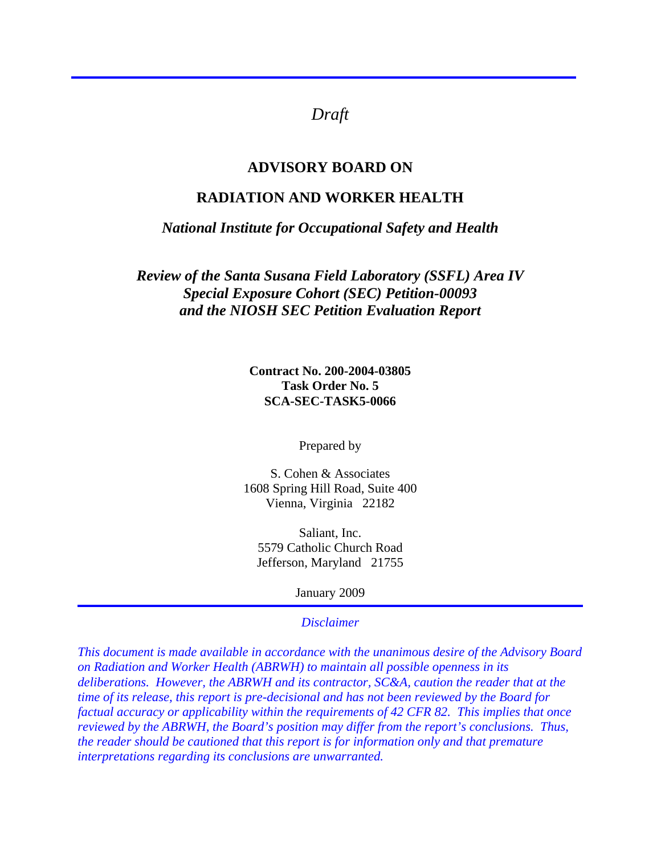# *Draft*

### **ADVISORY BOARD ON**

## **RADIATION AND WORKER HEALTH**

*National Institute for Occupational Safety and Health* 

*Review of the Santa Susana Field Laboratory (SSFL) Area IV Special Exposure Cohort (SEC) Petition-00093 and the NIOSH SEC Petition Evaluation Report* 

> **Contract No. 200-2004-03805 Task Order No. 5 SCA-SEC-TASK5-0066**

> > Prepared by

S. Cohen & Associates 1608 Spring Hill Road, Suite 400 Vienna, Virginia 22182

Saliant, Inc. 5579 Catholic Church Road Jefferson, Maryland 21755

January 2009

#### *Disclaimer*

*This document is made available in accordance with the unanimous desire of the Advisory Board on Radiation and Worker Health (ABRWH) to maintain all possible openness in its deliberations. However, the ABRWH and its contractor, SC&A, caution the reader that at the time of its release, this report is pre-decisional and has not been reviewed by the Board for factual accuracy or applicability within the requirements of 42 CFR 82. This implies that once reviewed by the ABRWH, the Board's position may differ from the report's conclusions. Thus, the reader should be cautioned that this report is for information only and that premature interpretations regarding its conclusions are unwarranted.*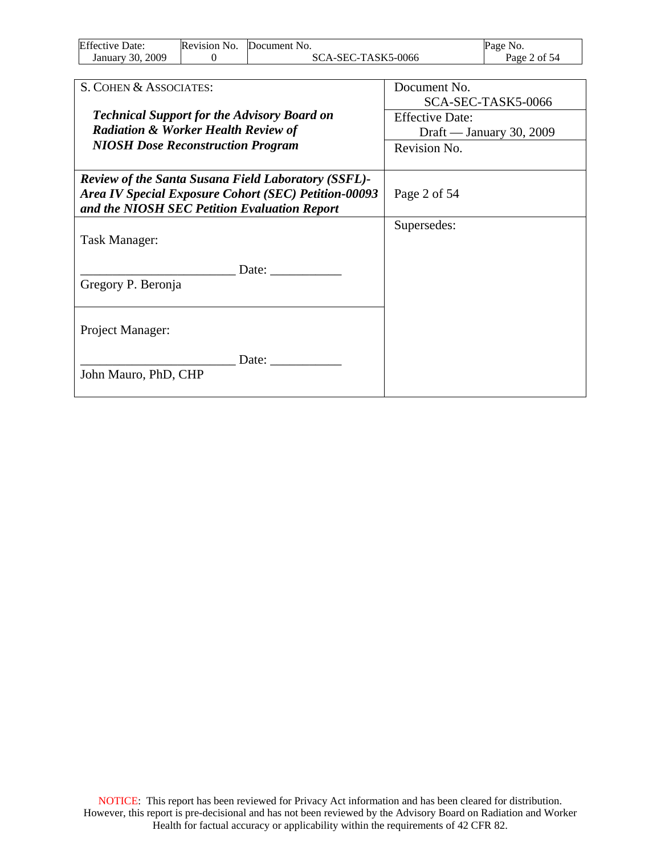| <b>Effective Date:</b> | Revision No. | Document No.       | Page No.     |
|------------------------|--------------|--------------------|--------------|
| January 30, 2009       |              | SCA-SEC-TASK5-0066 | Page 2 of 54 |

| S. COHEN & ASSOCIATES:                                      | Document No.             |
|-------------------------------------------------------------|--------------------------|
|                                                             |                          |
|                                                             | SCA-SEC-TASK5-0066       |
| <b>Technical Support for the Advisory Board on</b>          | <b>Effective Date:</b>   |
| <b>Radiation &amp; Worker Health Review of</b>              | Draft — January 30, 2009 |
| <b>NIOSH Dose Reconstruction Program</b>                    | Revision No.             |
|                                                             |                          |
| <b>Review of the Santa Susana Field Laboratory (SSFL)-</b>  |                          |
| <b>Area IV Special Exposure Cohort (SEC) Petition-00093</b> | Page 2 of 54             |
| and the NIOSH SEC Petition Evaluation Report                |                          |
|                                                             | Supersedes:              |
| Task Manager:                                               |                          |
|                                                             |                          |
| Date:                                                       |                          |
| Gregory P. Beronja                                          |                          |
|                                                             |                          |
|                                                             |                          |
| Project Manager:                                            |                          |
|                                                             |                          |
| Date:                                                       |                          |
| John Mauro, PhD, CHP                                        |                          |
|                                                             |                          |
|                                                             |                          |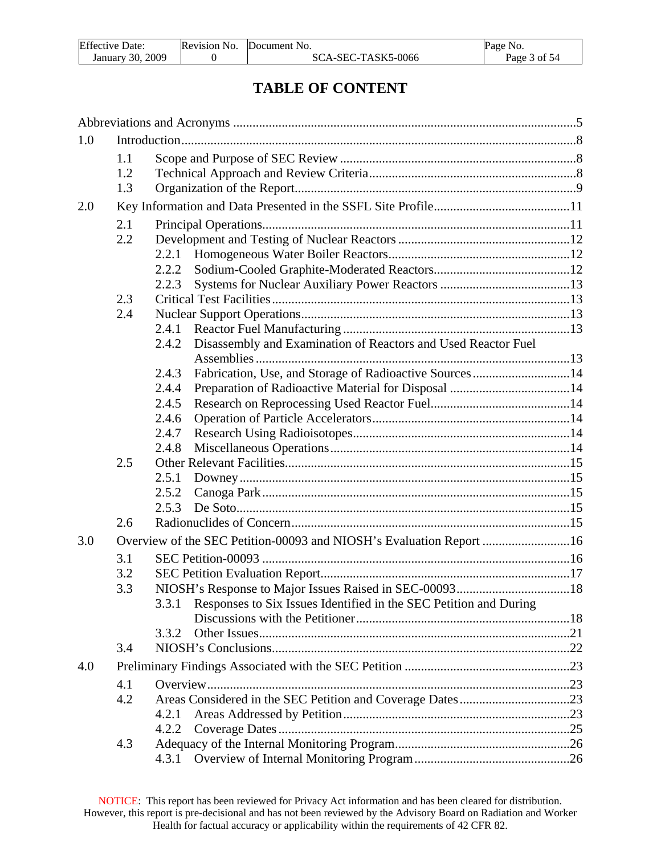| <b>Effective Date:</b> | Revision No. | Document No.       | Page No.     |
|------------------------|--------------|--------------------|--------------|
| 2009<br>January 30, 2  |              | SCA-SEC-TASK5-0066 | Page 3 of 54 |

# **TABLE OF CONTENT**

| 1.0 |     |                                                                            |  |
|-----|-----|----------------------------------------------------------------------------|--|
|     | 1.1 |                                                                            |  |
|     | 1.2 |                                                                            |  |
|     | 1.3 |                                                                            |  |
| 2.0 |     |                                                                            |  |
|     | 2.1 |                                                                            |  |
|     | 2.2 |                                                                            |  |
|     |     | 2.2.1                                                                      |  |
|     |     | 2.2.2                                                                      |  |
|     |     | 2.2.3                                                                      |  |
|     | 2.3 |                                                                            |  |
|     | 2.4 |                                                                            |  |
|     |     | 2.4.1                                                                      |  |
|     |     | Disassembly and Examination of Reactors and Used Reactor Fuel<br>2.4.2     |  |
|     |     | Fabrication, Use, and Storage of Radioactive Sources14<br>2.4.3            |  |
|     |     | 2.4.4                                                                      |  |
|     |     | 2.4.5                                                                      |  |
|     |     | 2.4.6                                                                      |  |
|     |     | 2.4.7                                                                      |  |
|     |     | 2.4.8                                                                      |  |
|     | 2.5 |                                                                            |  |
|     |     | 2.5.1                                                                      |  |
|     |     | 2.5.2                                                                      |  |
|     |     | 2.5.3                                                                      |  |
|     | 2.6 |                                                                            |  |
| 3.0 |     | Overview of the SEC Petition-00093 and NIOSH's Evaluation Report 16        |  |
|     | 3.1 |                                                                            |  |
|     | 3.2 |                                                                            |  |
|     | 3.3 |                                                                            |  |
|     |     | Responses to Six Issues Identified in the SEC Petition and During<br>3.3.1 |  |
|     |     |                                                                            |  |
|     |     | 3.3.2                                                                      |  |
|     | 3.4 |                                                                            |  |
| 4.0 |     |                                                                            |  |
|     | 4.1 |                                                                            |  |
|     | 4.2 |                                                                            |  |
|     |     | 4.2.1                                                                      |  |
|     |     | 4.2.2                                                                      |  |
|     | 4.3 |                                                                            |  |
|     |     | 4.3.1                                                                      |  |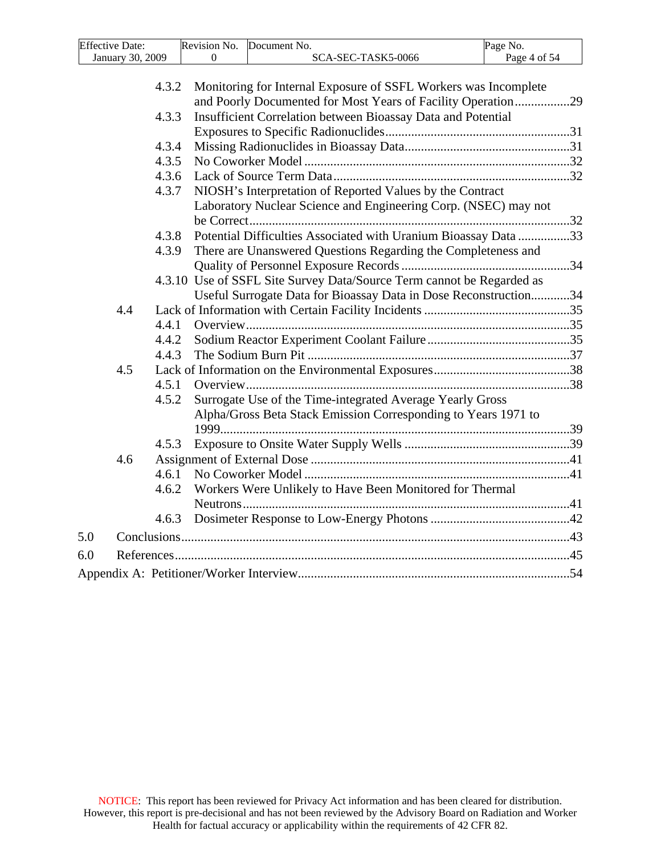| <b>Effective Date:</b> | Revision No. | Document No.      | Page No.     |
|------------------------|--------------|-------------------|--------------|
| January 30, 2009       |              | CA-SEC-TASK5-0066 | Page 4 of 54 |
|                        |              |                   |              |

| and Poorly Documented for Most Years of Facility Operation29<br>Insufficient Correlation between Bioassay Data and Potential<br>4.3.3<br>4.3.4<br>4.3.5<br>4.3.6<br>NIOSH's Interpretation of Reported Values by the Contract<br>4.3.7<br>Laboratory Nuclear Science and Engineering Corp. (NSEC) may not<br>Potential Difficulties Associated with Uranium Bioassay Data 33<br>4.3.8<br>There are Unanswered Questions Regarding the Completeness and<br>4.3.9<br>4.3.10 Use of SSFL Site Survey Data/Source Term cannot be Regarded as<br>Useful Surrogate Data for Bioassay Data in Dose Reconstruction34<br>4.4<br>4.4.1<br>4.4.2<br>4.4.3<br>4.5<br>4.5.1<br>Surrogate Use of the Time-integrated Average Yearly Gross<br>4.5.2<br>Alpha/Gross Beta Stack Emission Corresponding to Years 1971 to<br>4.5.3<br>4.6<br>4.6.1<br>Workers Were Unlikely to Have Been Monitored for Thermal<br>4.6.2<br>4.6.3 |     | 4.3.2 | Monitoring for Internal Exposure of SSFL Workers was Incomplete |  |
|---------------------------------------------------------------------------------------------------------------------------------------------------------------------------------------------------------------------------------------------------------------------------------------------------------------------------------------------------------------------------------------------------------------------------------------------------------------------------------------------------------------------------------------------------------------------------------------------------------------------------------------------------------------------------------------------------------------------------------------------------------------------------------------------------------------------------------------------------------------------------------------------------------------|-----|-------|-----------------------------------------------------------------|--|
|                                                                                                                                                                                                                                                                                                                                                                                                                                                                                                                                                                                                                                                                                                                                                                                                                                                                                                               |     |       |                                                                 |  |
|                                                                                                                                                                                                                                                                                                                                                                                                                                                                                                                                                                                                                                                                                                                                                                                                                                                                                                               |     |       |                                                                 |  |
|                                                                                                                                                                                                                                                                                                                                                                                                                                                                                                                                                                                                                                                                                                                                                                                                                                                                                                               |     |       |                                                                 |  |
|                                                                                                                                                                                                                                                                                                                                                                                                                                                                                                                                                                                                                                                                                                                                                                                                                                                                                                               |     |       |                                                                 |  |
|                                                                                                                                                                                                                                                                                                                                                                                                                                                                                                                                                                                                                                                                                                                                                                                                                                                                                                               |     |       |                                                                 |  |
|                                                                                                                                                                                                                                                                                                                                                                                                                                                                                                                                                                                                                                                                                                                                                                                                                                                                                                               |     |       |                                                                 |  |
|                                                                                                                                                                                                                                                                                                                                                                                                                                                                                                                                                                                                                                                                                                                                                                                                                                                                                                               |     |       |                                                                 |  |
|                                                                                                                                                                                                                                                                                                                                                                                                                                                                                                                                                                                                                                                                                                                                                                                                                                                                                                               |     |       |                                                                 |  |
|                                                                                                                                                                                                                                                                                                                                                                                                                                                                                                                                                                                                                                                                                                                                                                                                                                                                                                               |     |       |                                                                 |  |
|                                                                                                                                                                                                                                                                                                                                                                                                                                                                                                                                                                                                                                                                                                                                                                                                                                                                                                               |     |       |                                                                 |  |
|                                                                                                                                                                                                                                                                                                                                                                                                                                                                                                                                                                                                                                                                                                                                                                                                                                                                                                               |     |       |                                                                 |  |
|                                                                                                                                                                                                                                                                                                                                                                                                                                                                                                                                                                                                                                                                                                                                                                                                                                                                                                               |     |       |                                                                 |  |
|                                                                                                                                                                                                                                                                                                                                                                                                                                                                                                                                                                                                                                                                                                                                                                                                                                                                                                               |     |       |                                                                 |  |
|                                                                                                                                                                                                                                                                                                                                                                                                                                                                                                                                                                                                                                                                                                                                                                                                                                                                                                               |     |       |                                                                 |  |
|                                                                                                                                                                                                                                                                                                                                                                                                                                                                                                                                                                                                                                                                                                                                                                                                                                                                                                               |     |       |                                                                 |  |
|                                                                                                                                                                                                                                                                                                                                                                                                                                                                                                                                                                                                                                                                                                                                                                                                                                                                                                               |     |       |                                                                 |  |
|                                                                                                                                                                                                                                                                                                                                                                                                                                                                                                                                                                                                                                                                                                                                                                                                                                                                                                               |     |       |                                                                 |  |
|                                                                                                                                                                                                                                                                                                                                                                                                                                                                                                                                                                                                                                                                                                                                                                                                                                                                                                               |     |       |                                                                 |  |
|                                                                                                                                                                                                                                                                                                                                                                                                                                                                                                                                                                                                                                                                                                                                                                                                                                                                                                               |     |       |                                                                 |  |
|                                                                                                                                                                                                                                                                                                                                                                                                                                                                                                                                                                                                                                                                                                                                                                                                                                                                                                               |     |       |                                                                 |  |
|                                                                                                                                                                                                                                                                                                                                                                                                                                                                                                                                                                                                                                                                                                                                                                                                                                                                                                               |     |       |                                                                 |  |
|                                                                                                                                                                                                                                                                                                                                                                                                                                                                                                                                                                                                                                                                                                                                                                                                                                                                                                               |     |       |                                                                 |  |
|                                                                                                                                                                                                                                                                                                                                                                                                                                                                                                                                                                                                                                                                                                                                                                                                                                                                                                               |     |       |                                                                 |  |
|                                                                                                                                                                                                                                                                                                                                                                                                                                                                                                                                                                                                                                                                                                                                                                                                                                                                                                               |     |       |                                                                 |  |
|                                                                                                                                                                                                                                                                                                                                                                                                                                                                                                                                                                                                                                                                                                                                                                                                                                                                                                               |     |       |                                                                 |  |
|                                                                                                                                                                                                                                                                                                                                                                                                                                                                                                                                                                                                                                                                                                                                                                                                                                                                                                               |     |       |                                                                 |  |
|                                                                                                                                                                                                                                                                                                                                                                                                                                                                                                                                                                                                                                                                                                                                                                                                                                                                                                               |     |       |                                                                 |  |
|                                                                                                                                                                                                                                                                                                                                                                                                                                                                                                                                                                                                                                                                                                                                                                                                                                                                                                               |     |       |                                                                 |  |
|                                                                                                                                                                                                                                                                                                                                                                                                                                                                                                                                                                                                                                                                                                                                                                                                                                                                                                               |     |       |                                                                 |  |
|                                                                                                                                                                                                                                                                                                                                                                                                                                                                                                                                                                                                                                                                                                                                                                                                                                                                                                               | 5.0 |       |                                                                 |  |
|                                                                                                                                                                                                                                                                                                                                                                                                                                                                                                                                                                                                                                                                                                                                                                                                                                                                                                               | 6.0 |       |                                                                 |  |
|                                                                                                                                                                                                                                                                                                                                                                                                                                                                                                                                                                                                                                                                                                                                                                                                                                                                                                               |     |       |                                                                 |  |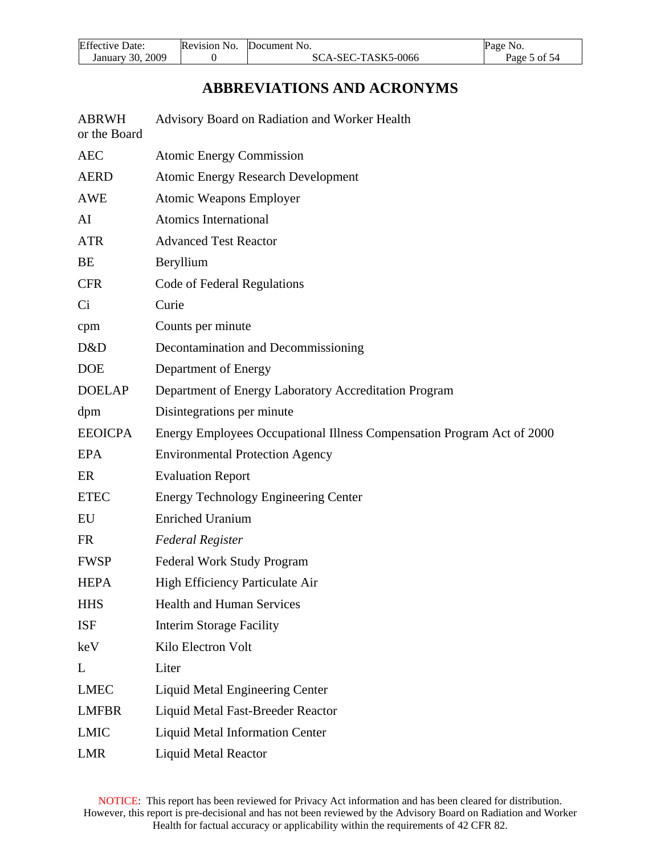<span id="page-4-0"></span>

| Effective<br>Date:     | <b>Revision</b><br>No. | Document No.            | Page No.          |
|------------------------|------------------------|-------------------------|-------------------|
| 2009<br>30.<br>January |                        | -SEC-TASK5-0066<br>SUA. | 5 of 54<br>Page 5 |

# **ABBREVIATIONS AND ACRONYMS**

| <b>ABRWH</b><br>or the Board | Advisory Board on Radiation and Worker Health                          |  |  |  |  |  |
|------------------------------|------------------------------------------------------------------------|--|--|--|--|--|
| <b>AEC</b>                   | <b>Atomic Energy Commission</b>                                        |  |  |  |  |  |
| <b>AERD</b>                  | <b>Atomic Energy Research Development</b>                              |  |  |  |  |  |
| <b>AWE</b>                   | <b>Atomic Weapons Employer</b>                                         |  |  |  |  |  |
| AI                           | Atomics International                                                  |  |  |  |  |  |
| <b>ATR</b>                   | <b>Advanced Test Reactor</b>                                           |  |  |  |  |  |
| BE                           | Beryllium                                                              |  |  |  |  |  |
| <b>CFR</b>                   | Code of Federal Regulations                                            |  |  |  |  |  |
| Ci                           | Curie                                                                  |  |  |  |  |  |
| cpm                          | Counts per minute                                                      |  |  |  |  |  |
| D&D                          | Decontamination and Decommissioning                                    |  |  |  |  |  |
| <b>DOE</b>                   | Department of Energy                                                   |  |  |  |  |  |
| <b>DOELAP</b>                | Department of Energy Laboratory Accreditation Program                  |  |  |  |  |  |
| dpm                          | Disintegrations per minute                                             |  |  |  |  |  |
| <b>EEOICPA</b>               | Energy Employees Occupational Illness Compensation Program Act of 2000 |  |  |  |  |  |
| <b>EPA</b>                   | <b>Environmental Protection Agency</b>                                 |  |  |  |  |  |
| ER                           | <b>Evaluation Report</b>                                               |  |  |  |  |  |
| <b>ETEC</b>                  | <b>Energy Technology Engineering Center</b>                            |  |  |  |  |  |
| EU                           | <b>Enriched Uranium</b>                                                |  |  |  |  |  |
| <b>FR</b>                    | <b>Federal Register</b>                                                |  |  |  |  |  |
| <b>FWSP</b>                  | <b>Federal Work Study Program</b>                                      |  |  |  |  |  |
| <b>HEPA</b>                  | High Efficiency Particulate Air                                        |  |  |  |  |  |
| <b>HHS</b>                   | <b>Health and Human Services</b>                                       |  |  |  |  |  |
| <b>ISF</b>                   | <b>Interim Storage Facility</b>                                        |  |  |  |  |  |
| keV                          | Kilo Electron Volt                                                     |  |  |  |  |  |
| L                            | Liter                                                                  |  |  |  |  |  |
| <b>LMEC</b>                  | <b>Liquid Metal Engineering Center</b>                                 |  |  |  |  |  |
| <b>LMFBR</b>                 | Liquid Metal Fast-Breeder Reactor                                      |  |  |  |  |  |
| <b>LMIC</b>                  | <b>Liquid Metal Information Center</b>                                 |  |  |  |  |  |
| LMR                          | <b>Liquid Metal Reactor</b>                                            |  |  |  |  |  |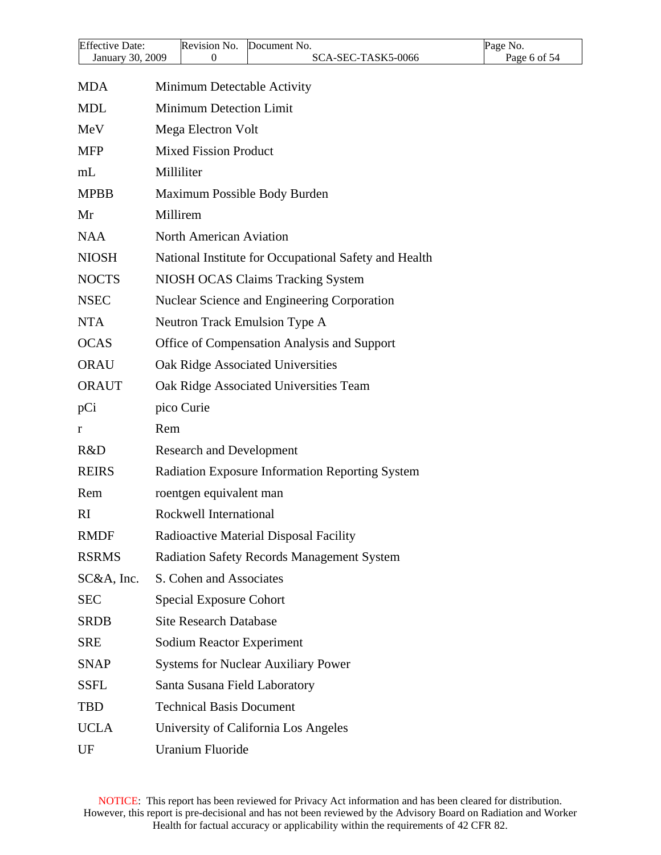| <b>Effective Date:</b> | Revision No.                     |                         | Document No.                                           | Page No.     |  |  |  |
|------------------------|----------------------------------|-------------------------|--------------------------------------------------------|--------------|--|--|--|
| January 30, 2009       |                                  | 0                       | SCA-SEC-TASK5-0066                                     | Page 6 of 54 |  |  |  |
| <b>MDA</b>             |                                  |                         | Minimum Detectable Activity                            |              |  |  |  |
| <b>MDL</b>             |                                  | Minimum Detection Limit |                                                        |              |  |  |  |
| MeV                    | Mega Electron Volt               |                         |                                                        |              |  |  |  |
| <b>MFP</b>             | <b>Mixed Fission Product</b>     |                         |                                                        |              |  |  |  |
| mL                     | Milliliter                       |                         |                                                        |              |  |  |  |
| <b>MPBB</b>            |                                  |                         | Maximum Possible Body Burden                           |              |  |  |  |
| Mr                     | Millirem                         |                         |                                                        |              |  |  |  |
| <b>NAA</b>             | North American Aviation          |                         |                                                        |              |  |  |  |
| <b>NIOSH</b>           |                                  |                         | National Institute for Occupational Safety and Health  |              |  |  |  |
| <b>NOCTS</b>           |                                  |                         | NIOSH OCAS Claims Tracking System                      |              |  |  |  |
| <b>NSEC</b>            |                                  |                         | Nuclear Science and Engineering Corporation            |              |  |  |  |
| <b>NTA</b>             |                                  |                         | Neutron Track Emulsion Type A                          |              |  |  |  |
| <b>OCAS</b>            |                                  |                         | Office of Compensation Analysis and Support            |              |  |  |  |
| <b>ORAU</b>            |                                  |                         | Oak Ridge Associated Universities                      |              |  |  |  |
| <b>ORAUT</b>           |                                  |                         | Oak Ridge Associated Universities Team                 |              |  |  |  |
| pCi                    | pico Curie                       |                         |                                                        |              |  |  |  |
| r                      | Rem                              |                         |                                                        |              |  |  |  |
| R&D                    | <b>Research and Development</b>  |                         |                                                        |              |  |  |  |
| <b>REIRS</b>           |                                  |                         | <b>Radiation Exposure Information Reporting System</b> |              |  |  |  |
| Rem                    | roentgen equivalent man          |                         |                                                        |              |  |  |  |
| <sub>RI</sub>          | Rockwell International           |                         |                                                        |              |  |  |  |
| <b>RMDF</b>            |                                  |                         | Radioactive Material Disposal Facility                 |              |  |  |  |
| <b>RSRMS</b>           |                                  |                         | <b>Radiation Safety Records Management System</b>      |              |  |  |  |
| $SC&A$ , Inc.          | S. Cohen and Associates          |                         |                                                        |              |  |  |  |
| <b>SEC</b>             | <b>Special Exposure Cohort</b>   |                         |                                                        |              |  |  |  |
| <b>SRDB</b>            | <b>Site Research Database</b>    |                         |                                                        |              |  |  |  |
| <b>SRE</b>             | <b>Sodium Reactor Experiment</b> |                         |                                                        |              |  |  |  |
| <b>SNAP</b>            |                                  |                         | <b>Systems for Nuclear Auxiliary Power</b>             |              |  |  |  |
| <b>SSFL</b>            |                                  |                         | Santa Susana Field Laboratory                          |              |  |  |  |
| <b>TBD</b>             | <b>Technical Basis Document</b>  |                         |                                                        |              |  |  |  |
| <b>UCLA</b>            |                                  |                         | University of California Los Angeles                   |              |  |  |  |
| UF                     | <b>Uranium Fluoride</b>          |                         |                                                        |              |  |  |  |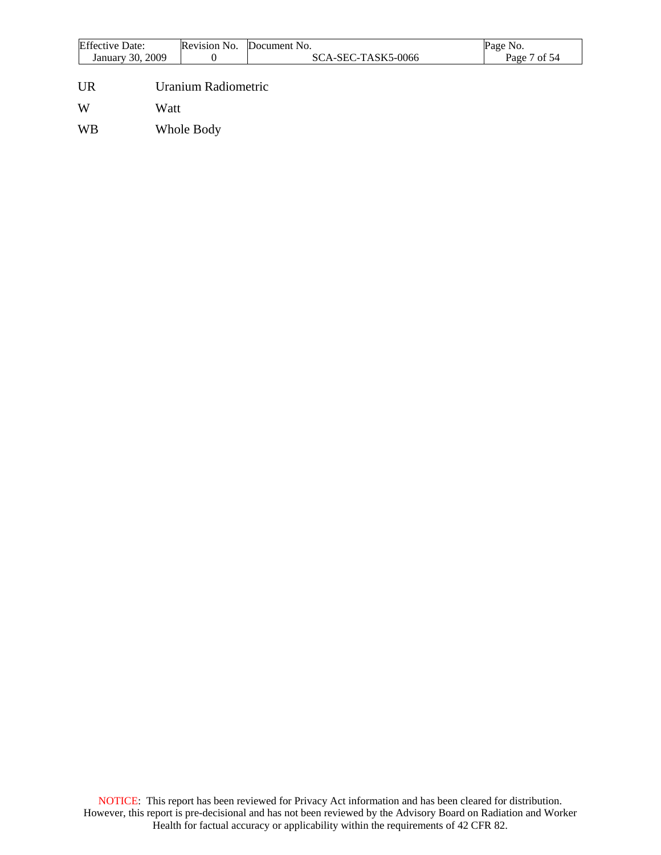| <b>Effective Date:</b> |      | Revision No.        | Document No.       | Page No.     |
|------------------------|------|---------------------|--------------------|--------------|
| January 30, 2009       |      | 0                   | SCA-SEC-TASK5-0066 | Page 7 of 54 |
| <b>UR</b>              |      | Uranium Radiometric |                    |              |
| W                      | Watt |                     |                    |              |
| <b>WB</b>              |      | Whole Body          |                    |              |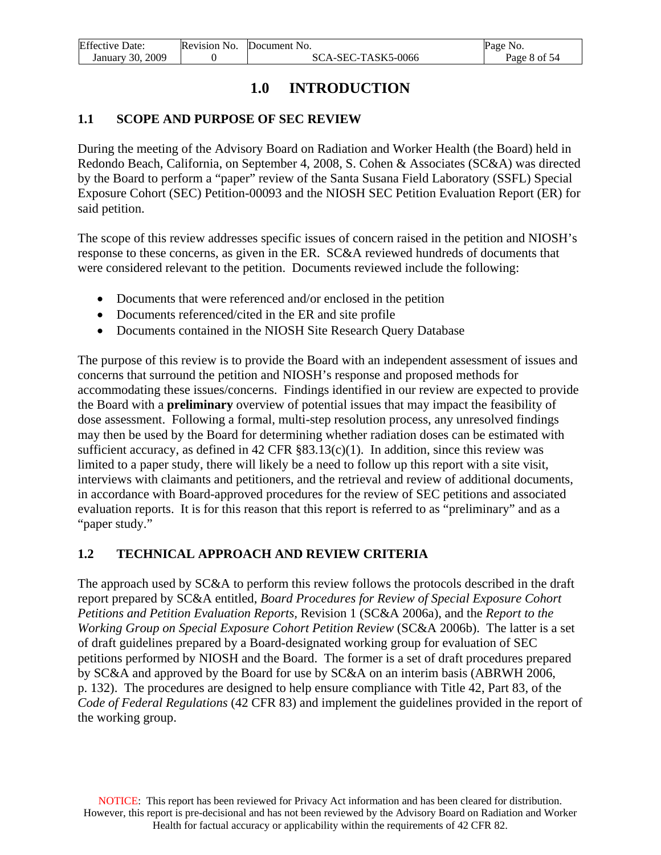<span id="page-7-0"></span>

| <b>Effective Date:</b> | Revision No. Document No. | Page No.     |
|------------------------|---------------------------|--------------|
| January 30, 2009       | SCA-SEC-TASK5-0066        | Page 8 of 54 |

# **1.0 INTRODUCTION**

#### **1.1 SCOPE AND PURPOSE OF SEC REVIEW**

During the meeting of the Advisory Board on Radiation and Worker Health (the Board) held in Redondo Beach, California, on September 4, 2008, S. Cohen & Associates (SC&A) was directed by the Board to perform a "paper" review of the Santa Susana Field Laboratory (SSFL) Special Exposure Cohort (SEC) Petition-00093 and the NIOSH SEC Petition Evaluation Report (ER) for said petition.

The scope of this review addresses specific issues of concern raised in the petition and NIOSH's response to these concerns, as given in the ER. SC&A reviewed hundreds of documents that were considered relevant to the petition. Documents reviewed include the following:

- Documents that were referenced and/or enclosed in the petition
- Documents referenced/cited in the ER and site profile
- Documents contained in the NIOSH Site Research Query Database

The purpose of this review is to provide the Board with an independent assessment of issues and concerns that surround the petition and NIOSH's response and proposed methods for accommodating these issues/concerns. Findings identified in our review are expected to provide the Board with a **preliminary** overview of potential issues that may impact the feasibility of dose assessment. Following a formal, multi-step resolution process, any unresolved findings may then be used by the Board for determining whether radiation doses can be estimated with sufficient accuracy, as defined in  $42 \text{ CFR } \text{\$83.13(c)(1)}.$  In addition, since this review was limited to a paper study, there will likely be a need to follow up this report with a site visit, interviews with claimants and petitioners, and the retrieval and review of additional documents, in accordance with Board-approved procedures for the review of SEC petitions and associated evaluation reports. It is for this reason that this report is referred to as "preliminary" and as a "paper study."

#### **1.2 TECHNICAL APPROACH AND REVIEW CRITERIA**

The approach used by SC&A to perform this review follows the protocols described in the draft report prepared by SC&A entitled, *Board Procedures for Review of Special Exposure Cohort Petitions and Petition Evaluation Reports,* Revision 1 (SC&A 2006a), and the *Report to the Working Group on Special Exposure Cohort Petition Review* (SC&A 2006b). The latter is a set of draft guidelines prepared by a Board-designated working group for evaluation of SEC petitions performed by NIOSH and the Board. The former is a set of draft procedures prepared by SC&A and approved by the Board for use by SC&A on an interim basis (ABRWH 2006, p. 132). The procedures are designed to help ensure compliance with Title 42, Part 83, of the *Code of Federal Regulations* (42 CFR 83) and implement the guidelines provided in the report of the working group.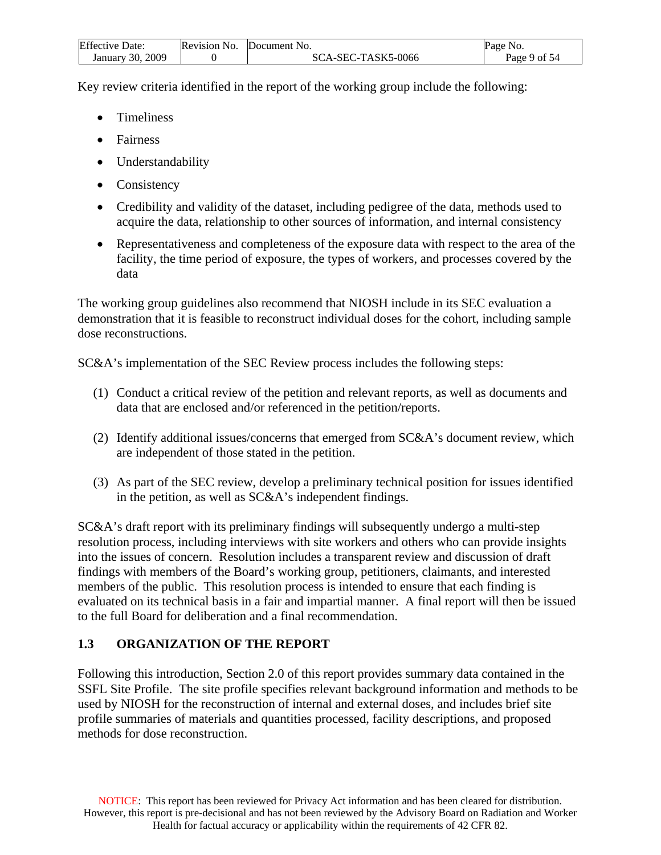<span id="page-8-0"></span>

| <b>Effective Date:</b> | Revision No. | Document No.       | Page No.     |
|------------------------|--------------|--------------------|--------------|
| January 30, 2009       |              | SCA-SEC-TASK5-0066 | Page 9 of 54 |

Key review criteria identified in the report of the working group include the following:

- Timeliness
- Fairness
- Understandability
- Consistency
- Credibility and validity of the dataset, including pedigree of the data, methods used to acquire the data, relationship to other sources of information, and internal consistency
- Representativeness and completeness of the exposure data with respect to the area of the facility, the time period of exposure, the types of workers, and processes covered by the data

The working group guidelines also recommend that NIOSH include in its SEC evaluation a demonstration that it is feasible to reconstruct individual doses for the cohort, including sample dose reconstructions.

SC&A's implementation of the SEC Review process includes the following steps:

- (1) Conduct a critical review of the petition and relevant reports, as well as documents and data that are enclosed and/or referenced in the petition/reports.
- (2) Identify additional issues/concerns that emerged from SC&A's document review, which are independent of those stated in the petition.
- (3) As part of the SEC review, develop a preliminary technical position for issues identified in the petition, as well as SC&A's independent findings.

SC&A's draft report with its preliminary findings will subsequently undergo a multi-step resolution process, including interviews with site workers and others who can provide insights into the issues of concern. Resolution includes a transparent review and discussion of draft findings with members of the Board's working group, petitioners, claimants, and interested members of the public. This resolution process is intended to ensure that each finding is evaluated on its technical basis in a fair and impartial manner. A final report will then be issued to the full Board for deliberation and a final recommendation.

# **1.3 ORGANIZATION OF THE REPORT**

Following this introduction, Section 2.0 of this report provides summary data contained in the SSFL Site Profile. The site profile specifies relevant background information and methods to be used by NIOSH for the reconstruction of internal and external doses, and includes brief site profile summaries of materials and quantities processed, facility descriptions, and proposed methods for dose reconstruction.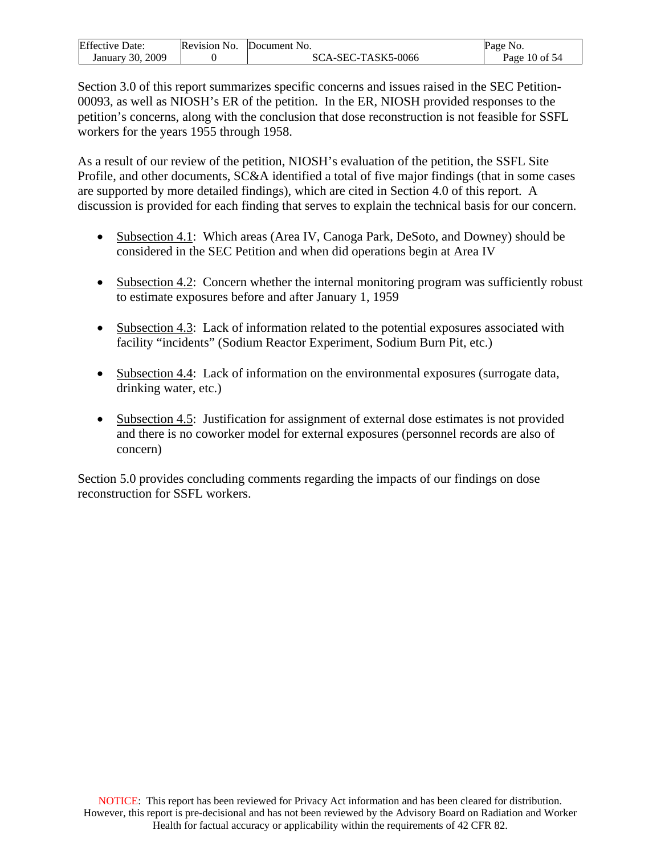| <b>Effective Date:</b> | Revision No. | Document No.       | Page No.          |
|------------------------|--------------|--------------------|-------------------|
| January 30, 2009       |              | SCA-SEC-TASK5-0066 | Page $10$ of $54$ |

Section 3.0 of this report summarizes specific concerns and issues raised in the SEC Petition-00093, as well as NIOSH's ER of the petition. In the ER, NIOSH provided responses to the petition's concerns, along with the conclusion that dose reconstruction is not feasible for SSFL workers for the years 1955 through 1958.

As a result of our review of the petition, NIOSH's evaluation of the petition, the SSFL Site Profile, and other documents, SC&A identified a total of five major findings (that in some cases are supported by more detailed findings), which are cited in Section 4.0 of this report. A discussion is provided for each finding that serves to explain the technical basis for our concern.

- Subsection 4.1: Which areas (Area IV, Canoga Park, DeSoto, and Downey) should be considered in the SEC Petition and when did operations begin at Area IV
- Subsection 4.2: Concern whether the internal monitoring program was sufficiently robust to estimate exposures before and after January 1, 1959
- Subsection 4.3: Lack of information related to the potential exposures associated with facility "incidents" (Sodium Reactor Experiment, Sodium Burn Pit, etc.)
- Subsection 4.4: Lack of information on the environmental exposures (surrogate data, drinking water, etc.)
- Subsection 4.5: Justification for assignment of external dose estimates is not provided and there is no coworker model for external exposures (personnel records are also of concern)

Section 5.0 provides concluding comments regarding the impacts of our findings on dose reconstruction for SSFL workers.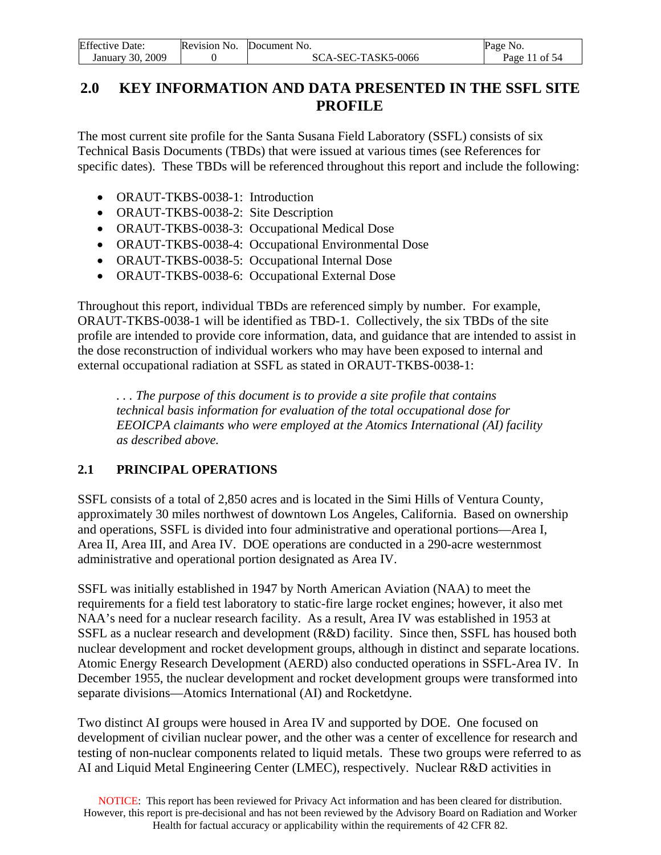<span id="page-10-0"></span>

| <b>Effective Date:</b> | Revision No. | <b>Document No.</b> | Page<br>NO.   |
|------------------------|--------------|---------------------|---------------|
| 2009<br>January 30.    |              | SCA-SEC-TASK5-0066  | Page 11 of 54 |

# **2.0 KEY INFORMATION AND DATA PRESENTED IN THE SSFL SITE PROFILE**

The most current site profile for the Santa Susana Field Laboratory (SSFL) consists of six Technical Basis Documents (TBDs) that were issued at various times (see References for specific dates). These TBDs will be referenced throughout this report and include the following:

- ORAUT-TKBS-0038-1: Introduction
- ORAUT-TKBS-0038-2: Site Description
- ORAUT-TKBS-0038-3: Occupational Medical Dose
- ORAUT-TKBS-0038-4: Occupational Environmental Dose
- ORAUT-TKBS-0038-5: Occupational Internal Dose
- ORAUT-TKBS-0038-6: Occupational External Dose

Throughout this report, individual TBDs are referenced simply by number. For example, ORAUT-TKBS-0038-1 will be identified as TBD-1. Collectively, the six TBDs of the site profile are intended to provide core information, data, and guidance that are intended to assist in the dose reconstruction of individual workers who may have been exposed to internal and external occupational radiation at SSFL as stated in ORAUT-TKBS-0038-1:

*. . . The purpose of this document is to provide a site profile that contains technical basis information for evaluation of the total occupational dose for EEOICPA claimants who were employed at the Atomics International (AI) facility as described above.*

# **2.1 PRINCIPAL OPERATIONS**

SSFL consists of a total of 2,850 acres and is located in the Simi Hills of Ventura County, approximately 30 miles northwest of downtown Los Angeles, California. Based on ownership and operations, SSFL is divided into four administrative and operational portions—Area I, Area II, Area III, and Area IV. DOE operations are conducted in a 290-acre westernmost administrative and operational portion designated as Area IV.

SSFL was initially established in 1947 by North American Aviation (NAA) to meet the requirements for a field test laboratory to static-fire large rocket engines; however, it also met NAA's need for a nuclear research facility. As a result, Area IV was established in 1953 at SSFL as a nuclear research and development (R&D) facility. Since then, SSFL has housed both nuclear development and rocket development groups, although in distinct and separate locations. Atomic Energy Research Development (AERD) also conducted operations in SSFL-Area IV. In December 1955, the nuclear development and rocket development groups were transformed into separate divisions—Atomics International (AI) and Rocketdyne.

Two distinct AI groups were housed in Area IV and supported by DOE. One focused on development of civilian nuclear power, and the other was a center of excellence for research and testing of non-nuclear components related to liquid metals. These two groups were referred to as AI and Liquid Metal Engineering Center (LMEC), respectively. Nuclear R&D activities in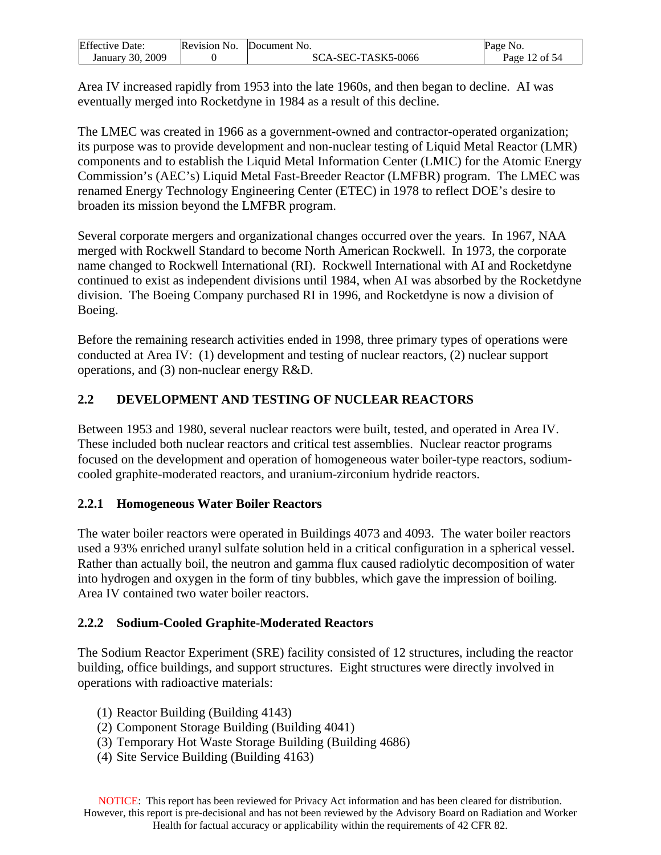<span id="page-11-0"></span>

| <b>Effective Date:</b> | Revision No. | Document No.       | Page No.      |
|------------------------|--------------|--------------------|---------------|
| January 30, 2009       |              | SCA-SEC-TASK5-0066 | Page 12 of 54 |

Area IV increased rapidly from 1953 into the late 1960s, and then began to decline. AI was eventually merged into Rocketdyne in 1984 as a result of this decline.

The LMEC was created in 1966 as a government-owned and contractor-operated organization; its purpose was to provide development and non-nuclear testing of Liquid Metal Reactor (LMR) components and to establish the Liquid Metal Information Center (LMIC) for the Atomic Energy Commission's (AEC's) Liquid Metal Fast-Breeder Reactor (LMFBR) program. The LMEC was renamed Energy Technology Engineering Center (ETEC) in 1978 to reflect DOE's desire to broaden its mission beyond the LMFBR program.

Several corporate mergers and organizational changes occurred over the years. In 1967, NAA merged with Rockwell Standard to become North American Rockwell. In 1973, the corporate name changed to Rockwell International (RI). Rockwell International with AI and Rocketdyne continued to exist as independent divisions until 1984, when AI was absorbed by the Rocketdyne division. The Boeing Company purchased RI in 1996, and Rocketdyne is now a division of Boeing.

Before the remaining research activities ended in 1998, three primary types of operations were conducted at Area IV: (1) development and testing of nuclear reactors, (2) nuclear support operations, and (3) non-nuclear energy R&D.

# **2.2 DEVELOPMENT AND TESTING OF NUCLEAR REACTORS**

Between 1953 and 1980, several nuclear reactors were built, tested, and operated in Area IV. These included both nuclear reactors and critical test assemblies. Nuclear reactor programs focused on the development and operation of homogeneous water boiler-type reactors, sodiumcooled graphite-moderated reactors, and uranium-zirconium hydride reactors.

# **2.2.1 Homogeneous Water Boiler Reactors**

The water boiler reactors were operated in Buildings 4073 and 4093. The water boiler reactors used a 93% enriched uranyl sulfate solution held in a critical configuration in a spherical vessel. Rather than actually boil, the neutron and gamma flux caused radiolytic decomposition of water into hydrogen and oxygen in the form of tiny bubbles, which gave the impression of boiling. Area IV contained two water boiler reactors.

# **2.2.2 Sodium-Cooled Graphite-Moderated Reactors**

The Sodium Reactor Experiment (SRE) facility consisted of 12 structures, including the reactor building, office buildings, and support structures. Eight structures were directly involved in operations with radioactive materials:

- (1) Reactor Building (Building 4143)
- (2) Component Storage Building (Building 4041)
- (3) Temporary Hot Waste Storage Building (Building 4686)
- (4) Site Service Building (Building 4163)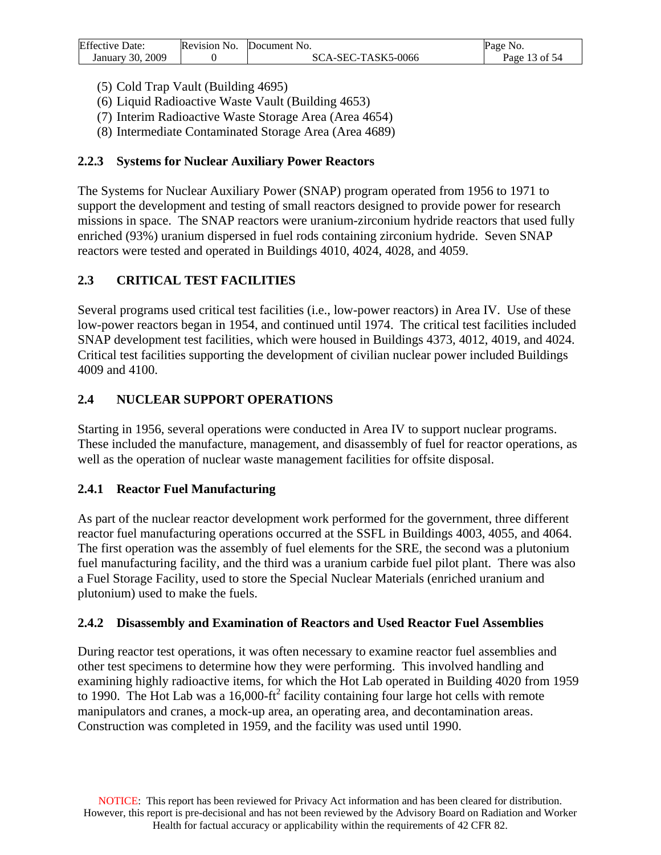<span id="page-12-0"></span>

| <b>Effective Date:</b> | Revision No. Document No. | Page No.      |
|------------------------|---------------------------|---------------|
| January 30, 2009       | SCA-SEC-TASK5-0066        | Page 13 of 54 |

- (5) Cold Trap Vault (Building 4695)
- (6) Liquid Radioactive Waste Vault (Building 4653)
- (7) Interim Radioactive Waste Storage Area (Area 4654)
- (8) Intermediate Contaminated Storage Area (Area 4689)

### **2.2.3 Systems for Nuclear Auxiliary Power Reactors**

The Systems for Nuclear Auxiliary Power (SNAP) program operated from 1956 to 1971 to support the development and testing of small reactors designed to provide power for research missions in space. The SNAP reactors were uranium-zirconium hydride reactors that used fully enriched (93%) uranium dispersed in fuel rods containing zirconium hydride. Seven SNAP reactors were tested and operated in Buildings 4010, 4024, 4028, and 4059.

## **2.3 CRITICAL TEST FACILITIES**

Several programs used critical test facilities (i.e., low-power reactors) in Area IV. Use of these low-power reactors began in 1954, and continued until 1974. The critical test facilities included SNAP development test facilities, which were housed in Buildings 4373, 4012, 4019, and 4024. Critical test facilities supporting the development of civilian nuclear power included Buildings 4009 and 4100.

## **2.4 NUCLEAR SUPPORT OPERATIONS**

Starting in 1956, several operations were conducted in Area IV to support nuclear programs. These included the manufacture, management, and disassembly of fuel for reactor operations, as well as the operation of nuclear waste management facilities for offsite disposal.

### **2.4.1 Reactor Fuel Manufacturing**

As part of the nuclear reactor development work performed for the government, three different reactor fuel manufacturing operations occurred at the SSFL in Buildings 4003, 4055, and 4064. The first operation was the assembly of fuel elements for the SRE, the second was a plutonium fuel manufacturing facility, and the third was a uranium carbide fuel pilot plant. There was also a Fuel Storage Facility, used to store the Special Nuclear Materials (enriched uranium and plutonium) used to make the fuels.

### **2.4.2 Disassembly and Examination of Reactors and Used Reactor Fuel Assemblies**

During reactor test operations, it was often necessary to examine reactor fuel assemblies and other test specimens to determine how they were performing. This involved handling and examining highly radioactive items, for which the Hot Lab operated in Building 4020 from 1959 to 1990. The Hot Lab was a 16,000-ft<sup>2</sup> facility containing four large hot cells with remote manipulators and cranes, a mock-up area, an operating area, and decontamination areas. Construction was completed in 1959, and the facility was used until 1990.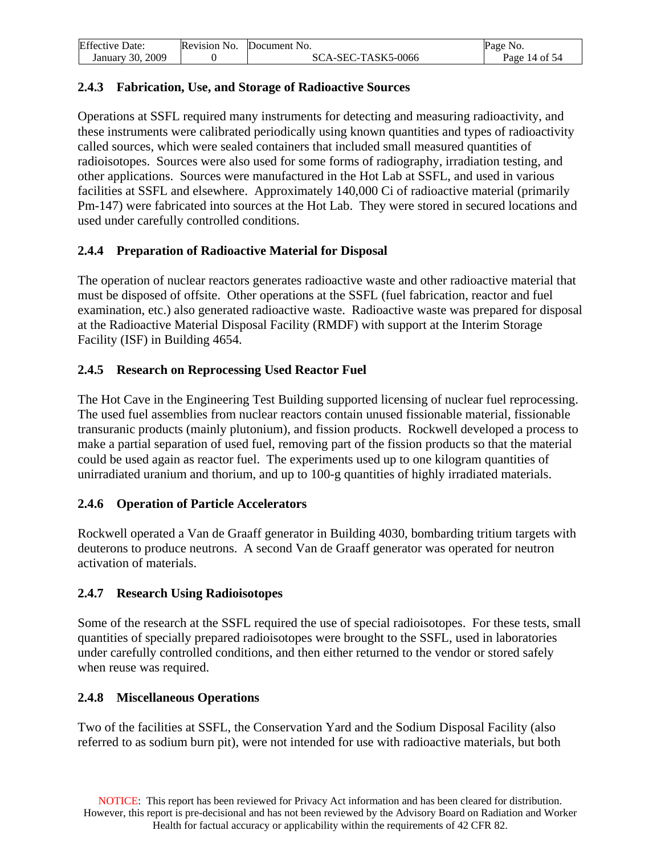<span id="page-13-0"></span>

| <b>Effective Date:</b> | Revision No. | Document No.       | Page No.      |
|------------------------|--------------|--------------------|---------------|
| January 30, 2009       |              | SCA-SEC-TASK5-0066 | Page 14 of 54 |

### **2.4.3 Fabrication, Use, and Storage of Radioactive Sources**

Operations at SSFL required many instruments for detecting and measuring radioactivity, and these instruments were calibrated periodically using known quantities and types of radioactivity called sources, which were sealed containers that included small measured quantities of radioisotopes. Sources were also used for some forms of radiography, irradiation testing, and other applications. Sources were manufactured in the Hot Lab at SSFL, and used in various facilities at SSFL and elsewhere. Approximately 140,000 Ci of radioactive material (primarily Pm-147) were fabricated into sources at the Hot Lab. They were stored in secured locations and used under carefully controlled conditions.

### **2.4.4 Preparation of Radioactive Material for Disposal**

The operation of nuclear reactors generates radioactive waste and other radioactive material that must be disposed of offsite. Other operations at the SSFL (fuel fabrication, reactor and fuel examination, etc.) also generated radioactive waste. Radioactive waste was prepared for disposal at the Radioactive Material Disposal Facility (RMDF) with support at the Interim Storage Facility (ISF) in Building 4654.

### **2.4.5 Research on Reprocessing Used Reactor Fuel**

The Hot Cave in the Engineering Test Building supported licensing of nuclear fuel reprocessing. The used fuel assemblies from nuclear reactors contain unused fissionable material, fissionable transuranic products (mainly plutonium), and fission products. Rockwell developed a process to make a partial separation of used fuel, removing part of the fission products so that the material could be used again as reactor fuel. The experiments used up to one kilogram quantities of unirradiated uranium and thorium, and up to 100-g quantities of highly irradiated materials.

### **2.4.6 Operation of Particle Accelerators**

Rockwell operated a Van de Graaff generator in Building 4030, bombarding tritium targets with deuterons to produce neutrons. A second Van de Graaff generator was operated for neutron activation of materials.

### **2.4.7 Research Using Radioisotopes**

Some of the research at the SSFL required the use of special radioisotopes. For these tests, small quantities of specially prepared radioisotopes were brought to the SSFL, used in laboratories under carefully controlled conditions, and then either returned to the vendor or stored safely when reuse was required.

### **2.4.8 Miscellaneous Operations**

Two of the facilities at SSFL, the Conservation Yard and the Sodium Disposal Facility (also referred to as sodium burn pit), were not intended for use with radioactive materials, but both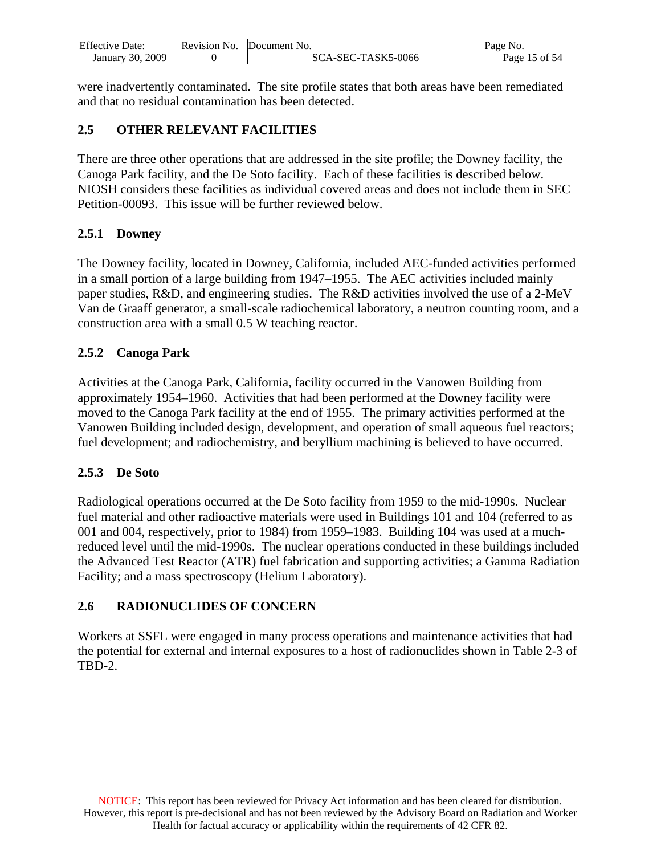<span id="page-14-0"></span>

| <b>Effective Date:</b> | Revision No. | Document No.       | NO.<br>Page   |
|------------------------|--------------|--------------------|---------------|
| 2009<br>January 30.    |              | SCA-SEC-TASK5-0066 | Page 15 of 54 |

were inadvertently contaminated. The site profile states that both areas have been remediated and that no residual contamination has been detected.

### **2.5 OTHER RELEVANT FACILITIES**

There are three other operations that are addressed in the site profile; the Downey facility, the Canoga Park facility, and the De Soto facility. Each of these facilities is described below. NIOSH considers these facilities as individual covered areas and does not include them in SEC Petition-00093. This issue will be further reviewed below.

### **2.5.1 Downey**

The Downey facility, located in Downey, California, included AEC-funded activities performed in a small portion of a large building from 1947–1955. The AEC activities included mainly paper studies, R&D, and engineering studies. The R&D activities involved the use of a 2-MeV Van de Graaff generator, a small-scale radiochemical laboratory, a neutron counting room, and a construction area with a small 0.5 W teaching reactor.

## **2.5.2 Canoga Park**

Activities at the Canoga Park, California, facility occurred in the Vanowen Building from approximately 1954–1960. Activities that had been performed at the Downey facility were moved to the Canoga Park facility at the end of 1955. The primary activities performed at the Vanowen Building included design, development, and operation of small aqueous fuel reactors; fuel development; and radiochemistry, and beryllium machining is believed to have occurred.

### **2.5.3 De Soto**

Radiological operations occurred at the De Soto facility from 1959 to the mid-1990s. Nuclear fuel material and other radioactive materials were used in Buildings 101 and 104 (referred to as 001 and 004, respectively, prior to 1984) from 1959–1983. Building 104 was used at a muchreduced level until the mid-1990s. The nuclear operations conducted in these buildings included the Advanced Test Reactor (ATR) fuel fabrication and supporting activities; a Gamma Radiation Facility; and a mass spectroscopy (Helium Laboratory).

# **2.6 RADIONUCLIDES OF CONCERN**

Workers at SSFL were engaged in many process operations and maintenance activities that had the potential for external and internal exposures to a host of radionuclides shown in Table 2-3 of TBD-2.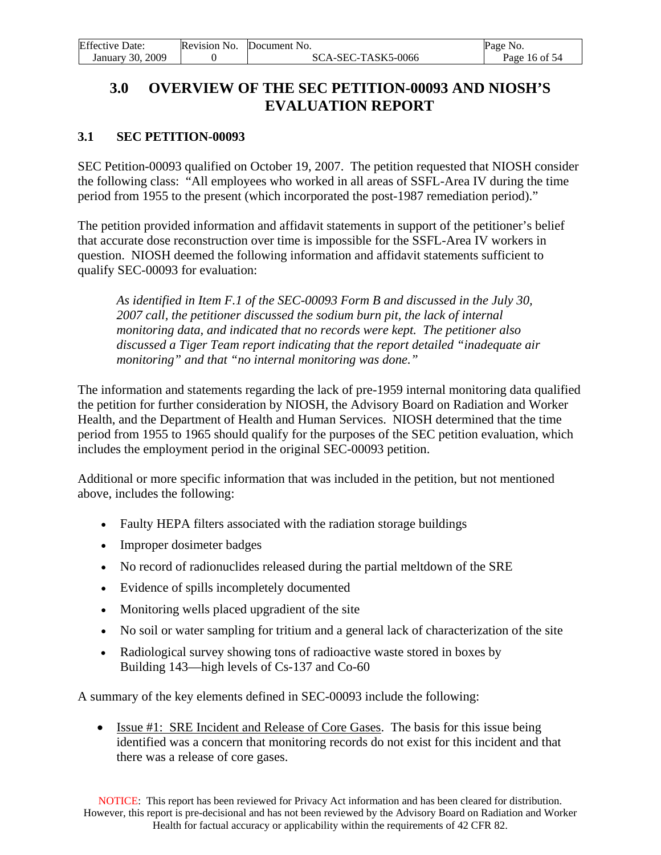<span id="page-15-0"></span>

| <b>Effective Date:</b> | Revision No. | Document No.       | Page No.      |
|------------------------|--------------|--------------------|---------------|
| January 30, 2009       |              | SCA-SEC-TASK5-0066 | Page 16 of 54 |

# **3.0 OVERVIEW OF THE SEC PETITION-00093 AND NIOSH'S EVALUATION REPORT**

## **3.1 SEC PETITION-00093**

SEC Petition-00093 qualified on October 19, 2007. The petition requested that NIOSH consider the following class: "All employees who worked in all areas of SSFL-Area IV during the time period from 1955 to the present (which incorporated the post-1987 remediation period)."

The petition provided information and affidavit statements in support of the petitioner's belief that accurate dose reconstruction over time is impossible for the SSFL-Area IV workers in question. NIOSH deemed the following information and affidavit statements sufficient to qualify SEC-00093 for evaluation:

*As identified in Item F.1 of the SEC-00093 Form B and discussed in the July 30, 2007 call, the petitioner discussed the sodium burn pit, the lack of internal monitoring data, and indicated that no records were kept. The petitioner also discussed a Tiger Team report indicating that the report detailed "inadequate air monitoring" and that "no internal monitoring was done."* 

The information and statements regarding the lack of pre-1959 internal monitoring data qualified the petition for further consideration by NIOSH, the Advisory Board on Radiation and Worker Health, and the Department of Health and Human Services. NIOSH determined that the time period from 1955 to 1965 should qualify for the purposes of the SEC petition evaluation, which includes the employment period in the original SEC-00093 petition.

Additional or more specific information that was included in the petition, but not mentioned above, includes the following:

- Faulty HEPA filters associated with the radiation storage buildings
- Improper dosimeter badges
- No record of radionuclides released during the partial meltdown of the SRE
- Evidence of spills incompletely documented
- Monitoring wells placed upgradient of the site
- No soil or water sampling for tritium and a general lack of characterization of the site
- Radiological survey showing tons of radioactive waste stored in boxes by Building 143—high levels of Cs-137 and Co-60

A summary of the key elements defined in SEC-00093 include the following:

• Issue #1: SRE Incident and Release of Core Gases. The basis for this issue being identified was a concern that monitoring records do not exist for this incident and that there was a release of core gases.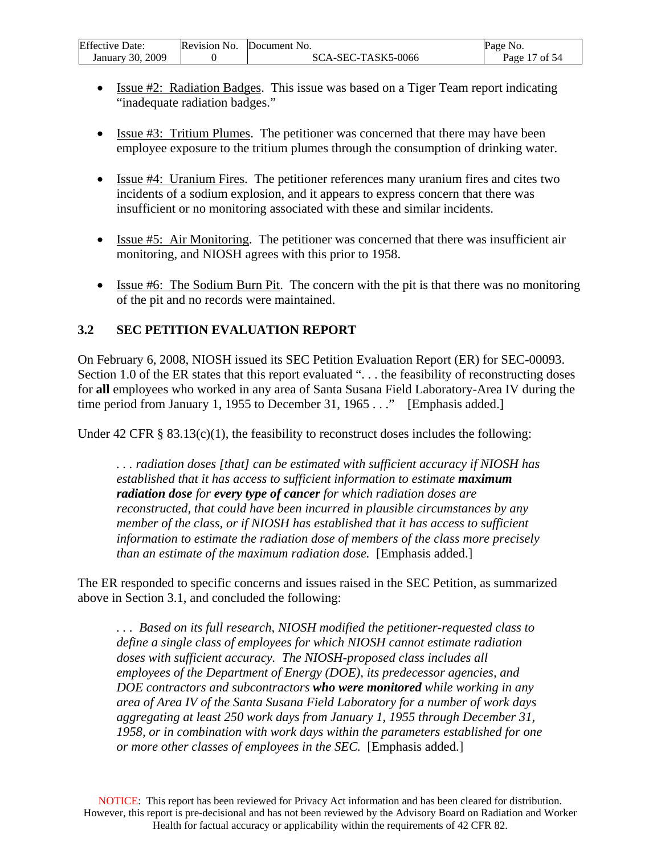<span id="page-16-0"></span>

| <b>Effective Date:</b> | Revision No. | Document No.       | Page No.         |
|------------------------|--------------|--------------------|------------------|
| 2009<br>January 30.    |              | SCA-SEC-TASK5-0066 | ' of 54<br>Page. |

- Issue #2: Radiation Badges. This issue was based on a Tiger Team report indicating "inadequate radiation badges."
- Issue #3: Tritium Plumes. The petitioner was concerned that there may have been employee exposure to the tritium plumes through the consumption of drinking water.
- Issue #4: Uranium Fires. The petitioner references many uranium fires and cites two incidents of a sodium explosion, and it appears to express concern that there was insufficient or no monitoring associated with these and similar incidents.
- Issue #5: Air Monitoring. The petitioner was concerned that there was insufficient air monitoring, and NIOSH agrees with this prior to 1958.
- Issue #6: The Sodium Burn Pit. The concern with the pit is that there was no monitoring of the pit and no records were maintained.

# **3.2 SEC PETITION EVALUATION REPORT**

On February 6, 2008, NIOSH issued its SEC Petition Evaluation Report (ER) for SEC-00093. Section 1.0 of the ER states that this report evaluated "... the feasibility of reconstructing doses for **all** employees who worked in any area of Santa Susana Field Laboratory-Area IV during the time period from January 1, 1955 to December 31, 1965 . . ." [Emphasis added.]

Under 42 CFR  $\S$  83.13(c)(1), the feasibility to reconstruct doses includes the following:

*. . . radiation doses [that] can be estimated with sufficient accuracy if NIOSH has established that it has access to sufficient information to estimate maximum radiation dose for every type of cancer for which radiation doses are reconstructed, that could have been incurred in plausible circumstances by any member of the class, or if NIOSH has established that it has access to sufficient information to estimate the radiation dose of members of the class more precisely than an estimate of the maximum radiation dose.* [Emphasis added.]

The ER responded to specific concerns and issues raised in the SEC Petition, as summarized above in Section 3.1, and concluded the following:

*. . . Based on its full research, NIOSH modified the petitioner-requested class to define a single class of employees for which NIOSH cannot estimate radiation doses with sufficient accuracy. The NIOSH-proposed class includes all employees of the Department of Energy (DOE), its predecessor agencies, and DOE contractors and subcontractors who were monitored while working in any area of Area IV of the Santa Susana Field Laboratory for a number of work days aggregating at least 250 work days from January 1, 1955 through December 31, 1958, or in combination with work days within the parameters established for one or more other classes of employees in the SEC.* [Emphasis added.]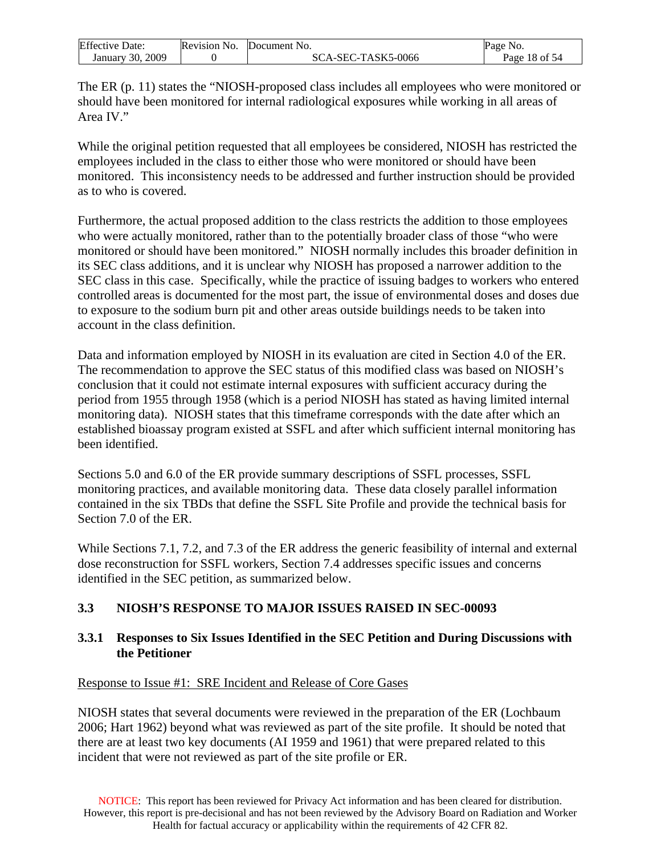<span id="page-17-0"></span>

| <b>Effective Date:</b> | Revision No. | Document No.       | Page No.      |
|------------------------|--------------|--------------------|---------------|
| 2009<br>January 30, 2  |              | SCA-SEC-TASK5-0066 | Page 18 of 54 |

The ER (p. 11) states the "NIOSH-proposed class includes all employees who were monitored or should have been monitored for internal radiological exposures while working in all areas of Area IV."

While the original petition requested that all employees be considered, NIOSH has restricted the employees included in the class to either those who were monitored or should have been monitored. This inconsistency needs to be addressed and further instruction should be provided as to who is covered.

Furthermore, the actual proposed addition to the class restricts the addition to those employees who were actually monitored, rather than to the potentially broader class of those "who were monitored or should have been monitored." NIOSH normally includes this broader definition in its SEC class additions, and it is unclear why NIOSH has proposed a narrower addition to the SEC class in this case. Specifically, while the practice of issuing badges to workers who entered controlled areas is documented for the most part, the issue of environmental doses and doses due to exposure to the sodium burn pit and other areas outside buildings needs to be taken into account in the class definition.

Data and information employed by NIOSH in its evaluation are cited in Section 4.0 of the ER. The recommendation to approve the SEC status of this modified class was based on NIOSH's conclusion that it could not estimate internal exposures with sufficient accuracy during the period from 1955 through 1958 (which is a period NIOSH has stated as having limited internal monitoring data). NIOSH states that this timeframe corresponds with the date after which an established bioassay program existed at SSFL and after which sufficient internal monitoring has been identified.

Sections 5.0 and 6.0 of the ER provide summary descriptions of SSFL processes, SSFL monitoring practices, and available monitoring data. These data closely parallel information contained in the six TBDs that define the SSFL Site Profile and provide the technical basis for Section 7.0 of the ER.

While Sections 7.1, 7.2, and 7.3 of the ER address the generic feasibility of internal and external dose reconstruction for SSFL workers, Section 7.4 addresses specific issues and concerns identified in the SEC petition, as summarized below.

# **3.3 NIOSH'S RESPONSE TO MAJOR ISSUES RAISED IN SEC-00093**

## **3.3.1 Responses to Six Issues Identified in the SEC Petition and During Discussions with the Petitioner**

### Response to Issue #1: SRE Incident and Release of Core Gases

NIOSH states that several documents were reviewed in the preparation of the ER (Lochbaum 2006; Hart 1962) beyond what was reviewed as part of the site profile. It should be noted that there are at least two key documents (AI 1959 and 1961) that were prepared related to this incident that were not reviewed as part of the site profile or ER.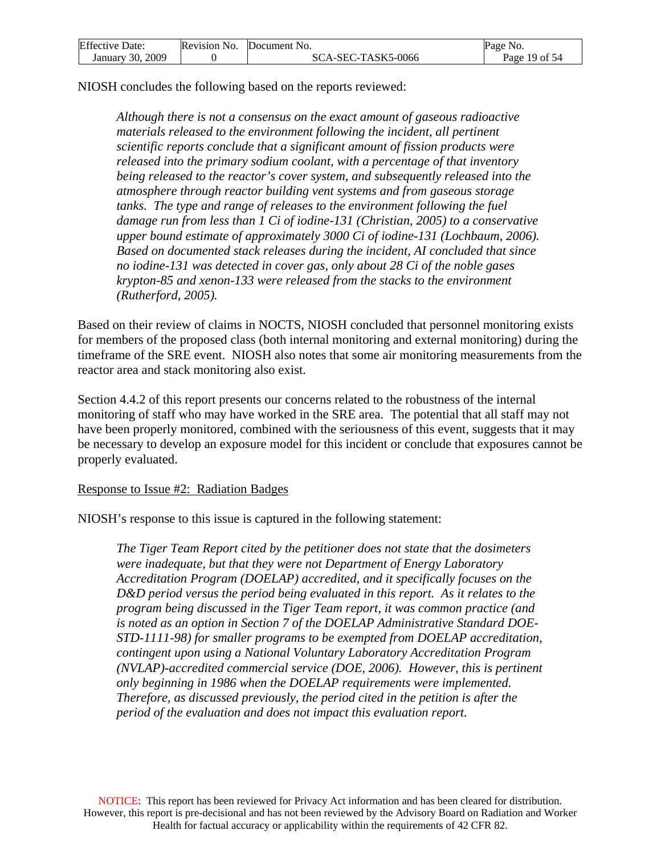| <b>Effective Date:</b> | Revision No. | Document No.       | Page No.      |
|------------------------|--------------|--------------------|---------------|
| January 30, 2009       |              | SCA-SEC-TASK5-0066 | Page 19 of 54 |

NIOSH concludes the following based on the reports reviewed:

*Although there is not a consensus on the exact amount of gaseous radioactive materials released to the environment following the incident, all pertinent scientific reports conclude that a significant amount of fission products were released into the primary sodium coolant, with a percentage of that inventory being released to the reactor's cover system, and subsequently released into the atmosphere through reactor building vent systems and from gaseous storage tanks. The type and range of releases to the environment following the fuel damage run from less than 1 Ci of iodine-131 (Christian, 2005) to a conservative upper bound estimate of approximately 3000 Ci of iodine-131 (Lochbaum, 2006). Based on documented stack releases during the incident, AI concluded that since no iodine-131 was detected in cover gas, only about 28 Ci of the noble gases krypton-85 and xenon-133 were released from the stacks to the environment (Rutherford, 2005).* 

Based on their review of claims in NOCTS, NIOSH concluded that personnel monitoring exists for members of the proposed class (both internal monitoring and external monitoring) during the timeframe of the SRE event. NIOSH also notes that some air monitoring measurements from the reactor area and stack monitoring also exist.

Section 4.4.2 of this report presents our concerns related to the robustness of the internal monitoring of staff who may have worked in the SRE area. The potential that all staff may not have been properly monitored, combined with the seriousness of this event, suggests that it may be necessary to develop an exposure model for this incident or conclude that exposures cannot be properly evaluated.

#### Response to Issue #2: Radiation Badges

NIOSH's response to this issue is captured in the following statement:

*The Tiger Team Report cited by the petitioner does not state that the dosimeters were inadequate, but that they were not Department of Energy Laboratory Accreditation Program (DOELAP) accredited, and it specifically focuses on the D&D period versus the period being evaluated in this report. As it relates to the program being discussed in the Tiger Team report, it was common practice (and is noted as an option in Section 7 of the DOELAP Administrative Standard DOE-STD-1111-98) for smaller programs to be exempted from DOELAP accreditation, contingent upon using a National Voluntary Laboratory Accreditation Program (NVLAP)-accredited commercial service (DOE, 2006). However, this is pertinent only beginning in 1986 when the DOELAP requirements were implemented. Therefore, as discussed previously, the period cited in the petition is after the period of the evaluation and does not impact this evaluation report.*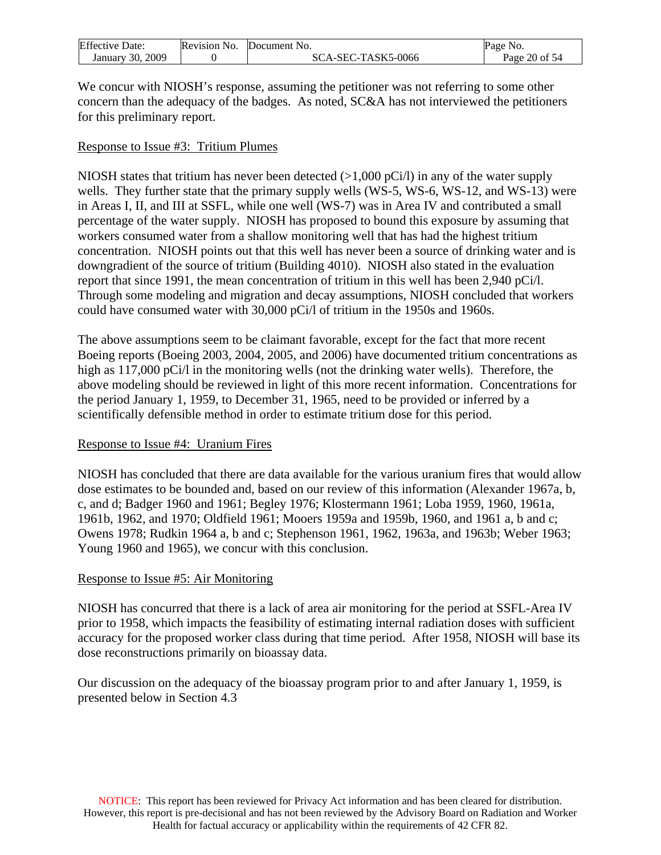| <b>Effective Date:</b> | Revision No. | Document No.       | Page No.      |
|------------------------|--------------|--------------------|---------------|
| January 30, 2009       |              | SCA-SEC-TASK5-0066 | Page 20 of 54 |

We concur with NIOSH's response, assuming the petitioner was not referring to some other concern than the adequacy of the badges. As noted, SC&A has not interviewed the petitioners for this preliminary report.

#### Response to Issue #3: Tritium Plumes

NIOSH states that tritium has never been detected  $(>1,000 \text{ pCi/l})$  in any of the water supply wells. They further state that the primary supply wells (WS-5, WS-6, WS-12, and WS-13) were in Areas I, II, and III at SSFL, while one well (WS-7) was in Area IV and contributed a small percentage of the water supply. NIOSH has proposed to bound this exposure by assuming that workers consumed water from a shallow monitoring well that has had the highest tritium concentration. NIOSH points out that this well has never been a source of drinking water and is downgradient of the source of tritium (Building 4010). NIOSH also stated in the evaluation report that since 1991, the mean concentration of tritium in this well has been 2,940 pCi/l. Through some modeling and migration and decay assumptions, NIOSH concluded that workers could have consumed water with 30,000 pCi/l of tritium in the 1950s and 1960s.

The above assumptions seem to be claimant favorable, except for the fact that more recent Boeing reports (Boeing 2003, 2004, 2005, and 2006) have documented tritium concentrations as high as 117,000 pCi/l in the monitoring wells (not the drinking water wells). Therefore, the above modeling should be reviewed in light of this more recent information. Concentrations for the period January 1, 1959, to December 31, 1965, need to be provided or inferred by a scientifically defensible method in order to estimate tritium dose for this period.

#### Response to Issue #4: Uranium Fires

NIOSH has concluded that there are data available for the various uranium fires that would allow dose estimates to be bounded and, based on our review of this information (Alexander 1967a, b, c, and d; Badger 1960 and 1961; Begley 1976; Klostermann 1961; Loba 1959, 1960, 1961a, 1961b, 1962, and 1970; Oldfield 1961; Mooers 1959a and 1959b, 1960, and 1961 a, b and c; Owens 1978; Rudkin 1964 a, b and c; Stephenson 1961, 1962, 1963a, and 1963b; Weber 1963; Young 1960 and 1965), we concur with this conclusion.

#### Response to Issue #5: Air Monitoring

NIOSH has concurred that there is a lack of area air monitoring for the period at SSFL-Area IV prior to 1958, which impacts the feasibility of estimating internal radiation doses with sufficient accuracy for the proposed worker class during that time period. After 1958, NIOSH will base its dose reconstructions primarily on bioassay data.

Our discussion on the adequacy of the bioassay program prior to and after January 1, 1959, is presented below in Section 4.3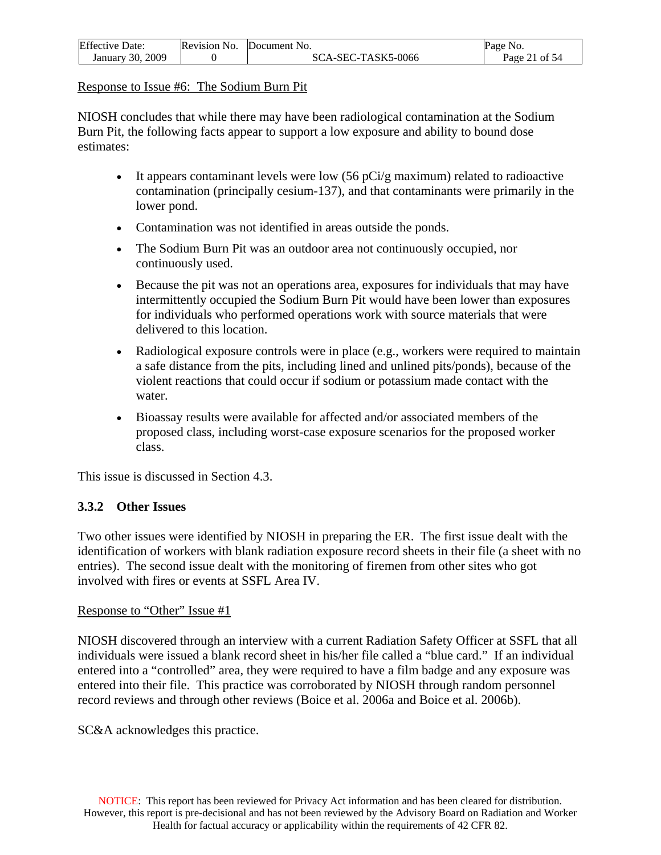<span id="page-20-0"></span>

| <b>Effective Date:</b> | Revision No. | Document No.       | Page No.      |
|------------------------|--------------|--------------------|---------------|
| January 30, 2009       |              | SCA-SEC-TASK5-0066 | Page 21 of 54 |

Response to Issue #6: The Sodium Burn Pit

NIOSH concludes that while there may have been radiological contamination at the Sodium Burn Pit, the following facts appear to support a low exposure and ability to bound dose estimates:

- It appears contaminant levels were low  $(56 \text{ pCi/g maximum})$  related to radioactive contamination (principally cesium-137), and that contaminants were primarily in the lower pond.
- Contamination was not identified in areas outside the ponds.
- The Sodium Burn Pit was an outdoor area not continuously occupied, nor continuously used.
- Because the pit was not an operations area, exposures for individuals that may have intermittently occupied the Sodium Burn Pit would have been lower than exposures for individuals who performed operations work with source materials that were delivered to this location.
- Radiological exposure controls were in place (e.g., workers were required to maintain a safe distance from the pits, including lined and unlined pits/ponds), because of the violent reactions that could occur if sodium or potassium made contact with the water.
- Bioassay results were available for affected and/or associated members of the proposed class, including worst-case exposure scenarios for the proposed worker class.

This issue is discussed in Section 4.3.

# **3.3.2 Other Issues**

Two other issues were identified by NIOSH in preparing the ER. The first issue dealt with the identification of workers with blank radiation exposure record sheets in their file (a sheet with no entries). The second issue dealt with the monitoring of firemen from other sites who got involved with fires or events at SSFL Area IV.

#### Response to "Other" Issue #1

NIOSH discovered through an interview with a current Radiation Safety Officer at SSFL that all individuals were issued a blank record sheet in his/her file called a "blue card." If an individual entered into a "controlled" area, they were required to have a film badge and any exposure was entered into their file. This practice was corroborated by NIOSH through random personnel record reviews and through other reviews (Boice et al. 2006a and Boice et al. 2006b).

SC&A acknowledges this practice.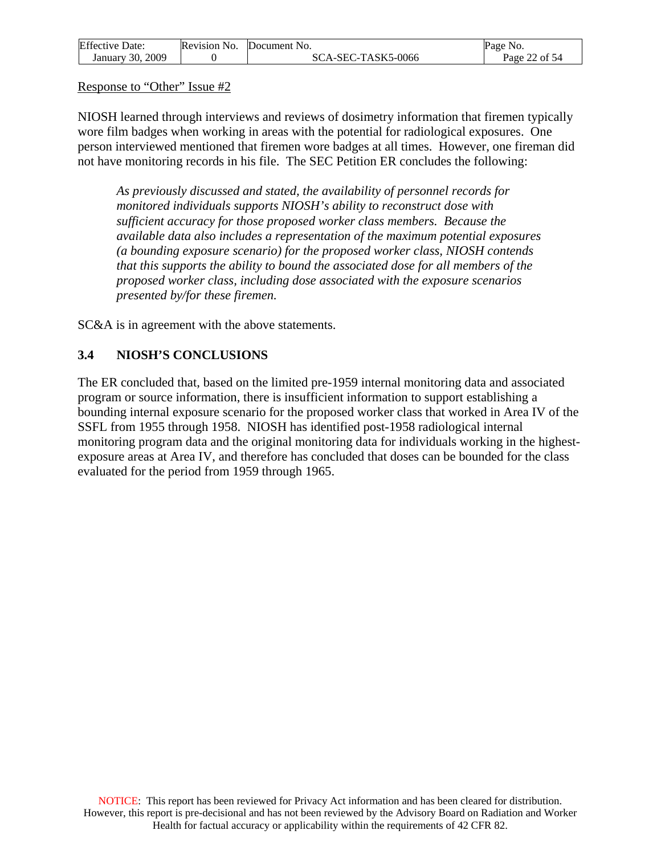<span id="page-21-0"></span>

| <b>Effective Date:</b> | Revision No. | Document No.       | Page No.      |
|------------------------|--------------|--------------------|---------------|
| January 30, 2009       |              | SCA-SEC-TASK5-0066 | Page 22 of 54 |

Response to "Other" Issue #2

NIOSH learned through interviews and reviews of dosimetry information that firemen typically wore film badges when working in areas with the potential for radiological exposures. One person interviewed mentioned that firemen wore badges at all times. However, one fireman did not have monitoring records in his file. The SEC Petition ER concludes the following:

*As previously discussed and stated, the availability of personnel records for monitored individuals supports NIOSH's ability to reconstruct dose with sufficient accuracy for those proposed worker class members. Because the available data also includes a representation of the maximum potential exposures (a bounding exposure scenario) for the proposed worker class, NIOSH contends that this supports the ability to bound the associated dose for all members of the proposed worker class, including dose associated with the exposure scenarios presented by/for these firemen.* 

SC&A is in agreement with the above statements.

## **3.4 NIOSH'S CONCLUSIONS**

The ER concluded that, based on the limited pre-1959 internal monitoring data and associated program or source information, there is insufficient information to support establishing a bounding internal exposure scenario for the proposed worker class that worked in Area IV of the SSFL from 1955 through 1958. NIOSH has identified post-1958 radiological internal monitoring program data and the original monitoring data for individuals working in the highestexposure areas at Area IV, and therefore has concluded that doses can be bounded for the class evaluated for the period from 1959 through 1965.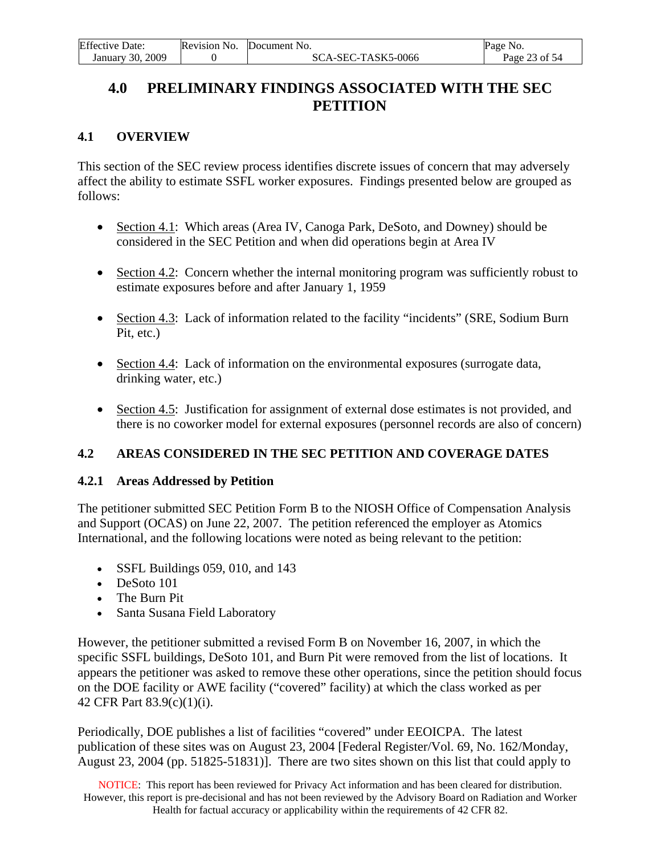# <span id="page-22-0"></span>**4.0 PRELIMINARY FINDINGS ASSOCIATED WITH THE SEC PETITION**

## **4.1 OVERVIEW**

This section of the SEC review process identifies discrete issues of concern that may adversely affect the ability to estimate SSFL worker exposures. Findings presented below are grouped as follows:

- Section 4.1: Which areas (Area IV, Canoga Park, DeSoto, and Downey) should be considered in the SEC Petition and when did operations begin at Area IV
- Section 4.2: Concern whether the internal monitoring program was sufficiently robust to estimate exposures before and after January 1, 1959
- Section 4.3: Lack of information related to the facility "incidents" (SRE, Sodium Burn Pit, etc.)
- Section 4.4: Lack of information on the environmental exposures (surrogate data, drinking water, etc.)
- Section 4.5: Justification for assignment of external dose estimates is not provided, and there is no coworker model for external exposures (personnel records are also of concern)

# **4.2 AREAS CONSIDERED IN THE SEC PETITION AND COVERAGE DATES**

### **4.2.1 Areas Addressed by Petition**

The petitioner submitted SEC Petition Form B to the NIOSH Office of Compensation Analysis and Support (OCAS) on June 22, 2007. The petition referenced the employer as Atomics International, and the following locations were noted as being relevant to the petition:

- SSFL Buildings 059, 010, and 143
- DeSoto 101
- The Burn Pit
- Santa Susana Field Laboratory

However, the petitioner submitted a revised Form B on November 16, 2007, in which the specific SSFL buildings, DeSoto 101, and Burn Pit were removed from the list of locations. It appears the petitioner was asked to remove these other operations, since the petition should focus on the DOE facility or AWE facility ("covered" facility) at which the class worked as per 42 CFR Part 83.9(c)(1)(i).

Periodically, DOE publishes a list of facilities "covered" under EEOICPA. The latest publication of these sites was on August 23, 2004 [Federal Register/Vol. 69, No. 162/Monday, August 23, 2004 (pp. 51825-51831)]. There are two sites shown on this list that could apply to

NOTICE: This report has been reviewed for Privacy Act information and has been cleared for distribution. However, this report is pre-decisional and has not been reviewed by the Advisory Board on Radiation and Worker Health for factual accuracy or applicability within the requirements of 42 CFR 82.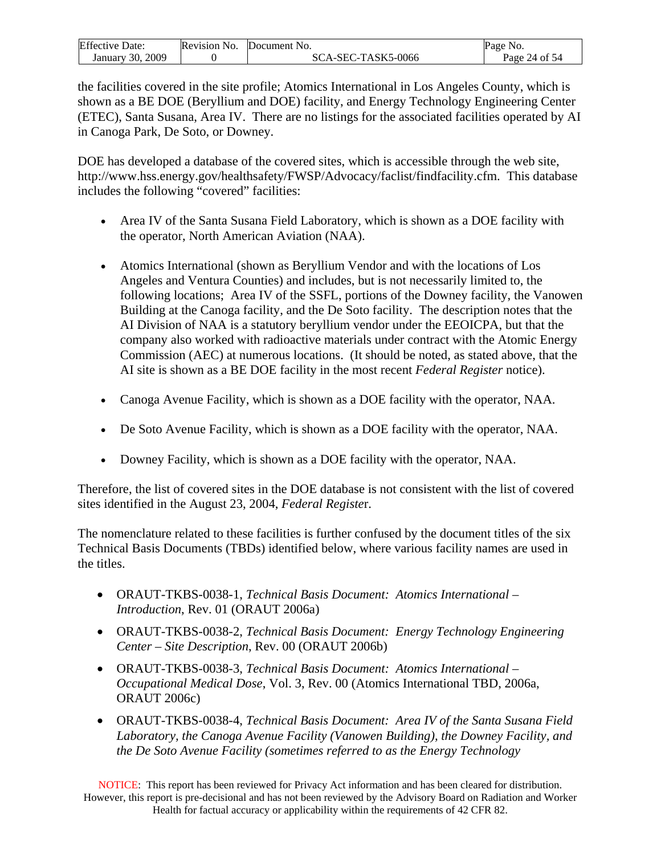| <b>Effective Date:</b> | Revision No. | Document No.       | Page No.      |
|------------------------|--------------|--------------------|---------------|
| January 30, 2009       |              | SCA-SEC-TASK5-0066 | Page 24 of 54 |

the facilities covered in the site profile; Atomics International in Los Angeles County, which is shown as a BE DOE (Beryllium and DOE) facility, and Energy Technology Engineering Center (ETEC), Santa Susana, Area IV. There are no listings for the associated facilities operated by AI in Canoga Park, De Soto, or Downey.

DOE has developed a database of the covered sites, which is accessible through the web site, [http://www.hss.energy.gov/healthsafety/FWSP/Advocacy/faclist/findfacility.cfm.](http://www.hss.energy.gov/healthsafety/FWSP/Advocacy/faclist/findfacility.cfm) This database includes the following "covered" facilities:

- Area IV of the Santa Susana Field Laboratory, which is shown as a DOE facility with the operator, North American Aviation (NAA).
- Atomics International (shown as Beryllium Vendor and with the locations of Los Angeles and Ventura Counties) and includes, but is not necessarily limited to, the following locations; Area IV of the SSFL, portions of the Downey facility, the Vanowen Building at the Canoga facility, and the De Soto facility. The description notes that the AI Division of NAA is a statutory beryllium vendor under the EEOICPA, but that the company also worked with radioactive materials under contract with the Atomic Energy Commission (AEC) at numerous locations. (It should be noted, as stated above, that the AI site is shown as a BE DOE facility in the most recent *Federal Register* notice).
- Canoga Avenue Facility, which is shown as a DOE facility with the operator, NAA.
- De Soto Avenue Facility, which is shown as a DOE facility with the operator, NAA.
- Downey Facility, which is shown as a DOE facility with the operator, NAA.

Therefore, the list of covered sites in the DOE database is not consistent with the list of covered sites identified in the August 23, 2004, *Federal Registe*r.

The nomenclature related to these facilities is further confused by the document titles of the six Technical Basis Documents (TBDs) identified below, where various facility names are used in the titles.

- ORAUT-TKBS-0038-1, *Technical Basis Document: Atomics International Introduction*, Rev. 01 (ORAUT 2006a)
- ORAUT-TKBS-0038-2, *Technical Basis Document: Energy Technology Engineering Center – Site Description*, Rev. 00 (ORAUT 2006b)
- ORAUT-TKBS-0038-3, *Technical Basis Document: Atomics International Occupational Medical Dose*, Vol. 3, Rev. 00 (Atomics International TBD, 2006a, ORAUT 2006c)
- ORAUT-TKBS-0038-4, *Technical Basis Document: Area IV of the Santa Susana Field Laboratory, the Canoga Avenue Facility (Vanowen Building), the Downey Facility, and the De Soto Avenue Facility (sometimes referred to as the Energy Technology*

NOTICE: This report has been reviewed for Privacy Act information and has been cleared for distribution. However, this report is pre-decisional and has not been reviewed by the Advisory Board on Radiation and Worker Health for factual accuracy or applicability within the requirements of 42 CFR 82.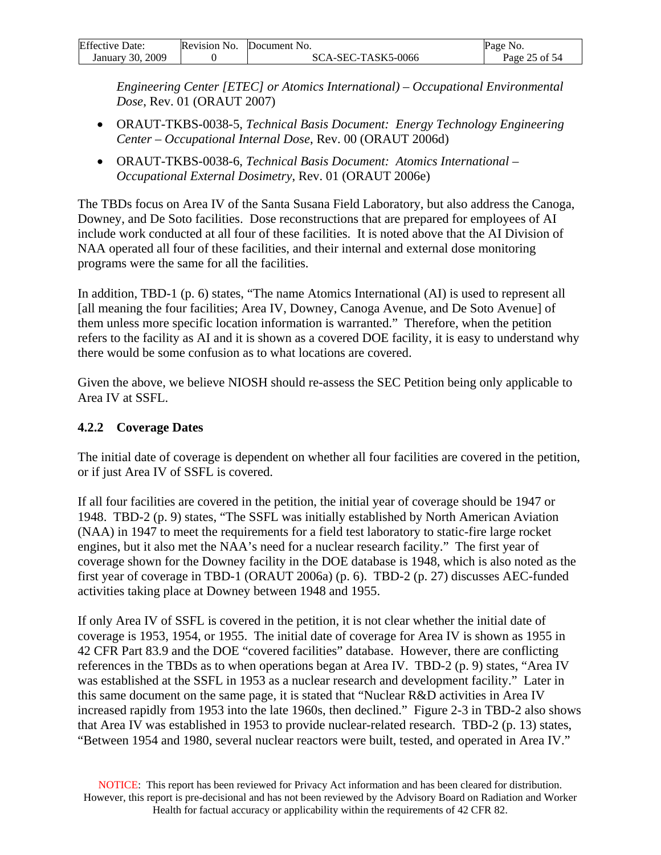<span id="page-24-0"></span>

| <b>Effective Date:</b> | Revision No. | Document No.       | Page No.      |
|------------------------|--------------|--------------------|---------------|
| January 30, 2009       |              | SCA-SEC-TASK5-0066 | Page 25 of 54 |

*Engineering Center [ETEC] or Atomics International) – Occupational Environmental Dose*, Rev. 01 (ORAUT 2007)

- ORAUT-TKBS-0038-5, *Technical Basis Document: Energy Technology Engineering Center – Occupational Internal Dose*, Rev. 00 (ORAUT 2006d)
- ORAUT-TKBS-0038-6, *Technical Basis Document: Atomics International Occupational External Dosimetry*, Rev. 01 (ORAUT 2006e)

The TBDs focus on Area IV of the Santa Susana Field Laboratory, but also address the Canoga, Downey, and De Soto facilities. Dose reconstructions that are prepared for employees of AI include work conducted at all four of these facilities. It is noted above that the AI Division of NAA operated all four of these facilities, and their internal and external dose monitoring programs were the same for all the facilities.

In addition, TBD-1 (p. 6) states, "The name Atomics International (AI) is used to represent all [all meaning the four facilities; Area IV, Downey, Canoga Avenue, and De Soto Avenue] of them unless more specific location information is warranted." Therefore, when the petition refers to the facility as AI and it is shown as a covered DOE facility, it is easy to understand why there would be some confusion as to what locations are covered.

Given the above, we believe NIOSH should re-assess the SEC Petition being only applicable to Area IV at SSFL.

## **4.2.2 Coverage Dates**

The initial date of coverage is dependent on whether all four facilities are covered in the petition, or if just Area IV of SSFL is covered.

If all four facilities are covered in the petition, the initial year of coverage should be 1947 or 1948. TBD-2 (p. 9) states, "The SSFL was initially established by North American Aviation (NAA) in 1947 to meet the requirements for a field test laboratory to static-fire large rocket engines, but it also met the NAA's need for a nuclear research facility." The first year of coverage shown for the Downey facility in the DOE database is 1948, which is also noted as the first year of coverage in TBD-1 (ORAUT 2006a) (p. 6). TBD-2 (p. 27) discusses AEC-funded activities taking place at Downey between 1948 and 1955.

If only Area IV of SSFL is covered in the petition, it is not clear whether the initial date of coverage is 1953, 1954, or 1955. The initial date of coverage for Area IV is shown as 1955 in 42 CFR Part 83.9 and the DOE "covered facilities" database. However, there are conflicting references in the TBDs as to when operations began at Area IV. TBD-2 (p. 9) states, "Area IV was established at the SSFL in 1953 as a nuclear research and development facility." Later in this same document on the same page, it is stated that "Nuclear R&D activities in Area IV increased rapidly from 1953 into the late 1960s, then declined." Figure 2-3 in TBD-2 also shows that Area IV was established in 1953 to provide nuclear-related research. TBD-2 (p. 13) states, "Between 1954 and 1980, several nuclear reactors were built, tested, and operated in Area IV."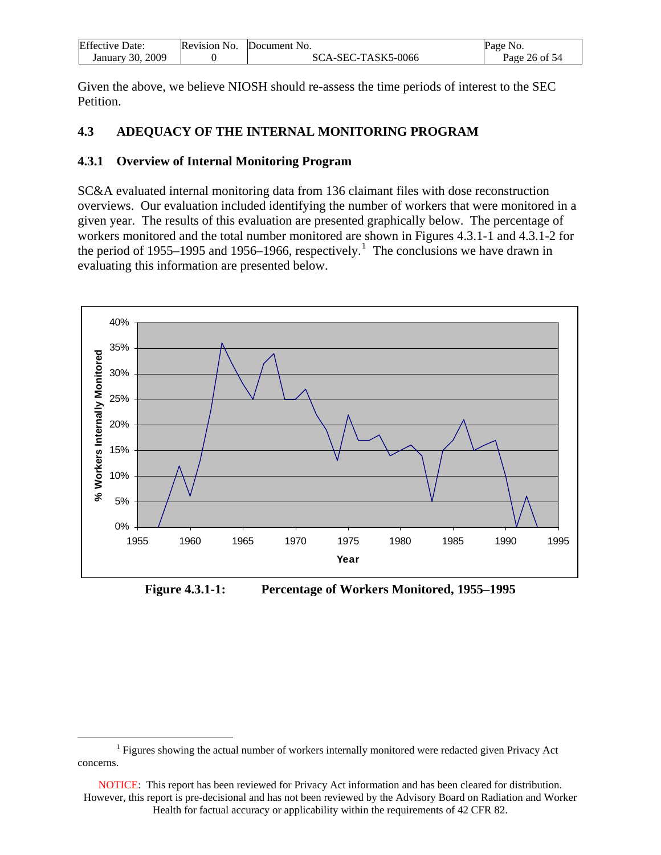<span id="page-25-0"></span>

| <b>Effective Date:</b> | Revision No. | Document No.       | Page No.      |
|------------------------|--------------|--------------------|---------------|
| January 30, 2009       |              | SCA-SEC-TASK5-0066 | Page 26 of 54 |

Given the above, we believe NIOSH should re-assess the time periods of interest to the SEC Petition.

### **4.3 ADEQUACY OF THE INTERNAL MONITORING PROGRAM**

#### **4.3.1 Overview of Internal Monitoring Program**

SC&A evaluated internal monitoring data from 136 claimant files with dose reconstruction overviews. Our evaluation included identifying the number of workers that were monitored in a given year. The results of this evaluation are presented graphically below. The percentage of workers monitored and the total number monitored are shown in Figures 4.3.1-1 and 4.3.1-2 for the period of [1](#page-25-0)955–1995 and 1956–1966, respectively.<sup>1</sup> The conclusions we have drawn in evaluating this information are presented below.



**Figure 4.3.1-1: Percentage of Workers Monitored, 1955–1995** 

 $\begin{array}{c|c}\n\hline\n\end{array}$  $<sup>1</sup>$  Figures showing the actual number of workers internally monitored were redacted given Privacy Act</sup> concerns.

NOTICE: This report has been reviewed for Privacy Act information and has been cleared for distribution. However, this report is pre-decisional and has not been reviewed by the Advisory Board on Radiation and Worker Health for factual accuracy or applicability within the requirements of 42 CFR 82.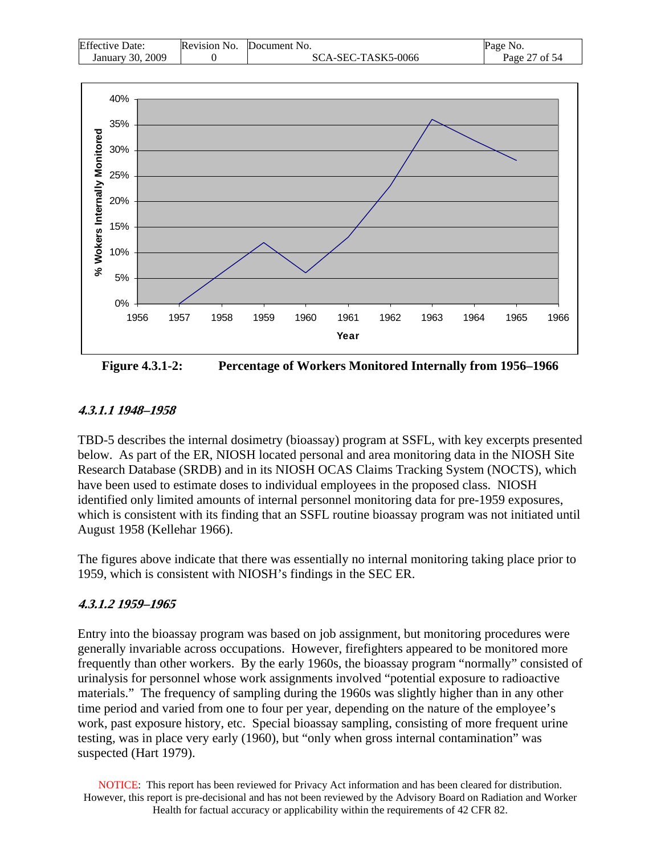| <b>Effective Date:</b> | Revision No. | Document No.       | Page No.      |
|------------------------|--------------|--------------------|---------------|
| January 30, 2009       |              | SCA-SEC-TASK5-0066 | Page 27 of 54 |



**Figure 4.3.1-2: Percentage of Workers Monitored Internally from 1956–1966** 

#### **4.3.1.1 1948–1958**

TBD-5 describes the internal dosimetry (bioassay) program at SSFL, with key excerpts presented below. As part of the ER, NIOSH located personal and area monitoring data in the NIOSH Site Research Database (SRDB) and in its NIOSH OCAS Claims Tracking System (NOCTS), which have been used to estimate doses to individual employees in the proposed class. NIOSH identified only limited amounts of internal personnel monitoring data for pre-1959 exposures, which is consistent with its finding that an SSFL routine bioassay program was not initiated until August 1958 (Kellehar 1966).

The figures above indicate that there was essentially no internal monitoring taking place prior to 1959, which is consistent with NIOSH's findings in the SEC ER.

#### **4.3.1.2 1959–1965**

Entry into the bioassay program was based on job assignment, but monitoring procedures were generally invariable across occupations. However, firefighters appeared to be monitored more frequently than other workers. By the early 1960s, the bioassay program "normally" consisted of urinalysis for personnel whose work assignments involved "potential exposure to radioactive materials." The frequency of sampling during the 1960s was slightly higher than in any other time period and varied from one to four per year, depending on the nature of the employee's work, past exposure history, etc. Special bioassay sampling, consisting of more frequent urine testing, was in place very early (1960), but "only when gross internal contamination" was suspected (Hart 1979).

NOTICE: This report has been reviewed for Privacy Act information and has been cleared for distribution. However, this report is pre-decisional and has not been reviewed by the Advisory Board on Radiation and Worker Health for factual accuracy or applicability within the requirements of 42 CFR 82.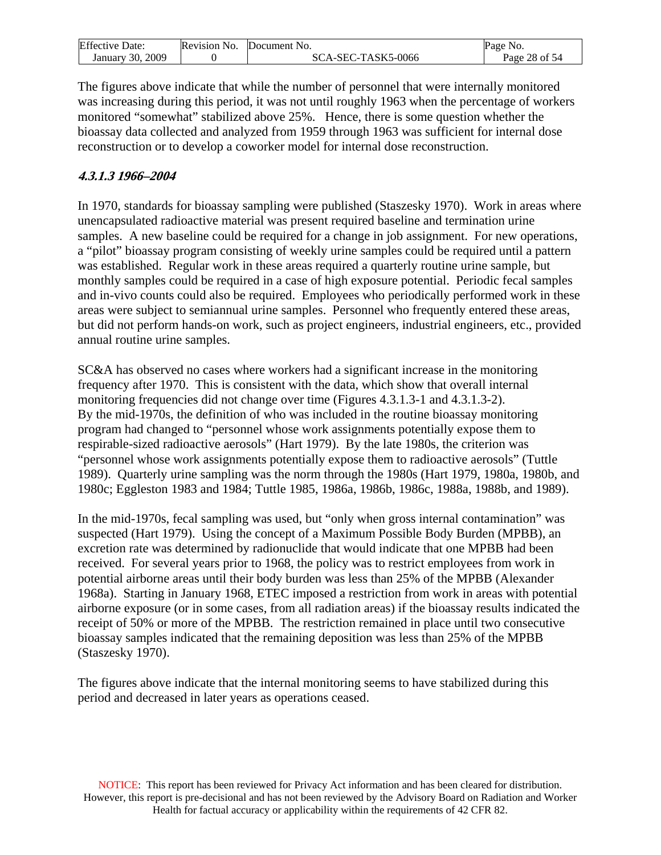| <b>Effective Date:</b> | Revision No. | Document No.       | Page No.      |
|------------------------|--------------|--------------------|---------------|
| January 30, 2009       |              | SCA-SEC-TASK5-0066 | Page 28 of 54 |

The figures above indicate that while the number of personnel that were internally monitored was increasing during this period, it was not until roughly 1963 when the percentage of workers monitored "somewhat" stabilized above 25%. Hence, there is some question whether the bioassay data collected and analyzed from 1959 through 1963 was sufficient for internal dose reconstruction or to develop a coworker model for internal dose reconstruction.

### **4.3.1.3 1966–2004**

In 1970, standards for bioassay sampling were published (Staszesky 1970). Work in areas where unencapsulated radioactive material was present required baseline and termination urine samples. A new baseline could be required for a change in job assignment. For new operations, a "pilot" bioassay program consisting of weekly urine samples could be required until a pattern was established. Regular work in these areas required a quarterly routine urine sample, but monthly samples could be required in a case of high exposure potential. Periodic fecal samples and in-vivo counts could also be required. Employees who periodically performed work in these areas were subject to semiannual urine samples. Personnel who frequently entered these areas, but did not perform hands-on work, such as project engineers, industrial engineers, etc., provided annual routine urine samples.

SC&A has observed no cases where workers had a significant increase in the monitoring frequency after 1970. This is consistent with the data, which show that overall internal monitoring frequencies did not change over time (Figures 4.3.1.3-1 and 4.3.1.3-2). By the mid-1970s, the definition of who was included in the routine bioassay monitoring program had changed to "personnel whose work assignments potentially expose them to respirable-sized radioactive aerosols" (Hart 1979). By the late 1980s, the criterion was "personnel whose work assignments potentially expose them to radioactive aerosols" (Tuttle 1989). Quarterly urine sampling was the norm through the 1980s (Hart 1979, 1980a, 1980b, and 1980c; Eggleston 1983 and 1984; Tuttle 1985, 1986a, 1986b, 1986c, 1988a, 1988b, and 1989).

In the mid-1970s, fecal sampling was used, but "only when gross internal contamination" was suspected (Hart 1979). Using the concept of a Maximum Possible Body Burden (MPBB), an excretion rate was determined by radionuclide that would indicate that one MPBB had been received. For several years prior to 1968, the policy was to restrict employees from work in potential airborne areas until their body burden was less than 25% of the MPBB (Alexander 1968a). Starting in January 1968, ETEC imposed a restriction from work in areas with potential airborne exposure (or in some cases, from all radiation areas) if the bioassay results indicated the receipt of 50% or more of the MPBB. The restriction remained in place until two consecutive bioassay samples indicated that the remaining deposition was less than 25% of the MPBB (Staszesky 1970).

The figures above indicate that the internal monitoring seems to have stabilized during this period and decreased in later years as operations ceased.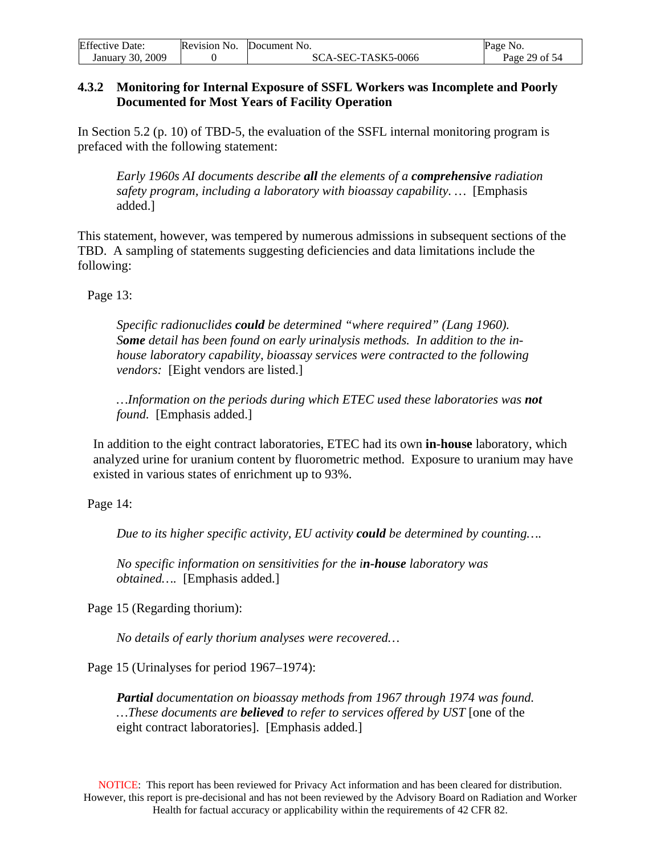<span id="page-28-0"></span>

| <b>Effective Date:</b> | Revision No. | Document No.       | Page No.      |
|------------------------|--------------|--------------------|---------------|
| January 30, 2009       |              | SCA-SEC-TASK5-0066 | Page 29 of 54 |

#### **4.3.2 Monitoring for Internal Exposure of SSFL Workers was Incomplete and Poorly Documented for Most Years of Facility Operation**

In Section 5.2 (p. 10) of TBD-5, the evaluation of the SSFL internal monitoring program is prefaced with the following statement:

*Early 1960s AI documents describe all the elements of a comprehensive radiation safety program, including a laboratory with bioassay capability. …* [Emphasis added.]

This statement, however, was tempered by numerous admissions in subsequent sections of the TBD. A sampling of statements suggesting deficiencies and data limitations include the following:

Page 13:

*Specific radionuclides could be determined "where required" (Lang 1960). Some detail has been found on early urinalysis methods. In addition to the inhouse laboratory capability, bioassay services were contracted to the following vendors:* [Eight vendors are listed.]

*…Information on the periods during which ETEC used these laboratories was not found.* [Emphasis added.]

 In addition to the eight contract laboratories, ETEC had its own **in-house** laboratory, which analyzed urine for uranium content by fluorometric method. Exposure to uranium may have existed in various states of enrichment up to 93%.

Page 14:

*Due to its higher specific activity, EU activity could be determined by counting….* 

*No specific information on sensitivities for the in-house laboratory was obtained….* [Emphasis added.]

Page 15 (Regarding thorium):

*No details of early thorium analyses were recovered…* 

Page 15 (Urinalyses for period 1967–1974):

*Partial documentation on bioassay methods from 1967 through 1974 was found. …These documents are believed to refer to services offered by UST* [one of the eight contract laboratories]. [Emphasis added.]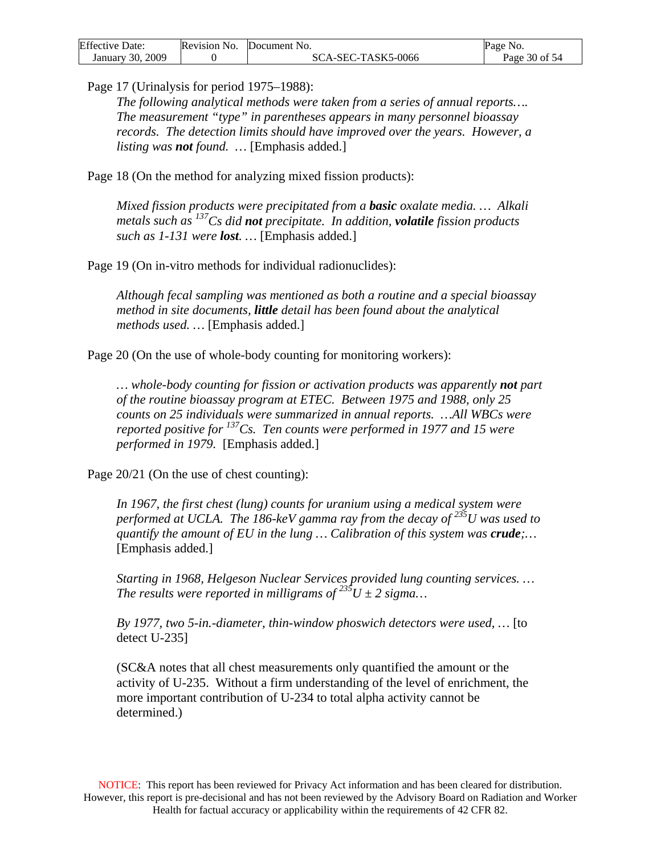| <b>Effective Date:</b> | Revision No. Document No. | Page No.      |
|------------------------|---------------------------|---------------|
| January 30, 2009       | SCA-SEC-TASK5-0066        | Page 30 of 54 |

Page 17 (Urinalysis for period 1975–1988):

*The following analytical methods were taken from a series of annual reports…. The measurement "type" in parentheses appears in many personnel bioassay records. The detection limits should have improved over the years. However, a listing was not found. …* [Emphasis added.]

Page 18 (On the method for analyzing mixed fission products):

*Mixed fission products were precipitated from a basic oxalate media. … Alkali metals such as 137Cs did not precipitate. In addition, volatile fission products such as 1-131 were lost. …* [Emphasis added.]

Page 19 (On in-vitro methods for individual radionuclides):

*Although fecal sampling was mentioned as both a routine and a special bioassay method in site documents, little detail has been found about the analytical methods used. …* [Emphasis added.]

Page 20 (On the use of whole-body counting for monitoring workers):

*… whole-body counting for fission or activation products was apparently not part of the routine bioassay program at ETEC. Between 1975 and 1988, only 25 counts on 25 individuals were summarized in annual reports. …All WBCs were reported positive for 137Cs. Ten counts were performed in 1977 and 15 were performed in 1979.* [Emphasis added.]

Page 20/21 (On the use of chest counting):

*In 1967, the first chest (lung) counts for uranium using a medical system were performed at UCLA. The 186-keV gamma ray from the decay of 235U was used to quantify the amount of EU in the lung … Calibration of this system was crude;…* [Emphasis added.]

*Starting in 1968, Helgeson Nuclear Services provided lung counting services. … The results were reported in milligrams of*  $235U \pm 2$  *sigma...* 

*By 1977, two 5-in.-diameter, thin-window phoswich detectors were used, …* [to detect U-235]

(SC&A notes that all chest measurements only quantified the amount or the activity of U-235. Without a firm understanding of the level of enrichment, the more important contribution of U-234 to total alpha activity cannot be determined.)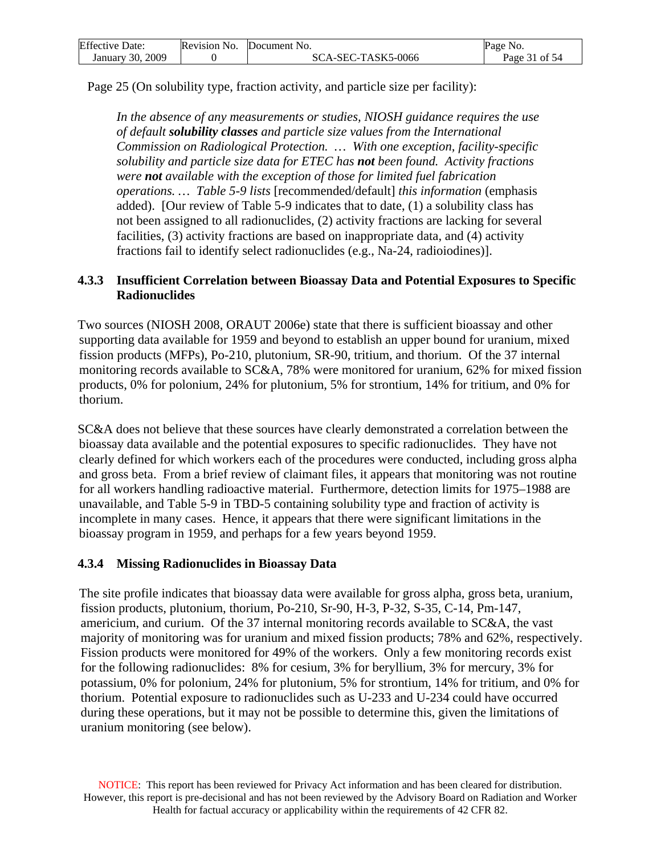<span id="page-30-0"></span>

| <b>Effective Date:</b> | Revision No. | Document No.       | Page No.      |
|------------------------|--------------|--------------------|---------------|
| January 30, 2009       |              | SCA-SEC-TASK5-0066 | Page 31 of 54 |

Page 25 (On solubility type, fraction activity, and particle size per facility):

*In the absence of any measurements or studies, NIOSH guidance requires the use of default solubility classes and particle size values from the International Commission on Radiological Protection. … With one exception, facility-specific solubility and particle size data for ETEC has not been found. Activity fractions were not available with the exception of those for limited fuel fabrication operations. … Table 5-9 lists* [recommended/default] *this information* (emphasis added).[Our review of Table 5-9 indicates that to date, (1) a solubility class has not been assigned to all radionuclides, (2) activity fractions are lacking for several facilities, (3) activity fractions are based on inappropriate data, and (4) activity fractions fail to identify select radionuclides (e.g., Na-24, radioiodines)].

#### **4.3.3 Insufficient Correlation between Bioassay Data and Potential Exposures to Specific Radionuclides**

Two sources (NIOSH 2008, ORAUT 2006e) state that there is sufficient bioassay and other supporting data available for 1959 and beyond to establish an upper bound for uranium, mixed fission products (MFPs), Po-210, plutonium, SR-90, tritium, and thorium. Of the 37 internal monitoring records available to SC&A, 78% were monitored for uranium, 62% for mixed fission products, 0% for polonium, 24% for plutonium, 5% for strontium, 14% for tritium, and 0% for thorium.

SC&A does not believe that these sources have clearly demonstrated a correlation between the bioassay data available and the potential exposures to specific radionuclides. They have not clearly defined for which workers each of the procedures were conducted, including gross alpha and gross beta. From a brief review of claimant files, it appears that monitoring was not routine for all workers handling radioactive material. Furthermore, detection limits for 1975–1988 are unavailable, and Table 5-9 in TBD-5 containing solubility type and fraction of activity is incomplete in many cases. Hence, it appears that there were significant limitations in the bioassay program in 1959, and perhaps for a few years beyond 1959.

#### **4.3.4 Missing Radionuclides in Bioassay Data**

The site profile indicates that bioassay data were available for gross alpha, gross beta, uranium, fission products, plutonium, thorium, Po-210, Sr-90, H-3, P-32, S-35, C-14, Pm-147, americium, and curium. Of the 37 internal monitoring records available to SC&A, the vast majority of monitoring was for uranium and mixed fission products; 78% and 62%, respectively. Fission products were monitored for 49% of the workers. Only a few monitoring records exist for the following radionuclides: 8% for cesium, 3% for beryllium, 3% for mercury, 3% for potassium, 0% for polonium, 24% for plutonium, 5% for strontium, 14% for tritium, and 0% for thorium. Potential exposure to radionuclides such as U-233 and U-234 could have occurred during these operations, but it may not be possible to determine this, given the limitations of uranium monitoring (see below).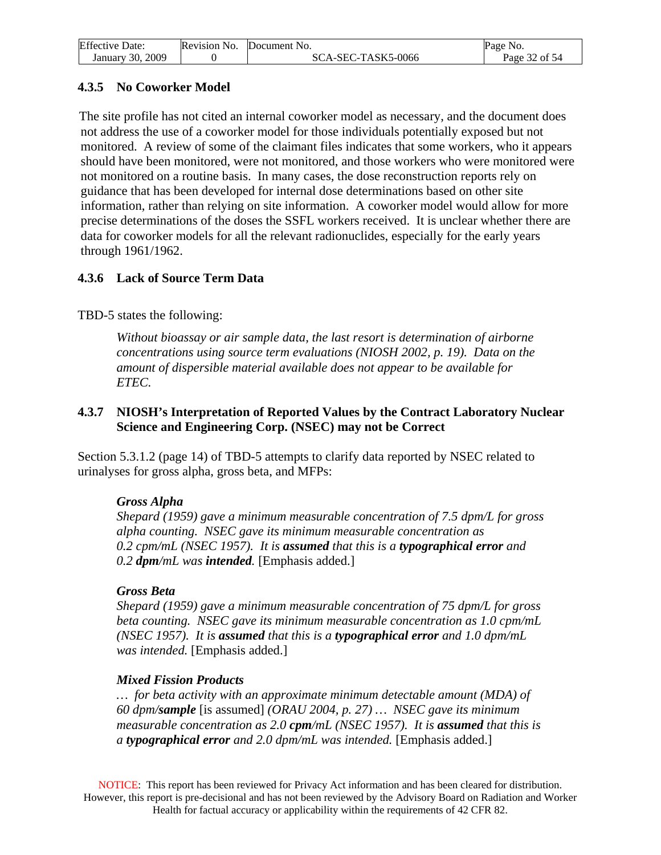<span id="page-31-0"></span>

| <b>Effective Date:</b> | Revision No. Document No. | Page No.      |
|------------------------|---------------------------|---------------|
| January 30, 2009       | SCA-SEC-TASK5-0066        | Page 32 of 54 |

## **4.3.5 No Coworker Model**

The site profile has not cited an internal coworker model as necessary, and the document does not address the use of a coworker model for those individuals potentially exposed but not monitored. A review of some of the claimant files indicates that some workers, who it appears should have been monitored, were not monitored, and those workers who were monitored were not monitored on a routine basis. In many cases, the dose reconstruction reports rely on guidance that has been developed for internal dose determinations based on other site information, rather than relying on site information. A coworker model would allow for more precise determinations of the doses the SSFL workers received. It is unclear whether there are data for coworker models for all the relevant radionuclides, especially for the early years through 1961/1962.

### **4.3.6 Lack of Source Term Data**

### TBD-5 states the following:

*Without bioassay or air sample data, the last resort is determination of airborne concentrations using source term evaluations (NIOSH 2002, p. 19). Data on the amount of dispersible material available does not appear to be available for ETEC.* 

#### **4.3.7 NIOSH's Interpretation of Reported Values by the Contract Laboratory Nuclear Science and Engineering Corp. (NSEC) may not be Correct**

Section 5.3.1.2 (page 14) of TBD-5 attempts to clarify data reported by NSEC related to urinalyses for gross alpha, gross beta, and MFPs:

#### *Gross Alpha*

*Shepard (1959) gave a minimum measurable concentration of 7.5 dpm/L for gross alpha counting. NSEC gave its minimum measurable concentration as 0.2 cpm/mL (NSEC 1957). It is assumed that this is a typographical error and 0.2 dpm/mL was intended.* [Emphasis added.]

### *Gross Beta*

*Shepard (1959) gave a minimum measurable concentration of 75 dpm/L for gross beta counting. NSEC gave its minimum measurable concentration as 1.0 cpm/mL (NSEC 1957). It is assumed that this is a typographical error and 1.0 dpm/mL was intended.* [Emphasis added.]

### *Mixed Fission Products*

*… for beta activity with an approximate minimum detectable amount (MDA) of 60 dpm/sample* [is assumed] *(ORAU 2004, p. 27) … NSEC gave its minimum measurable concentration as 2.0 cpm/mL (NSEC 1957). It is assumed that this is a typographical error and 2.0 dpm/mL was intended.* [Emphasis added.]

NOTICE: This report has been reviewed for Privacy Act information and has been cleared for distribution. However, this report is pre-decisional and has not been reviewed by the Advisory Board on Radiation and Worker Health for factual accuracy or applicability within the requirements of 42 CFR 82.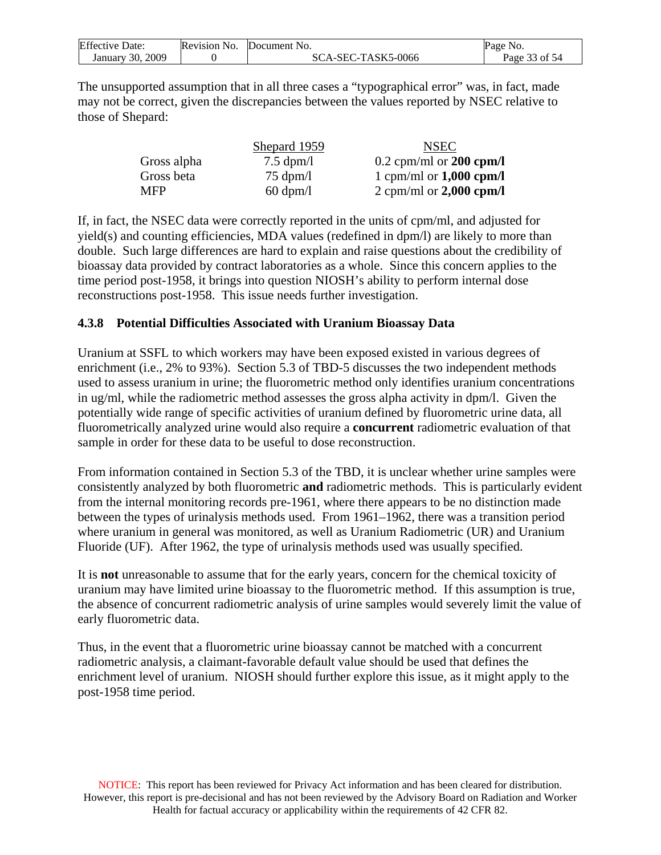<span id="page-32-0"></span>

| <b>Effective Date:</b> | Revision No. | Document No.       | Page No.      |
|------------------------|--------------|--------------------|---------------|
| 2009<br>January 30.    |              | SCA-SEC-TASK5-0066 | Page 33 of 54 |

The unsupported assumption that in all three cases a "typographical error" was, in fact, made may not be correct, given the discrepancies between the values reported by NSEC relative to those of Shepard:

|             | Shepard 1959        | <b>NSEC</b>               |
|-------------|---------------------|---------------------------|
| Gross alpha | $7.5 \text{ dpm/l}$ | $0.2$ cpm/ml or 200 cpm/l |
| Gross beta  | $75 \text{ dpm}/l$  | 1 cpm/ml or $1,000$ cpm/l |
| <b>MFP</b>  | $60 \text{ dpm}/l$  | 2 cpm/ml or $2,000$ cpm/l |

If, in fact, the NSEC data were correctly reported in the units of cpm/ml, and adjusted for yield(s) and counting efficiencies, MDA values (redefined in dpm/l) are likely to more than double. Such large differences are hard to explain and raise questions about the credibility of bioassay data provided by contract laboratories as a whole. Since this concern applies to the time period post-1958, it brings into question NIOSH's ability to perform internal dose reconstructions post-1958. This issue needs further investigation.

### **4.3.8 Potential Difficulties Associated with Uranium Bioassay Data**

Uranium at SSFL to which workers may have been exposed existed in various degrees of enrichment (i.e., 2% to 93%). Section 5.3 of TBD-5 discusses the two independent methods used to assess uranium in urine; the fluorometric method only identifies uranium concentrations in ug/ml, while the radiometric method assesses the gross alpha activity in dpm/l. Given the potentially wide range of specific activities of uranium defined by fluorometric urine data, all fluorometrically analyzed urine would also require a **concurrent** radiometric evaluation of that sample in order for these data to be useful to dose reconstruction.

From information contained in Section 5.3 of the TBD, it is unclear whether urine samples were consistently analyzed by both fluorometric **and** radiometric methods. This is particularly evident from the internal monitoring records pre-1961, where there appears to be no distinction made between the types of urinalysis methods used. From 1961–1962, there was a transition period where uranium in general was monitored, as well as Uranium Radiometric (UR) and Uranium Fluoride (UF). After 1962, the type of urinalysis methods used was usually specified.

It is **not** unreasonable to assume that for the early years, concern for the chemical toxicity of uranium may have limited urine bioassay to the fluorometric method. If this assumption is true, the absence of concurrent radiometric analysis of urine samples would severely limit the value of early fluorometric data.

Thus, in the event that a fluorometric urine bioassay cannot be matched with a concurrent radiometric analysis, a claimant-favorable default value should be used that defines the enrichment level of uranium. NIOSH should further explore this issue, as it might apply to the post-1958 time period.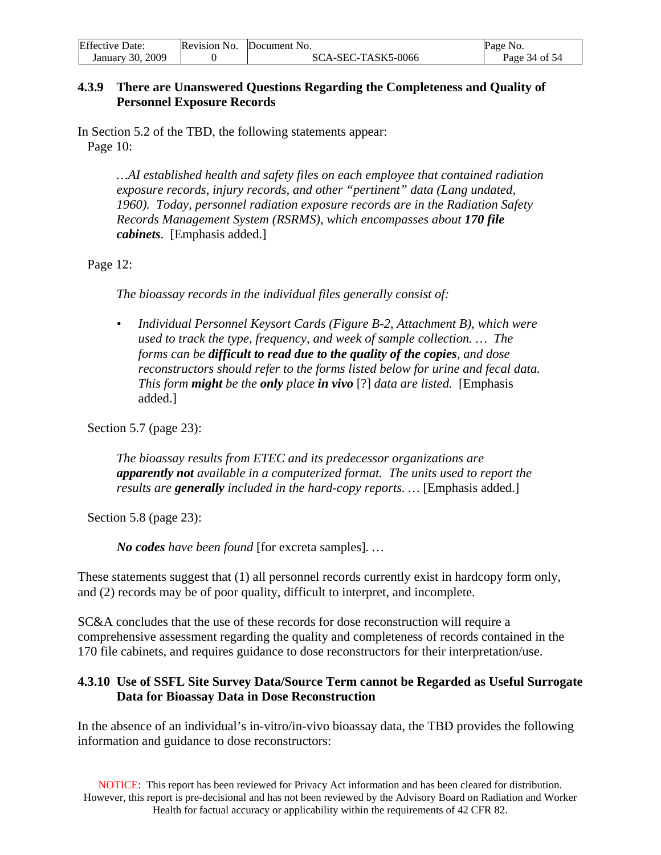<span id="page-33-0"></span>

| <b>Effective Date:</b> | Revision No. Document No. | Page No.      |
|------------------------|---------------------------|---------------|
| January 30, 2009       | SCA-SEC-TASK5-0066        | Page 34 of 54 |

#### **4.3.9 There are Unanswered Questions Regarding the Completeness and Quality of Personnel Exposure Records**

In Section 5.2 of the TBD, the following statements appear: Page 10:

> *…AI established health and safety files on each employee that contained radiation exposure records, injury records, and other "pertinent" data (Lang undated, 1960). Today, personnel radiation exposure records are in the Radiation Safety Records Management System (RSRMS), which encompasses about 170 file cabinets*. [Emphasis added.]

Page 12:

*The bioassay records in the individual files generally consist of:* 

*• Individual Personnel Keysort Cards (Figure B-2, Attachment B), which were used to track the type, frequency, and week of sample collection. … The forms can be difficult to read due to the quality of the copies, and dose reconstructors should refer to the forms listed below for urine and fecal data. This form might be the only place in vivo* [?] *data are listed.* [Emphasis added.]

Section 5.7 (page 23):

*The bioassay results from ETEC and its predecessor organizations are apparently not available in a computerized format. The units used to report the results are generally included in the hard-copy reports. …* [Emphasis added.]

Section 5.8 (page 23):

*No codes have been found* [for excreta samples]*. …* 

These statements suggest that (1) all personnel records currently exist in hardcopy form only, and (2) records may be of poor quality, difficult to interpret, and incomplete.

SC&A concludes that the use of these records for dose reconstruction will require a comprehensive assessment regarding the quality and completeness of records contained in the 170 file cabinets, and requires guidance to dose reconstructors for their interpretation/use.

#### **4.3.10 Use of SSFL Site Survey Data/Source Term cannot be Regarded as Useful Surrogate Data for Bioassay Data in Dose Reconstruction**

In the absence of an individual's in-vitro/in-vivo bioassay data, the TBD provides the following information and guidance to dose reconstructors:

NOTICE: This report has been reviewed for Privacy Act information and has been cleared for distribution. However, this report is pre-decisional and has not been reviewed by the Advisory Board on Radiation and Worker Health for factual accuracy or applicability within the requirements of 42 CFR 82.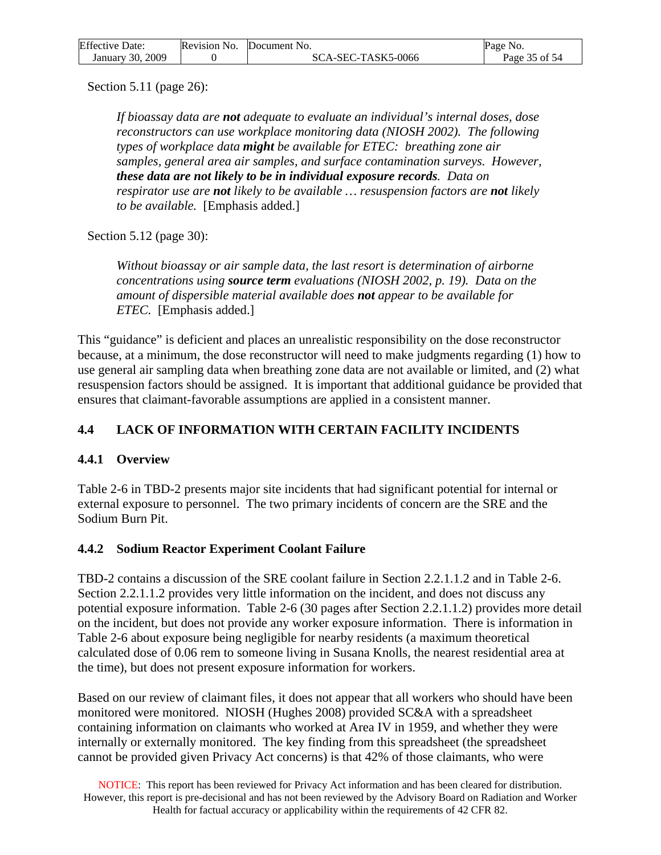<span id="page-34-0"></span>

| <b>Effective Date:</b> | Revision No. Document No. | Page No.      |
|------------------------|---------------------------|---------------|
| January 30, 2009       | SCA-SEC-TASK5-0066        | Page 35 of 54 |

Section 5.11 (page 26):

*If bioassay data are not adequate to evaluate an individual's internal doses, dose reconstructors can use workplace monitoring data (NIOSH 2002). The following types of workplace data might be available for ETEC: breathing zone air samples, general area air samples, and surface contamination surveys. However, these data are not likely to be in individual exposure records. Data on respirator use are not likely to be available … resuspension factors are not likely to be available.* [Emphasis added.]

Section 5.12 (page 30):

*Without bioassay or air sample data, the last resort is determination of airborne concentrations using source term evaluations (NIOSH 2002, p. 19). Data on the amount of dispersible material available does not appear to be available for ETEC.* [Emphasis added.]

This "guidance" is deficient and places an unrealistic responsibility on the dose reconstructor because, at a minimum, the dose reconstructor will need to make judgments regarding (1) how to use general air sampling data when breathing zone data are not available or limited, and (2) what resuspension factors should be assigned. It is important that additional guidance be provided that ensures that claimant-favorable assumptions are applied in a consistent manner.

## **4.4 LACK OF INFORMATION WITH CERTAIN FACILITY INCIDENTS**

### **4.4.1 Overview**

Table 2-6 in TBD-2 presents major site incidents that had significant potential for internal or external exposure to personnel. The two primary incidents of concern are the SRE and the Sodium Burn Pit.

### **4.4.2 Sodium Reactor Experiment Coolant Failure**

TBD-2 contains a discussion of the SRE coolant failure in Section 2.2.1.1.2 and in Table 2-6. Section 2.2.1.1.2 provides very little information on the incident, and does not discuss any potential exposure information. Table 2-6 (30 pages after Section 2.2.1.1.2) provides more detail on the incident, but does not provide any worker exposure information. There is information in Table 2-6 about exposure being negligible for nearby residents (a maximum theoretical calculated dose of 0.06 rem to someone living in Susana Knolls, the nearest residential area at the time), but does not present exposure information for workers.

Based on our review of claimant files, it does not appear that all workers who should have been monitored were monitored. NIOSH (Hughes 2008) provided SC&A with a spreadsheet containing information on claimants who worked at Area IV in 1959, and whether they were internally or externally monitored. The key finding from this spreadsheet (the spreadsheet cannot be provided given Privacy Act concerns) is that 42% of those claimants, who were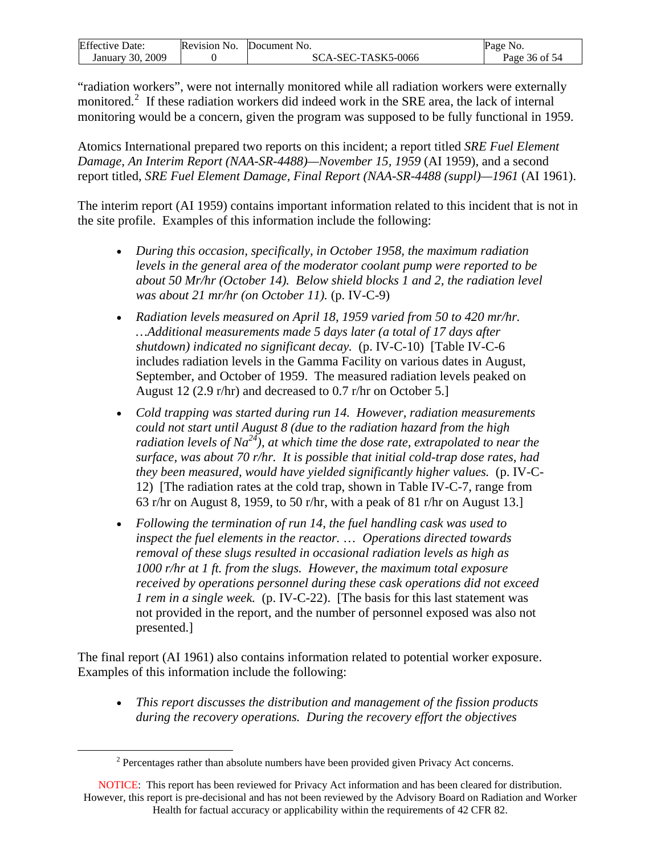<span id="page-35-0"></span>

| <b>Effective Date:</b> | Revision No. | Document No.       | Page No.      |
|------------------------|--------------|--------------------|---------------|
| 2009<br>January 30.    |              | SCA-SEC-TASK5-0066 | Page 36 of 54 |

"radiation workers", were not internally monitored while all radiation workers were externally monitored.<sup>[2](#page-35-0)</sup> If these radiation workers did indeed work in the SRE area, the lack of internal monitoring would be a concern, given the program was supposed to be fully functional in 1959.

Atomics International prepared two reports on this incident; a report titled *SRE Fuel Element Damage, An Interim Report (NAA-SR-4488)—November 15, 1959* (AI 1959), and a second report titled, *SRE Fuel Element Damage, Final Report (NAA-SR-4488 (suppl)—1961* (AI 1961).

The interim report (AI 1959) contains important information related to this incident that is not in the site profile. Examples of this information include the following:

- *During this occasion, specifically, in October 1958, the maximum radiation levels in the general area of the moderator coolant pump were reported to be about 50 Mr/hr (October 14). Below shield blocks 1 and 2, the radiation level was about 21 mr/hr (on October 11).* (p. IV-C-9)
- *Radiation levels measured on April 18, 1959 varied from 50 to 420 mr/hr. …Additional measurements made 5 days later (a total of 17 days after shutdown) indicated no significant decay.* (p. IV-C-10) [Table IV-C-6 includes radiation levels in the Gamma Facility on various dates in August, September, and October of 1959. The measured radiation levels peaked on August 12 (2.9 r/hr) and decreased to 0.7 r/hr on October 5.]
- *Cold trapping was started during run 14. However, radiation measurements could not start until August 8 (due to the radiation hazard from the high radiation levels of Na24), at which time the dose rate, extrapolated to near the surface, was about 70 r/hr. It is possible that initial cold-trap dose rates, had they been measured, would have yielded significantly higher values.* (p. IV-C-12) [The radiation rates at the cold trap, shown in Table IV-C-7, range from 63 r/hr on August 8, 1959, to 50 r/hr, with a peak of 81 r/hr on August 13.]
- *Following the termination of run 14, the fuel handling cask was used to inspect the fuel elements in the reactor.* … *Operations directed towards removal of these slugs resulted in occasional radiation levels as high as 1000 r/hr at 1 ft. from the slugs. However, the maximum total exposure received by operations personnel during these cask operations did not exceed 1 rem in a single week.* (p. IV-C-22). [The basis for this last statement was not provided in the report, and the number of personnel exposed was also not presented.]

The final report (AI 1961) also contains information related to potential worker exposure. Examples of this information include the following:

• *This report discusses the distribution and management of the fission products during the recovery operations. During the recovery effort the objectives* 

 $\overline{a}$ 

 $2^2$  Percentages rather than absolute numbers have been provided given Privacy Act concerns.

NOTICE: This report has been reviewed for Privacy Act information and has been cleared for distribution. However, this report is pre-decisional and has not been reviewed by the Advisory Board on Radiation and Worker Health for factual accuracy or applicability within the requirements of 42 CFR 82.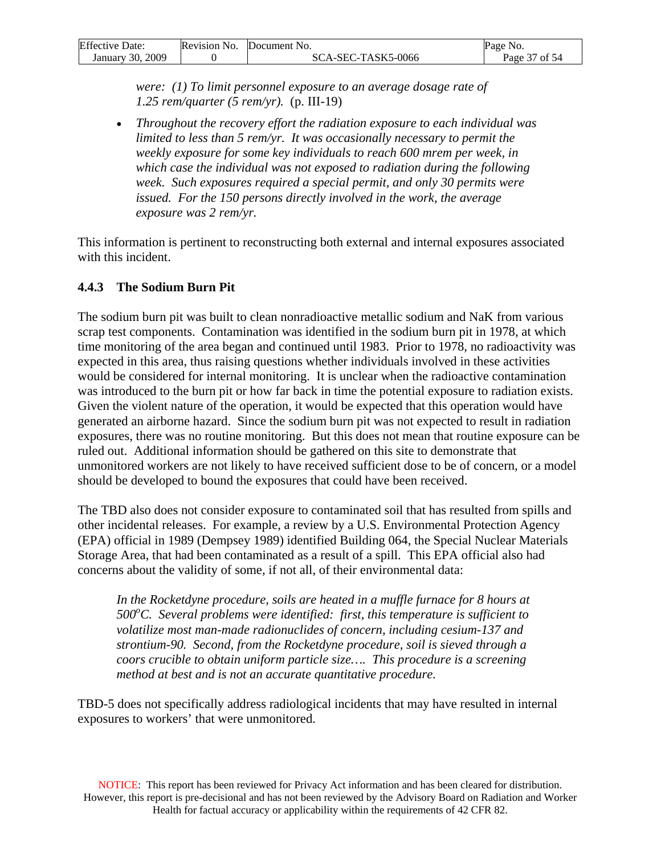<span id="page-36-0"></span>

| <b>Effective Date:</b> | Revision No. | Document No.       | Page No.      |
|------------------------|--------------|--------------------|---------------|
| January 30, 2009       |              | SCA-SEC-TASK5-0066 | Page 37 of 54 |

*were: (1) To limit personnel exposure to an average dosage rate of 1.25 rem/quarter (5 rem/yr).* (p. III-19)

• *Throughout the recovery effort the radiation exposure to each individual was limited to less than 5 rem/yr. It was occasionally necessary to permit the weekly exposure for some key individuals to reach 600 mrem per week, in which case the individual was not exposed to radiation during the following week. Such exposures required a special permit, and only 30 permits were issued. For the 150 persons directly involved in the work, the average exposure was 2 rem/yr.*

This information is pertinent to reconstructing both external and internal exposures associated with this incident.

#### **4.4.3 The Sodium Burn Pit**

The sodium burn pit was built to clean nonradioactive metallic sodium and NaK from various scrap test components. Contamination was identified in the sodium burn pit in 1978, at which time monitoring of the area began and continued until 1983. Prior to 1978, no radioactivity was expected in this area, thus raising questions whether individuals involved in these activities would be considered for internal monitoring. It is unclear when the radioactive contamination was introduced to the burn pit or how far back in time the potential exposure to radiation exists. Given the violent nature of the operation, it would be expected that this operation would have generated an airborne hazard. Since the sodium burn pit was not expected to result in radiation exposures, there was no routine monitoring. But this does not mean that routine exposure can be ruled out. Additional information should be gathered on this site to demonstrate that unmonitored workers are not likely to have received sufficient dose to be of concern, or a model should be developed to bound the exposures that could have been received.

The TBD also does not consider exposure to contaminated soil that has resulted from spills and other incidental releases. For example, a review by a U.S. Environmental Protection Agency (EPA) official in 1989 (Dempsey 1989) identified Building 064, the Special Nuclear Materials Storage Area, that had been contaminated as a result of a spill. This EPA official also had concerns about the validity of some, if not all, of their environmental data:

In the Rocketdyne procedure, soils are heated in a muffle furnace for 8 hours at 500°C. Several problems were identified: first, this temperature is sufficient to *volatilize most man-made radionuclides of concern, including cesium-137 and strontium-90. Second, from the Rocketdyne procedure, soil is sieved through a coors crucible to obtain uniform particle size…. This procedure is a screening method at best and is not an accurate quantitative procedure.*

TBD-5 does not specifically address radiological incidents that may have resulted in internal exposures to workers' that were unmonitored.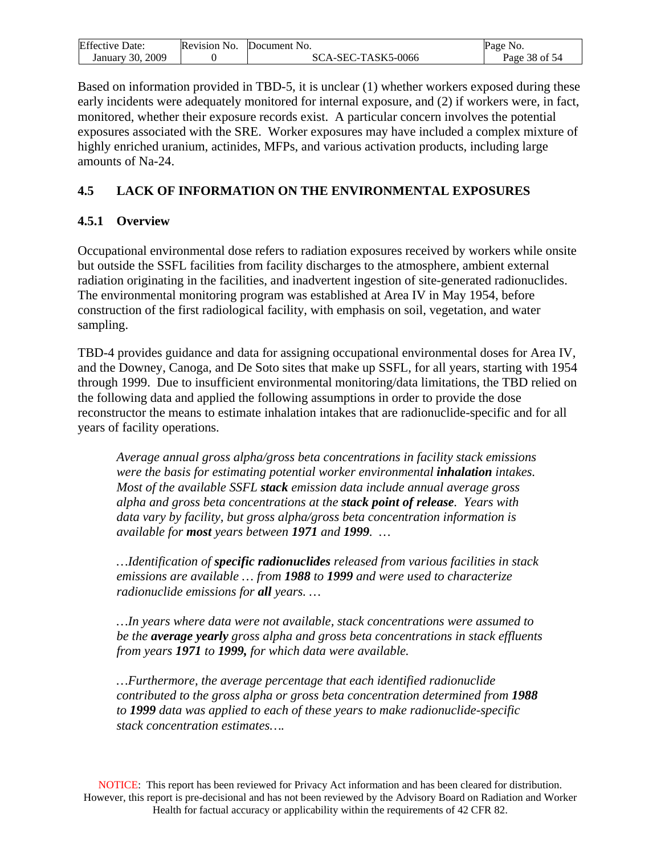<span id="page-37-0"></span>

| <b>Effective Date:</b> | Revision No. | Document No.       | Page No.      |
|------------------------|--------------|--------------------|---------------|
| January 30, 2009       |              | SCA-SEC-TASK5-0066 | Page 38 of 54 |

Based on information provided in TBD-5, it is unclear (1) whether workers exposed during these early incidents were adequately monitored for internal exposure, and (2) if workers were, in fact, monitored, whether their exposure records exist. A particular concern involves the potential exposures associated with the SRE. Worker exposures may have included a complex mixture of highly enriched uranium, actinides, MFPs, and various activation products, including large amounts of Na-24.

#### **4.5 LACK OF INFORMATION ON THE ENVIRONMENTAL EXPOSURES**

#### **4.5.1 Overview**

Occupational environmental dose refers to radiation exposures received by workers while onsite but outside the SSFL facilities from facility discharges to the atmosphere, ambient external radiation originating in the facilities, and inadvertent ingestion of site-generated radionuclides. The environmental monitoring program was established at Area IV in May 1954, before construction of the first radiological facility, with emphasis on soil, vegetation, and water sampling.

TBD-4 provides guidance and data for assigning occupational environmental doses for Area IV, and the Downey, Canoga, and De Soto sites that make up SSFL, for all years, starting with 1954 through 1999. Due to insufficient environmental monitoring/data limitations, the TBD relied on the following data and applied the following assumptions in order to provide the dose reconstructor the means to estimate inhalation intakes that are radionuclide-specific and for all years of facility operations.

*Average annual gross alpha/gross beta concentrations in facility stack emissions were the basis for estimating potential worker environmental inhalation intakes. Most of the available SSFL stack emission data include annual average gross alpha and gross beta concentrations at the stack point of release. Years with data vary by facility, but gross alpha/gross beta concentration information is available for most years between 1971 and 1999. …* 

*…Identification of specific radionuclides released from various facilities in stack emissions are available … from 1988 to 1999 and were used to characterize radionuclide emissions for all years. …* 

*…In years where data were not available, stack concentrations were assumed to be the average yearly gross alpha and gross beta concentrations in stack effluents from years 1971 to 1999, for which data were available.* 

*…Furthermore, the average percentage that each identified radionuclide contributed to the gross alpha or gross beta concentration determined from 1988 to 1999 data was applied to each of these years to make radionuclide-specific stack concentration estimates….*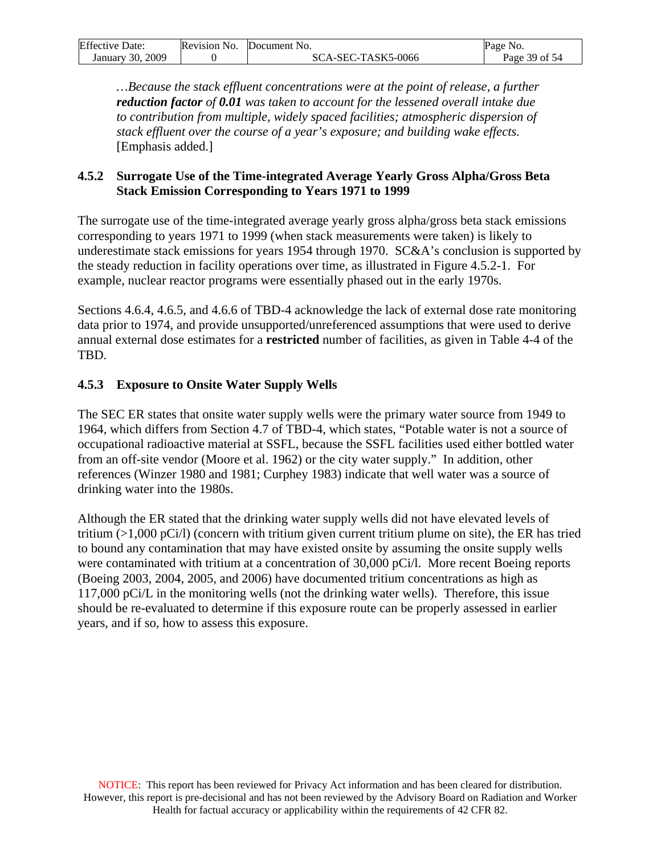<span id="page-38-0"></span>

| <b>Effective Date:</b> | Revision No. Document No. | Page No.      |
|------------------------|---------------------------|---------------|
| January 30, 2009       | SCA-SEC-TASK5-0066        | Page 39 of 54 |

*…Because the stack effluent concentrations were at the point of release, a further reduction factor of 0.01 was taken to account for the lessened overall intake due to contribution from multiple, widely spaced facilities; atmospheric dispersion of stack effluent over the course of a year's exposure; and building wake effects.* [Emphasis added.]

#### **4.5.2 Surrogate Use of the Time-integrated Average Yearly Gross Alpha/Gross Beta Stack Emission Corresponding to Years 1971 to 1999**

The surrogate use of the time-integrated average yearly gross alpha/gross beta stack emissions corresponding to years 1971 to 1999 (when stack measurements were taken) is likely to underestimate stack emissions for years 1954 through 1970. SC&A's conclusion is supported by the steady reduction in facility operations over time, as illustrated in Figure 4.5.2-1. For example, nuclear reactor programs were essentially phased out in the early 1970s.

Sections 4.6.4, 4.6.5, and 4.6.6 of TBD-4 acknowledge the lack of external dose rate monitoring data prior to 1974, and provide unsupported/unreferenced assumptions that were used to derive annual external dose estimates for a **restricted** number of facilities, as given in Table 4-4 of the TBD.

## **4.5.3 Exposure to Onsite Water Supply Wells**

The SEC ER states that onsite water supply wells were the primary water source from 1949 to 1964, which differs from Section 4.7 of TBD-4, which states, "Potable water is not a source of occupational radioactive material at SSFL, because the SSFL facilities used either bottled water from an off-site vendor (Moore et al. 1962) or the city water supply." In addition, other references (Winzer 1980 and 1981; Curphey 1983) indicate that well water was a source of drinking water into the 1980s.

Although the ER stated that the drinking water supply wells did not have elevated levels of tritium (>1,000 pCi/l) (concern with tritium given current tritium plume on site), the ER has tried to bound any contamination that may have existed onsite by assuming the onsite supply wells were contaminated with tritium at a concentration of 30,000 pCi/l. More recent Boeing reports (Boeing 2003, 2004, 2005, and 2006) have documented tritium concentrations as high as 117,000 pCi/L in the monitoring wells (not the drinking water wells). Therefore, this issue should be re-evaluated to determine if this exposure route can be properly assessed in earlier years, and if so, how to assess this exposure.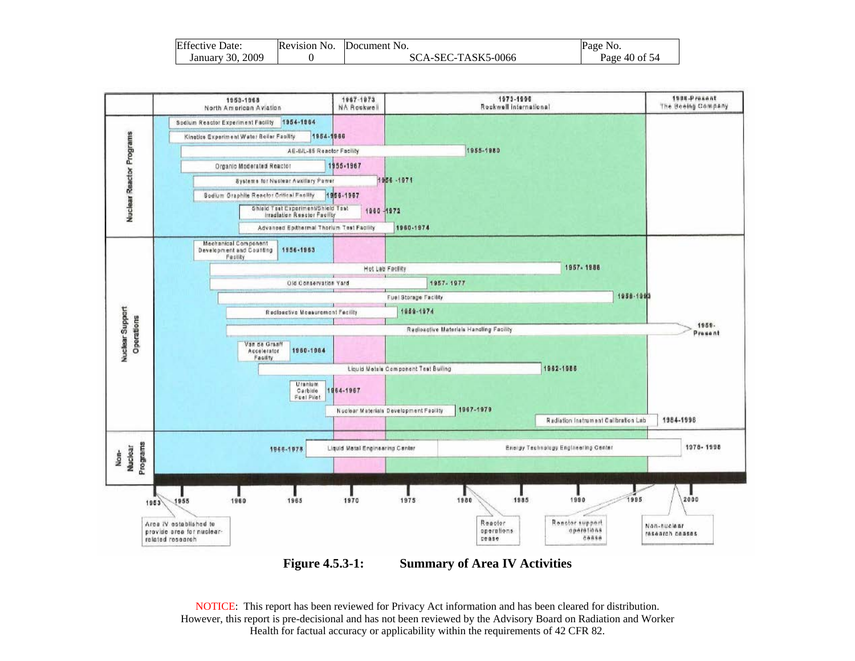| <b>Effective Date:</b> | Revision No. | Document No.       | Page No.      |
|------------------------|--------------|--------------------|---------------|
| 2009<br>January 30.7   |              | SCA-SEC-TASK5-0066 | Page 40 of 54 |



**Figure 4.5.3-1: Summary of Area IV Activities** 

NOTICE: This report has been reviewed for Privacy Act information and has been cleared for distribution. However, this report is pre-decisional and has not been reviewed by the Advisory Board on Radiation and Worker Health for factual accuracy or applicability within the requirements of 42 CFR 82.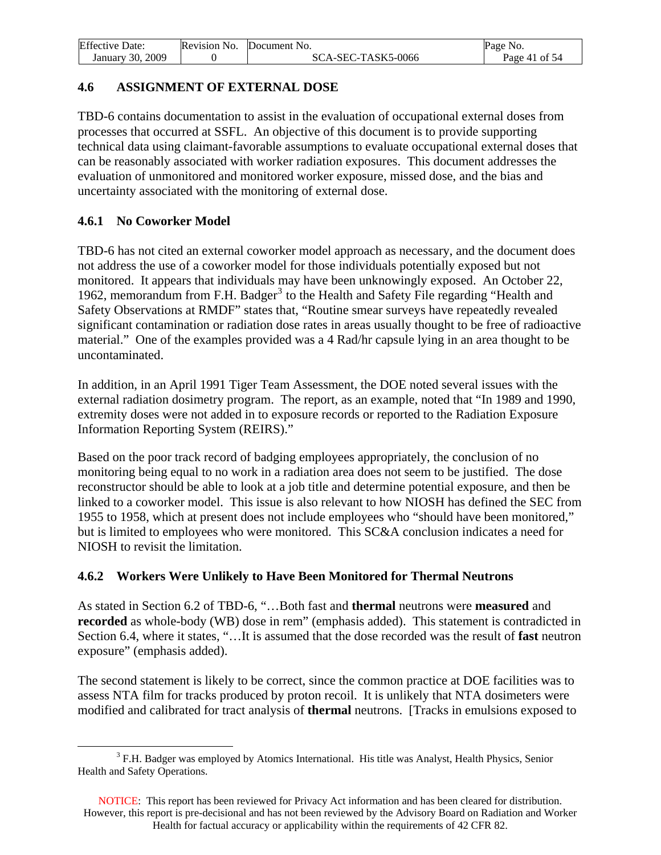<span id="page-40-0"></span>

| <b>Effective Date:</b> | Revision No. | Document No.       | Page No.      |
|------------------------|--------------|--------------------|---------------|
| January 30, 2009       |              | SCA-SEC-TASK5-0066 | Page 41 of 54 |

## **4.6 ASSIGNMENT OF EXTERNAL DOSE**

TBD-6 contains documentation to assist in the evaluation of occupational external doses from processes that occurred at SSFL. An objective of this document is to provide supporting technical data using claimant-favorable assumptions to evaluate occupational external doses that can be reasonably associated with worker radiation exposures. This document addresses the evaluation of unmonitored and monitored worker exposure, missed dose, and the bias and uncertainty associated with the monitoring of external dose.

## **4.6.1 No Coworker Model**

TBD-6 has not cited an external coworker model approach as necessary, and the document does not address the use of a coworker model for those individuals potentially exposed but not monitored. It appears that individuals may have been unknowingly exposed. An October 22, 1962, memorandum from F.H. Badger<sup>[3](#page-40-0)</sup> to the Health and Safety File regarding "Health and Safety Observations at RMDF" states that, "Routine smear surveys have repeatedly revealed significant contamination or radiation dose rates in areas usually thought to be free of radioactive material." One of the examples provided was a 4 Rad/hr capsule lying in an area thought to be uncontaminated.

In addition, in an April 1991 Tiger Team Assessment, the DOE noted several issues with the external radiation dosimetry program. The report, as an example, noted that "In 1989 and 1990, extremity doses were not added in to exposure records or reported to the Radiation Exposure Information Reporting System (REIRS)."

Based on the poor track record of badging employees appropriately, the conclusion of no monitoring being equal to no work in a radiation area does not seem to be justified. The dose reconstructor should be able to look at a job title and determine potential exposure, and then be linked to a coworker model. This issue is also relevant to how NIOSH has defined the SEC from 1955 to 1958, which at present does not include employees who "should have been monitored," but is limited to employees who were monitored. This SC&A conclusion indicates a need for NIOSH to revisit the limitation.

# **4.6.2 Workers Were Unlikely to Have Been Monitored for Thermal Neutrons**

As stated in Section 6.2 of TBD-6, "…Both fast and **thermal** neutrons were **measured** and **recorded** as whole-body (WB) dose in rem" (emphasis added). This statement is contradicted in Section 6.4, where it states, "…It is assumed that the dose recorded was the result of **fast** neutron exposure" (emphasis added).

The second statement is likely to be correct, since the common practice at DOE facilities was to assess NTA film for tracks produced by proton recoil. It is unlikely that NTA dosimeters were modified and calibrated for tract analysis of **thermal** neutrons. [Tracks in emulsions exposed to

 $\overline{a}$ <sup>3</sup> F.H. Badger was employed by Atomics International. His title was Analyst, Health Physics, Senior Health and Safety Operations.

NOTICE: This report has been reviewed for Privacy Act information and has been cleared for distribution. However, this report is pre-decisional and has not been reviewed by the Advisory Board on Radiation and Worker Health for factual accuracy or applicability within the requirements of 42 CFR 82.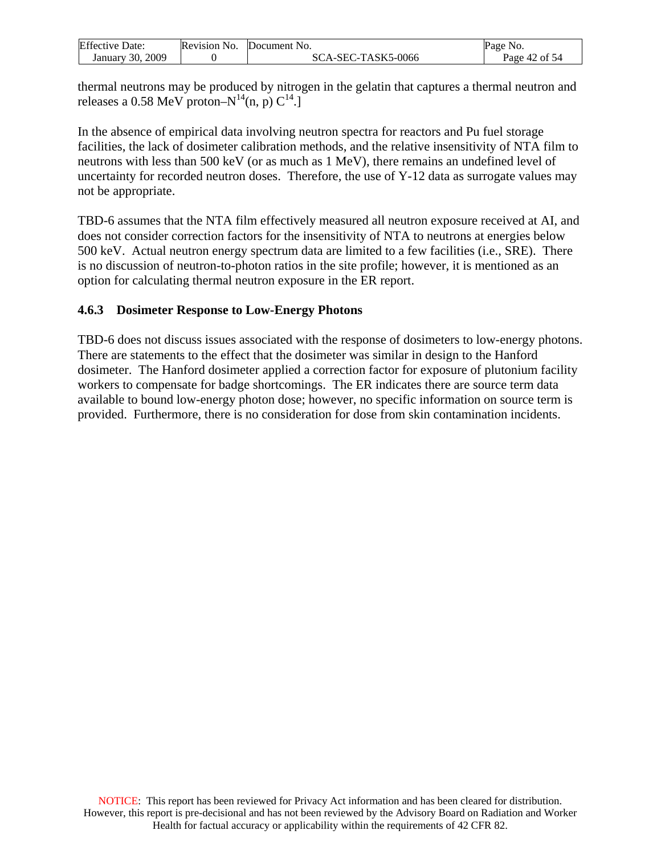<span id="page-41-0"></span>

| <b>Effective Date:</b> | Revision No. | Document No.       | Page No.      |
|------------------------|--------------|--------------------|---------------|
| 2009<br>January 30.    |              | SCA-SEC-TASK5-0066 | Page 42 of 54 |

thermal neutrons may be produced by nitrogen in the gelatin that captures a thermal neutron and releases a 0.58 MeV proton– $N^{14}(n, p) C^{14}$ .

In the absence of empirical data involving neutron spectra for reactors and Pu fuel storage facilities, the lack of dosimeter calibration methods, and the relative insensitivity of NTA film to neutrons with less than 500 keV (or as much as 1 MeV), there remains an undefined level of uncertainty for recorded neutron doses. Therefore, the use of Y-12 data as surrogate values may not be appropriate.

TBD-6 assumes that the NTA film effectively measured all neutron exposure received at AI, and does not consider correction factors for the insensitivity of NTA to neutrons at energies below 500 keV. Actual neutron energy spectrum data are limited to a few facilities (i.e., SRE). There is no discussion of neutron-to-photon ratios in the site profile; however, it is mentioned as an option for calculating thermal neutron exposure in the ER report.

### **4.6.3 Dosimeter Response to Low-Energy Photons**

TBD-6 does not discuss issues associated with the response of dosimeters to low-energy photons. There are statements to the effect that the dosimeter was similar in design to the Hanford dosimeter. The Hanford dosimeter applied a correction factor for exposure of plutonium facility workers to compensate for badge shortcomings. The ER indicates there are source term data available to bound low-energy photon dose; however, no specific information on source term is provided. Furthermore, there is no consideration for dose from skin contamination incidents.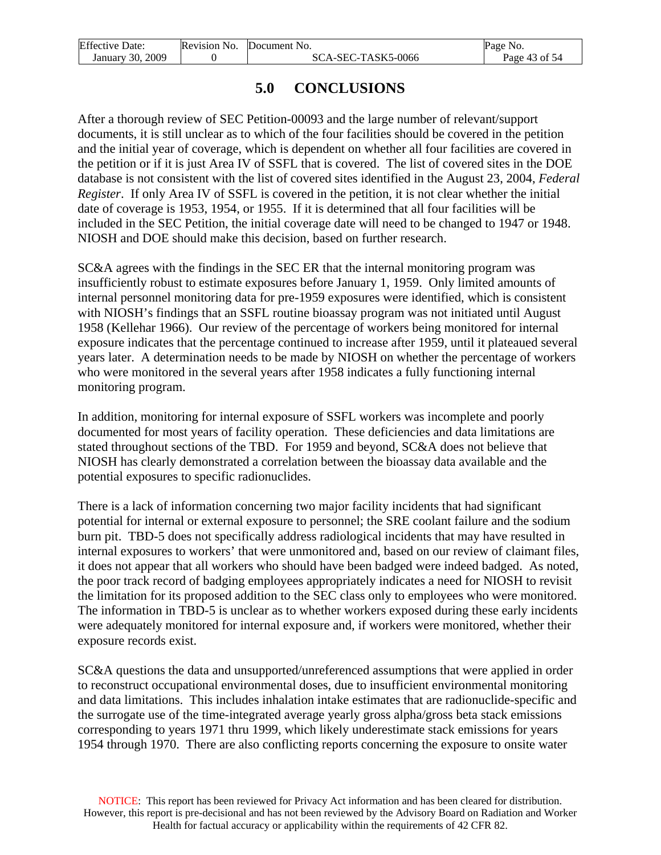<span id="page-42-0"></span>

| <b>Effective Date:</b> | Revision No. Document No. | Page No.      |
|------------------------|---------------------------|---------------|
| January 30, 2009       | SCA-SEC-TASK5-0066        | Page 43 of 54 |

# **5.0 CONCLUSIONS**

After a thorough review of SEC Petition-00093 and the large number of relevant/support documents, it is still unclear as to which of the four facilities should be covered in the petition and the initial year of coverage, which is dependent on whether all four facilities are covered in the petition or if it is just Area IV of SSFL that is covered. The list of covered sites in the DOE database is not consistent with the list of covered sites identified in the August 23, 2004, *Federal Register*. If only Area IV of SSFL is covered in the petition, it is not clear whether the initial date of coverage is 1953, 1954, or 1955. If it is determined that all four facilities will be included in the SEC Petition, the initial coverage date will need to be changed to 1947 or 1948. NIOSH and DOE should make this decision, based on further research.

SC&A agrees with the findings in the SEC ER that the internal monitoring program was insufficiently robust to estimate exposures before January 1, 1959. Only limited amounts of internal personnel monitoring data for pre-1959 exposures were identified, which is consistent with NIOSH's findings that an SSFL routine bioassay program was not initiated until August 1958 (Kellehar 1966). Our review of the percentage of workers being monitored for internal exposure indicates that the percentage continued to increase after 1959, until it plateaued several years later. A determination needs to be made by NIOSH on whether the percentage of workers who were monitored in the several years after 1958 indicates a fully functioning internal monitoring program.

In addition, monitoring for internal exposure of SSFL workers was incomplete and poorly documented for most years of facility operation. These deficiencies and data limitations are stated throughout sections of the TBD. For 1959 and beyond, SC&A does not believe that NIOSH has clearly demonstrated a correlation between the bioassay data available and the potential exposures to specific radionuclides.

There is a lack of information concerning two major facility incidents that had significant potential for internal or external exposure to personnel; the SRE coolant failure and the sodium burn pit. TBD-5 does not specifically address radiological incidents that may have resulted in internal exposures to workers' that were unmonitored and, based on our review of claimant files, it does not appear that all workers who should have been badged were indeed badged. As noted, the poor track record of badging employees appropriately indicates a need for NIOSH to revisit the limitation for its proposed addition to the SEC class only to employees who were monitored. The information in TBD-5 is unclear as to whether workers exposed during these early incidents were adequately monitored for internal exposure and, if workers were monitored, whether their exposure records exist.

SC&A questions the data and unsupported/unreferenced assumptions that were applied in order to reconstruct occupational environmental doses, due to insufficient environmental monitoring and data limitations. This includes inhalation intake estimates that are radionuclide-specific and the surrogate use of the time-integrated average yearly gross alpha/gross beta stack emissions corresponding to years 1971 thru 1999, which likely underestimate stack emissions for years 1954 through 1970. There are also conflicting reports concerning the exposure to onsite water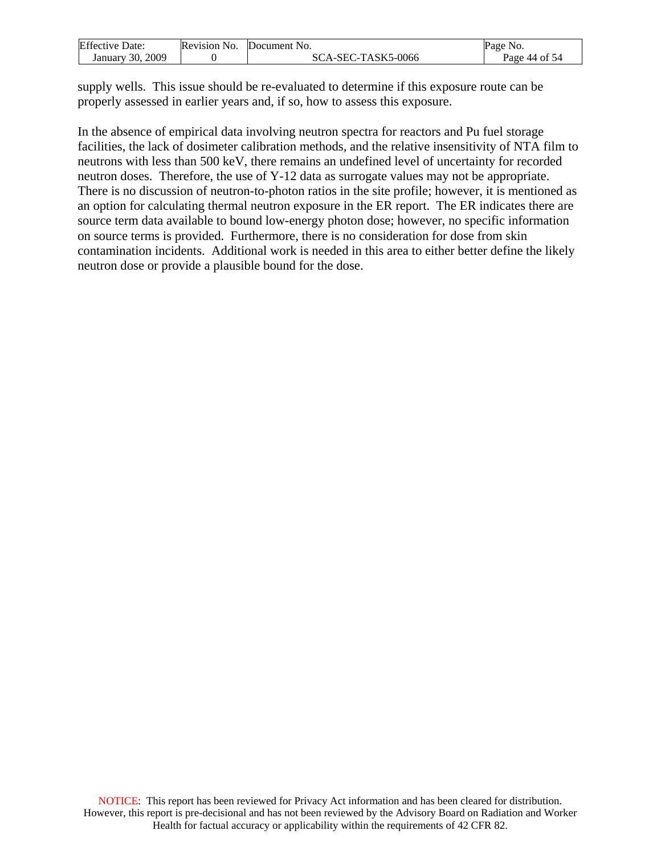| <b>Effective Date:</b> | Revision No. | Document No.       | Page No.      |
|------------------------|--------------|--------------------|---------------|
| January 30, 2009       |              | SCA-SEC-TASK5-0066 | Page 44 of 54 |

supply wells. This issue should be re-evaluated to determine if this exposure route can be properly assessed in earlier years and, if so, how to assess this exposure.

In the absence of empirical data involving neutron spectra for reactors and Pu fuel storage facilities, the lack of dosimeter calibration methods, and the relative insensitivity of NTA film to neutrons with less than 500 keV, there remains an undefined level of uncertainty for recorded neutron doses. Therefore, the use of Y-12 data as surrogate values may not be appropriate. There is no discussion of neutron-to-photon ratios in the site profile; however, it is mentioned as an option for calculating thermal neutron exposure in the ER report. The ER indicates there are source term data available to bound low-energy photon dose; however, no specific information on source terms is provided. Furthermore, there is no consideration for dose from skin contamination incidents. Additional work is needed in this area to either better define the likely neutron dose or provide a plausible bound for the dose.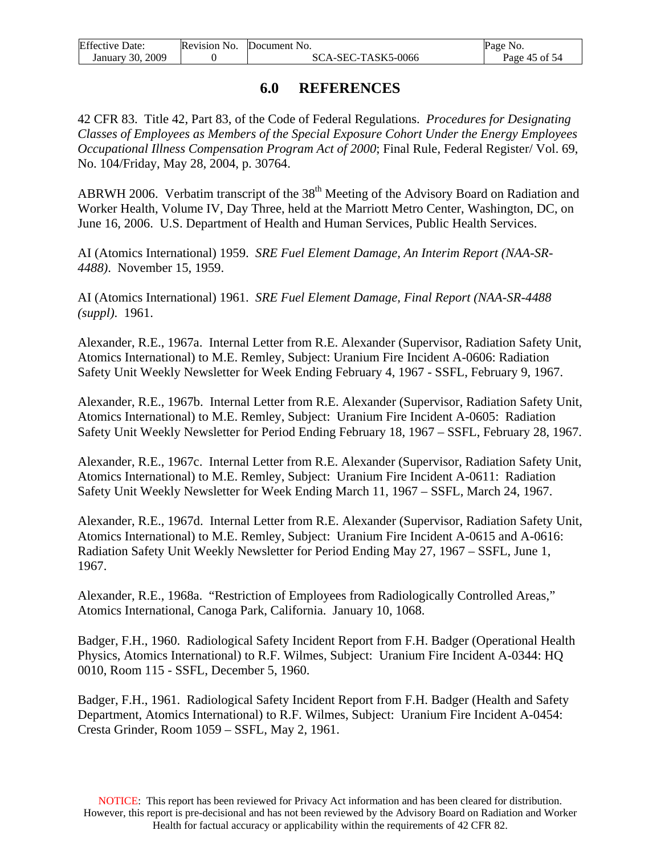<span id="page-44-0"></span>

| <b>Effective Date:</b> | Revision No. Document No. | Page No.      |
|------------------------|---------------------------|---------------|
| January 30, 2009       | SCA-SEC-TASK5-0066        | Page 45 of 54 |

# **6.0 REFERENCES**

42 CFR 83. Title 42, Part 83, of the Code of Federal Regulations. *Procedures for Designating Classes of Employees as Members of the Special Exposure Cohort Under the Energy Employees Occupational Illness Compensation Program Act of 2000*; Final Rule, Federal Register/ Vol. 69, No. 104/Friday, May 28, 2004, p. 30764.

ABRWH 2006. Verbatim transcript of the 38<sup>th</sup> Meeting of the Advisory Board on Radiation and Worker Health, Volume IV, Day Three, held at the Marriott Metro Center, Washington, DC, on June 16, 2006. U.S. Department of Health and Human Services, Public Health Services.

AI (Atomics International) 1959. *SRE Fuel Element Damage, An Interim Report (NAA-SR-4488)*. November 15, 1959.

AI (Atomics International) 1961. *SRE Fuel Element Damage, Final Report (NAA-SR-4488 (suppl)*. 1961.

Alexander, R.E., 1967a. Internal Letter from R.E. Alexander (Supervisor, Radiation Safety Unit, Atomics International) to M.E. Remley, Subject: Uranium Fire Incident A-0606: Radiation Safety Unit Weekly Newsletter for Week Ending February 4, 1967 - SSFL, February 9, 1967.

Alexander, R.E., 1967b. Internal Letter from R.E. Alexander (Supervisor, Radiation Safety Unit, Atomics International) to M.E. Remley, Subject: Uranium Fire Incident A-0605: Radiation Safety Unit Weekly Newsletter for Period Ending February 18, 1967 – SSFL, February 28, 1967.

Alexander, R.E., 1967c. Internal Letter from R.E. Alexander (Supervisor, Radiation Safety Unit, Atomics International) to M.E. Remley, Subject: Uranium Fire Incident A-0611: Radiation Safety Unit Weekly Newsletter for Week Ending March 11, 1967 – SSFL, March 24, 1967.

Alexander, R.E., 1967d. Internal Letter from R.E. Alexander (Supervisor, Radiation Safety Unit, Atomics International) to M.E. Remley, Subject: Uranium Fire Incident A-0615 and A-0616: Radiation Safety Unit Weekly Newsletter for Period Ending May 27, 1967 – SSFL, June 1, 1967.

Alexander, R.E., 1968a. "Restriction of Employees from Radiologically Controlled Areas," Atomics International, Canoga Park, California. January 10, 1068.

Badger, F.H., 1960. Radiological Safety Incident Report from F.H. Badger (Operational Health Physics, Atomics International) to R.F. Wilmes, Subject: Uranium Fire Incident A-0344: HQ 0010, Room 115 - SSFL, December 5, 1960.

Badger, F.H., 1961. Radiological Safety Incident Report from F.H. Badger (Health and Safety Department, Atomics International) to R.F. Wilmes, Subject: Uranium Fire Incident A-0454: Cresta Grinder, Room 1059 – SSFL, May 2, 1961.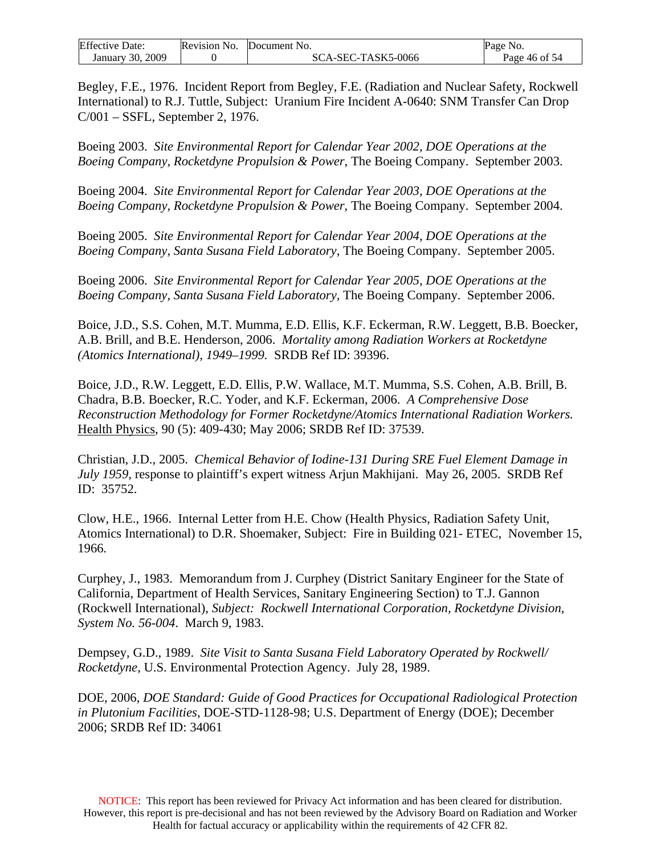| <b>Effective Date:</b> | Revision No. | Document No.       | Page No.      |
|------------------------|--------------|--------------------|---------------|
| January 30, 2009       |              | SCA-SEC-TASK5-0066 | Page 46 of 54 |

Begley, F.E., 1976. Incident Report from Begley, F.E. (Radiation and Nuclear Safety, Rockwell International) to R.J. Tuttle, Subject: Uranium Fire Incident A-0640: SNM Transfer Can Drop C/001 – SSFL, September 2, 1976.

Boeing 2003. *Site Environmental Report for Calendar Year 2002, DOE Operations at the Boeing Company, Rocketdyne Propulsion & Power*, The Boeing Company. September 2003.

Boeing 2004. *Site Environmental Report for Calendar Year 2003, DOE Operations at the Boeing Company, Rocketdyne Propulsion & Power*, The Boeing Company. September 2004.

Boeing 2005. *Site Environmental Report for Calendar Year 2004, DOE Operations at the Boeing Company, Santa Susana Field Laboratory*, The Boeing Company. September 2005.

Boeing 2006. *Site Environmental Report for Calendar Year 2005, DOE Operations at the Boeing Company, Santa Susana Field Laboratory,* The Boeing Company. September 2006.

Boice, J.D., S.S. Cohen, M.T. Mumma, E.D. Ellis, K.F. Eckerman, R.W. Leggett, B.B. Boecker, A.B. Brill, and B.E. Henderson, 2006. *Mortality among Radiation Workers at Rocketdyne (Atomics International), 1949–1999.* SRDB Ref ID: 39396.

Boice, J.D., R.W. Leggett, E.D. Ellis, P.W. Wallace, M.T. Mumma, S.S. Cohen, A.B. Brill, B. Chadra, B.B. Boecker, R.C. Yoder, and K.F. Eckerman, 2006. *A Comprehensive Dose Reconstruction Methodology for Former Rocketdyne/Atomics International Radiation Workers.* Health Physics, 90 (5): 409-430; May 2006; SRDB Ref ID: 37539.

Christian, J.D., 2005. *Chemical Behavior of Iodine-131 During SRE Fuel Element Damage in July 1959,* response to plaintiff's expert witness Arjun Makhijani. May 26, 2005. SRDB Ref ID: 35752.

Clow, H.E., 1966. Internal Letter from H.E. Chow (Health Physics, Radiation Safety Unit, Atomics International) to D.R. Shoemaker, Subject: Fire in Building 021- ETEC,November 15, 1966*.* 

Curphey, J., 1983. Memorandum from J. Curphey (District Sanitary Engineer for the State of California, Department of Health Services, Sanitary Engineering Section) to T.J. Gannon (Rockwell International), *Subject: Rockwell International Corporation, Rocketdyne Division, System No. 56-004*. March 9, 1983.

Dempsey, G.D., 1989. *Site Visit to Santa Susana Field Laboratory Operated by Rockwell/ Rocketdyne,* U.S. Environmental Protection Agency. July 28, 1989.

DOE, 2006, *DOE Standard: Guide of Good Practices for Occupational Radiological Protection in Plutonium Facilities*, DOE-STD-1128-98; U.S. Department of Energy (DOE); December 2006; SRDB Ref ID: 34061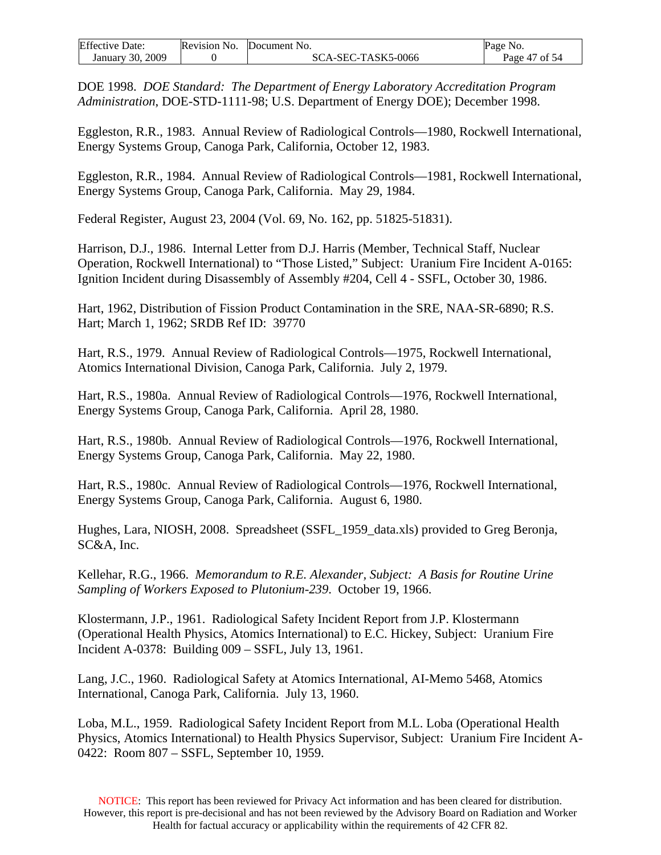| <b>Effective Date:</b> | Revision No. | Document No.       | Page No.      |
|------------------------|--------------|--------------------|---------------|
| January 30, 2009       |              | SCA-SEC-TASK5-0066 | Page 47 of 54 |

DOE 1998. *DOE Standard: The Department of Energy Laboratory Accreditation Program Administration*, DOE-STD-1111-98; U.S. Department of Energy DOE); December 1998.

Eggleston, R.R., 1983. Annual Review of Radiological Controls—1980, Rockwell International, Energy Systems Group, Canoga Park, California, October 12, 1983.

Eggleston, R.R., 1984. Annual Review of Radiological Controls—1981, Rockwell International, Energy Systems Group, Canoga Park, California. May 29, 1984.

Federal Register, August 23, 2004 (Vol. 69, No. 162, pp. 51825-51831).

Harrison, D.J., 1986. Internal Letter from D.J. Harris (Member, Technical Staff, Nuclear Operation, Rockwell International) to "Those Listed," Subject: Uranium Fire Incident A-0165: Ignition Incident during Disassembly of Assembly #204, Cell 4 - SSFL, October 30, 1986.

Hart, 1962, Distribution of Fission Product Contamination in the SRE, NAA-SR-6890; R.S. Hart; March 1, 1962; SRDB Ref ID: 39770

Hart, R.S., 1979. Annual Review of Radiological Controls—1975, Rockwell International, Atomics International Division, Canoga Park, California. July 2, 1979.

Hart, R.S., 1980a. Annual Review of Radiological Controls—1976, Rockwell International, Energy Systems Group, Canoga Park, California. April 28, 1980.

Hart, R.S., 1980b. Annual Review of Radiological Controls—1976, Rockwell International, Energy Systems Group, Canoga Park, California. May 22, 1980.

Hart, R.S., 1980c. Annual Review of Radiological Controls—1976, Rockwell International, Energy Systems Group, Canoga Park, California. August 6, 1980.

Hughes, Lara, NIOSH, 2008. Spreadsheet (SSFL\_1959\_data.xls) provided to Greg Beronja, SC&A, Inc.

Kellehar, R.G., 1966. *Memorandum to R.E. Alexander, Subject: A Basis for Routine Urine Sampling of Workers Exposed to Plutonium-239*. October 19, 1966.

Klostermann, J.P., 1961. Radiological Safety Incident Report from J.P. Klostermann (Operational Health Physics, Atomics International) to E.C. Hickey, Subject: Uranium Fire Incident A-0378: Building 009 – SSFL, July 13, 1961.

Lang, J.C., 1960. Radiological Safety at Atomics International, AI-Memo 5468, Atomics International, Canoga Park, California. July 13, 1960.

Loba, M.L., 1959. Radiological Safety Incident Report from M.L. Loba (Operational Health Physics, Atomics International) to Health Physics Supervisor, Subject: Uranium Fire Incident A-0422: Room 807 – SSFL, September 10, 1959.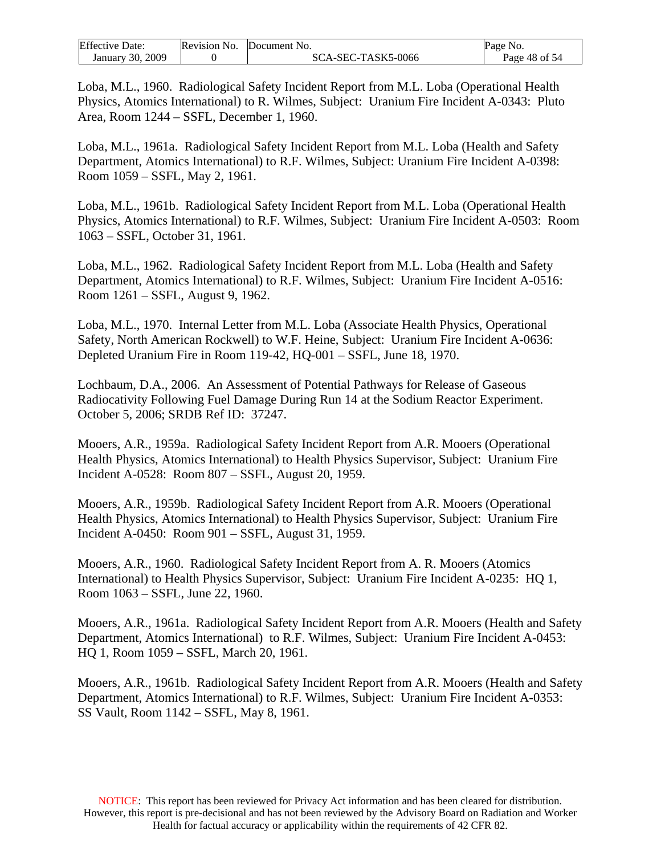| <b>Effective Date:</b> | Revision No. | Document No.       | Page No.      |
|------------------------|--------------|--------------------|---------------|
| January 30, 2009       |              | SCA-SEC-TASK5-0066 | Page 48 of 54 |

Loba, M.L., 1960. Radiological Safety Incident Report from M.L. Loba (Operational Health Physics, Atomics International) to R. Wilmes, Subject: Uranium Fire Incident A-0343: Pluto Area, Room 1244 – SSFL, December 1, 1960.

Loba, M.L., 1961a. Radiological Safety Incident Report from M.L. Loba (Health and Safety Department, Atomics International) to R.F. Wilmes, Subject: Uranium Fire Incident A-0398: Room 1059 – SSFL, May 2, 1961.

Loba, M.L., 1961b. Radiological Safety Incident Report from M.L. Loba (Operational Health Physics, Atomics International) to R.F. Wilmes, Subject: Uranium Fire Incident A-0503: Room 1063 – SSFL, October 31, 1961.

Loba, M.L., 1962. Radiological Safety Incident Report from M.L. Loba (Health and Safety Department, Atomics International) to R.F. Wilmes, Subject: Uranium Fire Incident A-0516: Room 1261 – SSFL, August 9, 1962.

Loba, M.L., 1970. Internal Letter from M.L. Loba (Associate Health Physics, Operational Safety, North American Rockwell) to W.F. Heine, Subject: Uranium Fire Incident A-0636: Depleted Uranium Fire in Room 119-42, HQ-001 – SSFL, June 18, 1970.

Lochbaum, D.A., 2006. An Assessment of Potential Pathways for Release of Gaseous Radiocativity Following Fuel Damage During Run 14 at the Sodium Reactor Experiment. October 5, 2006; SRDB Ref ID: 37247.

Mooers, A.R., 1959a. Radiological Safety Incident Report from A.R. Mooers (Operational Health Physics, Atomics International) to Health Physics Supervisor, Subject: Uranium Fire Incident A-0528: Room 807 – SSFL, August 20, 1959.

Mooers, A.R., 1959b. Radiological Safety Incident Report from A.R. Mooers (Operational Health Physics, Atomics International) to Health Physics Supervisor, Subject: Uranium Fire Incident A-0450: Room 901 – SSFL, August 31, 1959.

Mooers, A.R., 1960. Radiological Safety Incident Report from A. R. Mooers (Atomics International) to Health Physics Supervisor, Subject: Uranium Fire Incident A-0235: HQ 1, Room 1063 – SSFL, June 22, 1960.

Mooers, A.R., 1961a. Radiological Safety Incident Report from A.R. Mooers (Health and Safety Department, Atomics International) to R.F. Wilmes, Subject: Uranium Fire Incident A-0453: HQ 1, Room 1059 – SSFL, March 20, 1961.

Mooers, A.R., 1961b. Radiological Safety Incident Report from A.R. Mooers (Health and Safety Department, Atomics International) to R.F. Wilmes, Subject: Uranium Fire Incident A-0353: SS Vault, Room 1142 – SSFL, May 8, 1961.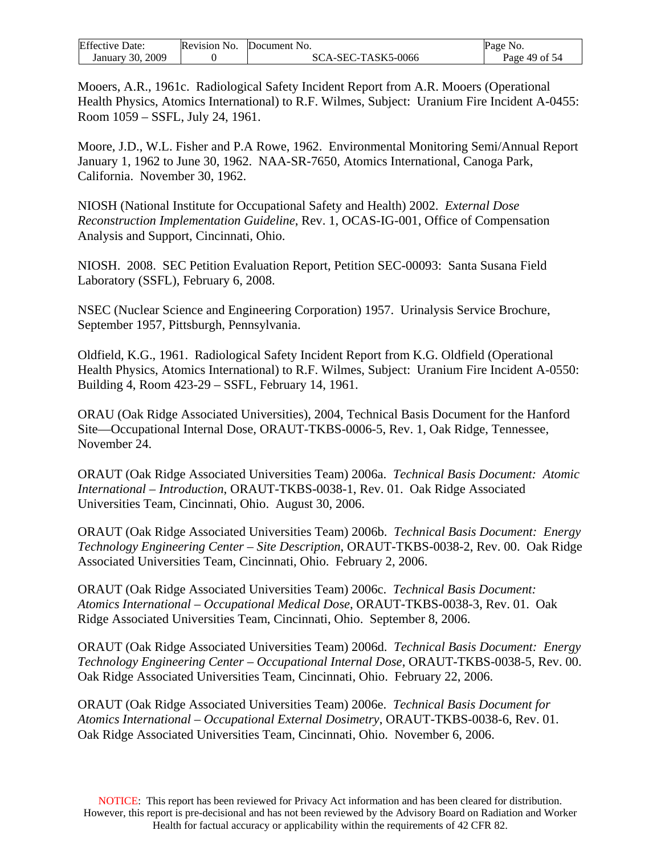| <b>Effective Date:</b> | Revision No. | Document No.       | NO.<br>Page   |
|------------------------|--------------|--------------------|---------------|
| 2009<br>January 30,    |              | SCA-SEC-TASK5-0066 | Page 49 of 54 |

Mooers, A.R., 1961c. Radiological Safety Incident Report from A.R. Mooers (Operational Health Physics, Atomics International) to R.F. Wilmes, Subject: Uranium Fire Incident A-0455: Room 1059 – SSFL, July 24, 1961.

Moore, J.D., W.L. Fisher and P.A Rowe, 1962. Environmental Monitoring Semi/Annual Report January 1, 1962 to June 30, 1962. NAA-SR-7650, Atomics International, Canoga Park, California. November 30, 1962.

NIOSH (National Institute for Occupational Safety and Health) 2002. *External Dose Reconstruction Implementation Guideline*, Rev. 1, OCAS-IG-001, Office of Compensation Analysis and Support, Cincinnati, Ohio.

NIOSH. 2008. SEC Petition Evaluation Report, Petition SEC-00093: Santa Susana Field Laboratory (SSFL), February 6, 2008.

NSEC (Nuclear Science and Engineering Corporation) 1957. Urinalysis Service Brochure, September 1957, Pittsburgh, Pennsylvania.

Oldfield, K.G., 1961. Radiological Safety Incident Report from K.G. Oldfield (Operational Health Physics, Atomics International) to R.F. Wilmes, Subject: Uranium Fire Incident A-0550: Building 4, Room 423-29 – SSFL, February 14, 1961.

ORAU (Oak Ridge Associated Universities), 2004, Technical Basis Document for the Hanford Site—Occupational Internal Dose, ORAUT-TKBS-0006-5, Rev. 1, Oak Ridge, Tennessee, November 24.

ORAUT (Oak Ridge Associated Universities Team) 2006a. *Technical Basis Document: Atomic International – Introduction*, ORAUT-TKBS-0038-1, Rev. 01. Oak Ridge Associated Universities Team, Cincinnati, Ohio. August 30, 2006.

ORAUT (Oak Ridge Associated Universities Team) 2006b. *Technical Basis Document: Energy Technology Engineering Center – Site Description*, ORAUT-TKBS-0038-2, Rev. 00. Oak Ridge Associated Universities Team, Cincinnati, Ohio. February 2, 2006.

ORAUT (Oak Ridge Associated Universities Team) 2006c. *Technical Basis Document: Atomics International – Occupational Medical Dose*, ORAUT-TKBS-0038-3, Rev. 01. Oak Ridge Associated Universities Team, Cincinnati, Ohio. September 8, 2006.

ORAUT (Oak Ridge Associated Universities Team) 2006d. *Technical Basis Document: Energy Technology Engineering Center – Occupational Internal Dose*, ORAUT-TKBS-0038-5, Rev. 00. Oak Ridge Associated Universities Team, Cincinnati, Ohio. February 22, 2006.

ORAUT (Oak Ridge Associated Universities Team) 2006e. *Technical Basis Document for Atomics International – Occupational External Dosimetry*, ORAUT-TKBS-0038-6, Rev. 01. Oak Ridge Associated Universities Team, Cincinnati, Ohio. November 6, 2006.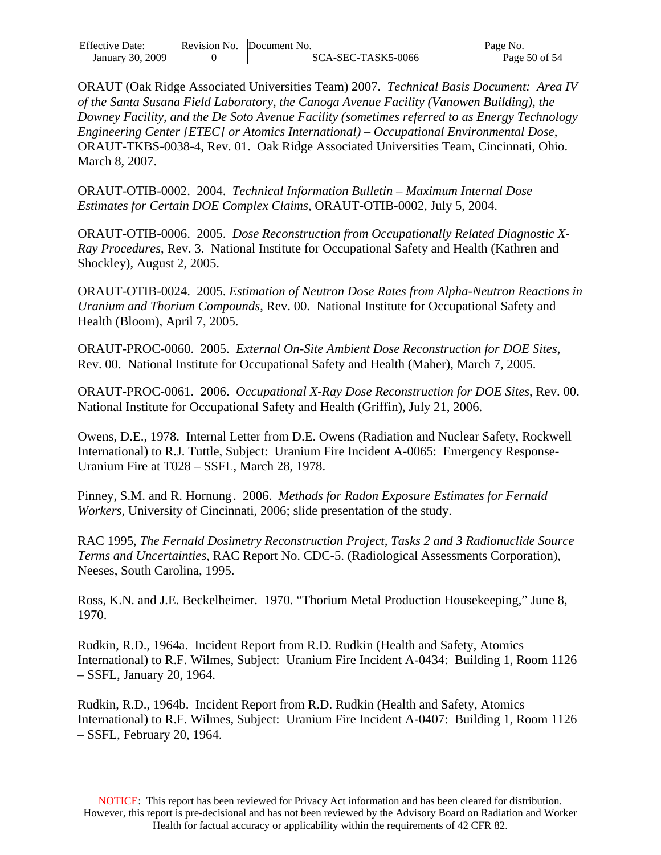| <b>Effective Date:</b> | Revision No. | Document No.       | Page No.      |
|------------------------|--------------|--------------------|---------------|
| January 30, 2009       |              | SCA-SEC-TASK5-0066 | Page 50 of 54 |

ORAUT (Oak Ridge Associated Universities Team) 2007. *Technical Basis Document: Area IV of the Santa Susana Field Laboratory, the Canoga Avenue Facility (Vanowen Building), the Downey Facility, and the De Soto Avenue Facility (sometimes referred to as Energy Technology Engineering Center [ETEC] or Atomics International) – Occupational Environmental Dose*, ORAUT-TKBS-0038-4, Rev. 01.Oak Ridge Associated Universities Team, Cincinnati, Ohio. March 8, 2007.

ORAUT-OTIB-0002. 2004. *Technical Information Bulletin – Maximum Internal Dose Estimates for Certain DOE Complex Claims*, ORAUT-OTIB-0002, July 5, 2004.

ORAUT-OTIB-0006. 2005. *Dose Reconstruction from Occupationally Related Diagnostic X-Ray Procedures*, Rev. 3. National Institute for Occupational Safety and Health (Kathren and Shockley), August 2, 2005.

ORAUT-OTIB-0024. 2005. *Estimation of Neutron Dose Rates from Alpha-Neutron Reactions in Uranium and Thorium Compounds*, Rev. 00. National Institute for Occupational Safety and Health (Bloom), April 7, 2005.

ORAUT-PROC-0060. 2005. *External On-Site Ambient Dose Reconstruction for DOE Sites*, Rev. 00. National Institute for Occupational Safety and Health (Maher), March 7, 2005.

ORAUT-PROC-0061. 2006. *Occupational X-Ray Dose Reconstruction for DOE Sites*, Rev. 00. National Institute for Occupational Safety and Health (Griffin), July 21, 2006.

Owens, D.E., 1978. Internal Letter from D.E. Owens (Radiation and Nuclear Safety, Rockwell International) to R.J. Tuttle, Subject: Uranium Fire Incident A-0065: Emergency Response-Uranium Fire at T028 – SSFL, March 28, 1978.

Pinney, S.M. and R. Hornung . 2006. *Methods for Radon Exposure Estimates for Fernald Workers*, University of Cincinnati, 2006; slide presentation of the study.

RAC 1995, *The Fernald Dosimetry Reconstruction Project, Tasks 2 and 3 Radionuclide Source Terms and Uncertainties*, RAC Report No. CDC-5. (Radiological Assessments Corporation), Neeses, South Carolina, 1995.

Ross, K.N. and J.E. Beckelheimer. 1970. "Thorium Metal Production Housekeeping," June 8, 1970.

Rudkin, R.D., 1964a. Incident Report from R.D. Rudkin (Health and Safety, Atomics International) to R.F. Wilmes, Subject: Uranium Fire Incident A-0434: Building 1, Room 1126 – SSFL, January 20, 1964.

Rudkin, R.D., 1964b. Incident Report from R.D. Rudkin (Health and Safety, Atomics International) to R.F. Wilmes, Subject: Uranium Fire Incident A-0407: Building 1, Room 1126 – SSFL, February 20, 1964.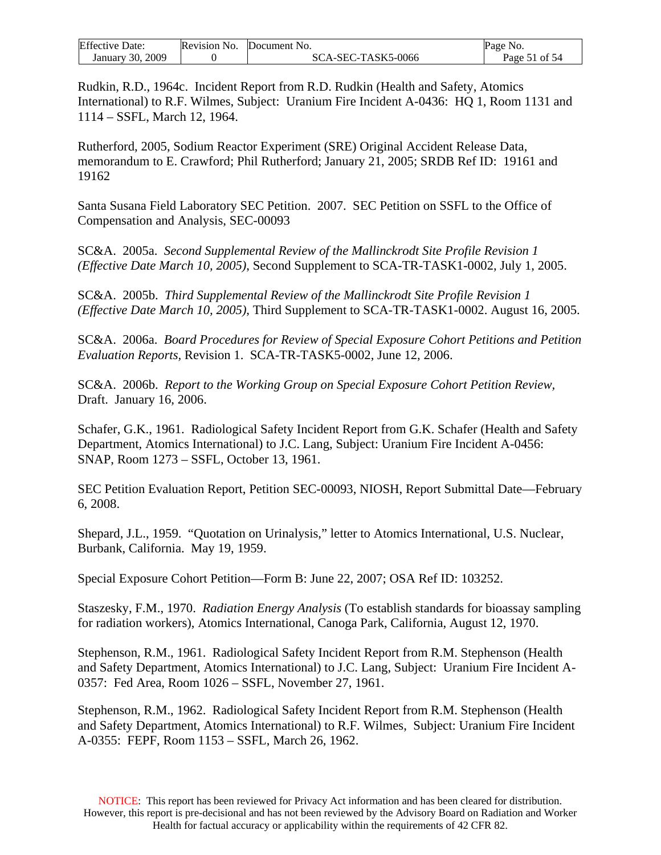| <b>Effective Date:</b> | Revision No. | Document No.       | Page No.      |
|------------------------|--------------|--------------------|---------------|
| January 30, 2009       |              | SCA-SEC-TASK5-0066 | Page 51 of 54 |

Rudkin, R.D., 1964c. Incident Report from R.D. Rudkin (Health and Safety, Atomics International) to R.F. Wilmes, Subject: Uranium Fire Incident A-0436: HQ 1, Room 1131 and 1114 – SSFL, March 12, 1964.

Rutherford, 2005, Sodium Reactor Experiment (SRE) Original Accident Release Data, memorandum to E. Crawford; Phil Rutherford; January 21, 2005; SRDB Ref ID: 19161 and 19162

Santa Susana Field Laboratory SEC Petition. 2007. SEC Petition on SSFL to the Office of Compensation and Analysis, SEC-00093

SC&A. 2005a. *Second Supplemental Review of the Mallinckrodt Site Profile Revision 1 (Effective Date March 10, 2005)*, Second Supplement to SCA-TR-TASK1-0002, July 1, 2005.

SC&A. 2005b. *Third Supplemental Review of the Mallinckrodt Site Profile Revision 1 (Effective Date March 10, 2005)*, Third Supplement to SCA-TR-TASK1-0002. August 16, 2005.

SC&A. 2006a. *Board Procedures for Review of Special Exposure Cohort Petitions and Petition Evaluation Reports,* Revision 1. SCA-TR-TASK5-0002, June 12, 2006.

SC&A. 2006b. *Report to the Working Group on Special Exposure Cohort Petition Review,*  Draft. January 16, 2006.

Schafer, G.K., 1961. Radiological Safety Incident Report from G.K. Schafer (Health and Safety Department, Atomics International) to J.C. Lang, Subject: Uranium Fire Incident A-0456: SNAP, Room 1273 – SSFL, October 13, 1961.

SEC Petition Evaluation Report, Petition SEC-00093, NIOSH, Report Submittal Date—February 6, 2008.

Shepard, J.L., 1959. "Quotation on Urinalysis," letter to Atomics International, U.S. Nuclear, Burbank, California. May 19, 1959.

Special Exposure Cohort Petition—Form B: June 22, 2007; OSA Ref ID: 103252.

Staszesky, F.M., 1970. *Radiation Energy Analysis* (To establish standards for bioassay sampling for radiation workers), Atomics International, Canoga Park, California, August 12, 1970.

Stephenson, R.M., 1961. Radiological Safety Incident Report from R.M. Stephenson (Health and Safety Department, Atomics International) to J.C. Lang, Subject: Uranium Fire Incident A-0357: Fed Area, Room 1026 – SSFL, November 27, 1961.

Stephenson, R.M., 1962. Radiological Safety Incident Report from R.M. Stephenson (Health and Safety Department, Atomics International) to R.F. Wilmes, Subject: Uranium Fire Incident A-0355: FEPF, Room 1153 – SSFL, March 26, 1962.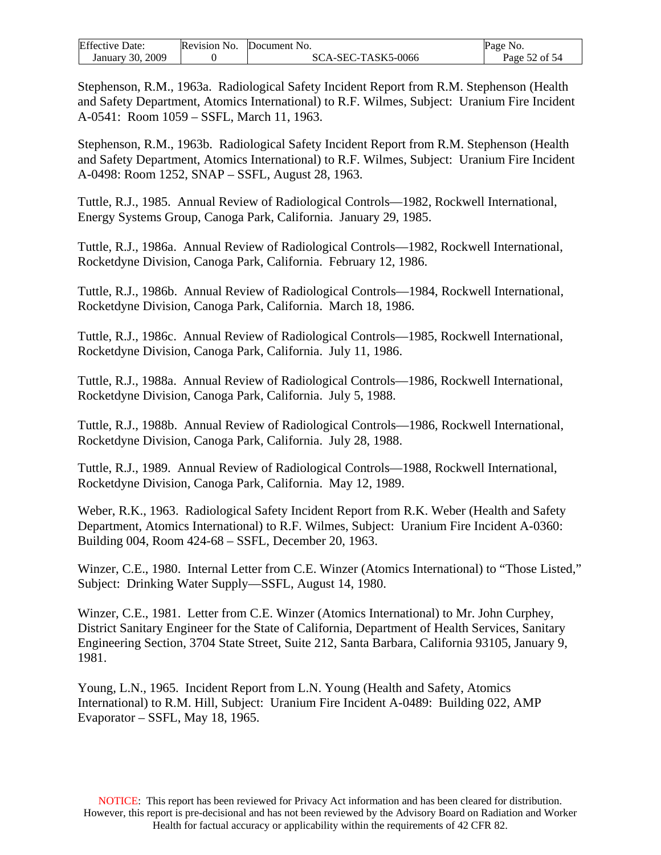| <b>Effective Date:</b> | Revision No. | Document No.       | Page No.      |
|------------------------|--------------|--------------------|---------------|
| January 30, 2009       |              | SCA-SEC-TASK5-0066 | Page 52 of 54 |

Stephenson, R.M., 1963a. Radiological Safety Incident Report from R.M. Stephenson (Health and Safety Department, Atomics International) to R.F. Wilmes, Subject: Uranium Fire Incident A-0541: Room 1059 – SSFL, March 11, 1963.

Stephenson, R.M., 1963b. Radiological Safety Incident Report from R.M. Stephenson (Health and Safety Department, Atomics International) to R.F. Wilmes, Subject: Uranium Fire Incident A-0498: Room 1252, SNAP – SSFL, August 28, 1963.

Tuttle, R.J., 1985. Annual Review of Radiological Controls—1982, Rockwell International, Energy Systems Group, Canoga Park, California. January 29, 1985.

Tuttle, R.J., 1986a. Annual Review of Radiological Controls—1982, Rockwell International, Rocketdyne Division, Canoga Park, California. February 12, 1986.

Tuttle, R.J., 1986b. Annual Review of Radiological Controls—1984, Rockwell International, Rocketdyne Division, Canoga Park, California. March 18, 1986.

Tuttle, R.J., 1986c. Annual Review of Radiological Controls—1985, Rockwell International, Rocketdyne Division, Canoga Park, California. July 11, 1986.

Tuttle, R.J., 1988a. Annual Review of Radiological Controls—1986, Rockwell International, Rocketdyne Division, Canoga Park, California. July 5, 1988.

Tuttle, R.J., 1988b. Annual Review of Radiological Controls—1986, Rockwell International, Rocketdyne Division, Canoga Park, California. July 28, 1988.

Tuttle, R.J., 1989. Annual Review of Radiological Controls—1988, Rockwell International, Rocketdyne Division, Canoga Park, California. May 12, 1989.

Weber, R.K., 1963. Radiological Safety Incident Report from R.K. Weber (Health and Safety Department, Atomics International) to R.F. Wilmes, Subject: Uranium Fire Incident A-0360: Building 004, Room 424-68 – SSFL, December 20, 1963.

Winzer, C.E., 1980. Internal Letter from C.E. Winzer (Atomics International) to "Those Listed," Subject: Drinking Water Supply—SSFL, August 14, 1980.

Winzer, C.E., 1981. Letter from C.E. Winzer (Atomics International) to Mr. John Curphey, District Sanitary Engineer for the State of California, Department of Health Services, Sanitary Engineering Section, 3704 State Street, Suite 212, Santa Barbara, California 93105, January 9, 1981.

Young, L.N., 1965. Incident Report from L.N. Young (Health and Safety, Atomics International) to R.M. Hill, Subject: Uranium Fire Incident A-0489: Building 022, AMP Evaporator – SSFL, May 18, 1965.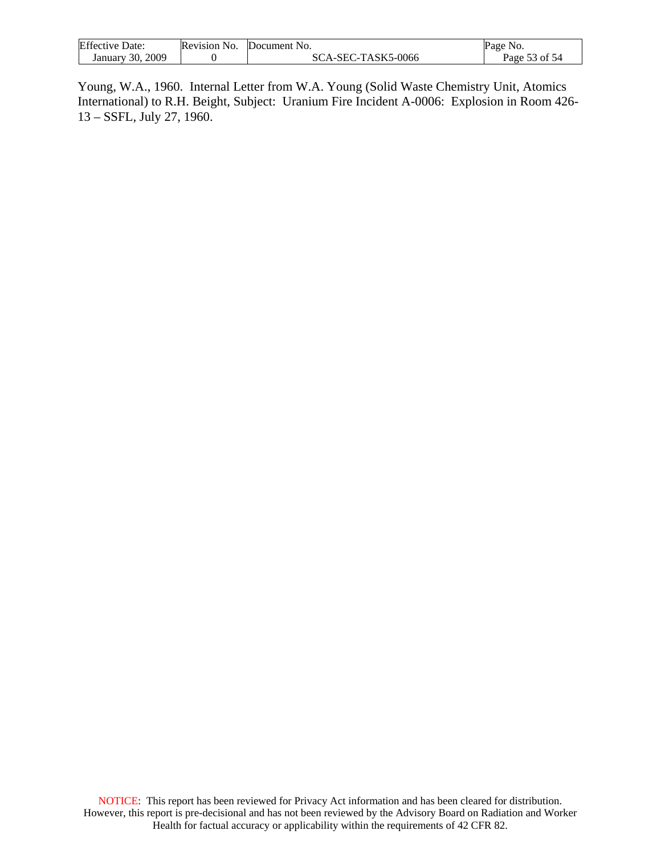| <b>Effective Date:</b> | Revision No. | Document No.       | Page No.      |
|------------------------|--------------|--------------------|---------------|
| January 30, 2009       |              | SCA-SEC-TASK5-0066 | Page 53 of 54 |

Young, W.A., 1960. Internal Letter from W.A. Young (Solid Waste Chemistry Unit, Atomics International) to R.H. Beight, Subject: Uranium Fire Incident A-0006: Explosion in Room 426- 13 – SSFL, July 27, 1960.